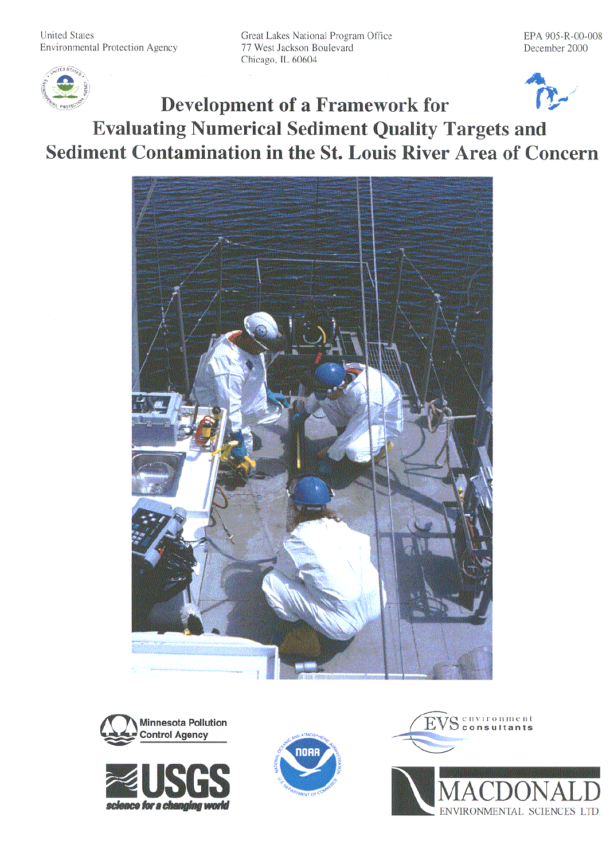Great Lakes National Program Office 77 West Jackson Boulevard Chicago, IL 60604



# **Development of a Framework for Evaluating Numerical Sediment Quality Targets and** Sediment Contamination in the St. Louis River Area of Concern











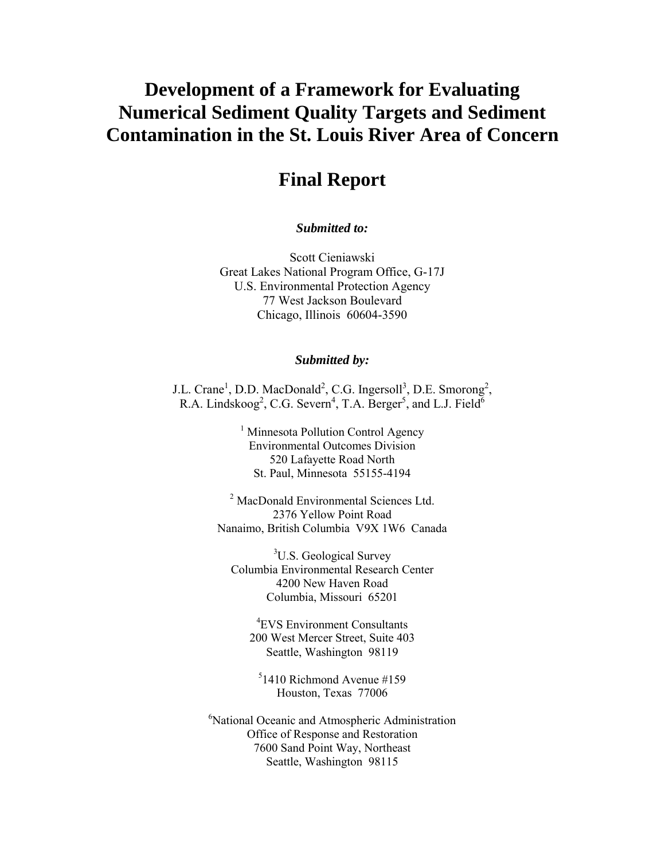# **Development of a Framework for Evaluating Numerical Sediment Quality Targets and Sediment Contamination in the St. Louis River Area of Concern**

## **Final Report**

*Submitted to:*

Scott Cieniawski Great Lakes National Program Office, G-17J U.S. Environmental Protection Agency 77 West Jackson Boulevard Chicago, Illinois 60604-3590

#### *Submitted by:*

J.L. Crane<sup>1</sup>, D.D. MacDonald<sup>2</sup>, C.G. Ingersoll<sup>3</sup>, D.E. Smorong<sup>2</sup>, R.A. Lindskoog<sup>2</sup>, C.G. Severn<sup>4</sup>, T.A. Berger<sup>5</sup>, and L.J. Field<sup>6</sup>

> <sup>1</sup> Minnesota Pollution Control Agency Environmental Outcomes Division 520 Lafayette Road North St. Paul, Minnesota 55155-4194

<sup>2</sup> MacDonald Environmental Sciences Ltd. 2376 Yellow Point Road Nanaimo, British Columbia V9X 1W6 Canada

<sup>3</sup>U.S. Geological Survey Columbia Environmental Research Center 4200 New Haven Road Columbia, Missouri 65201

4 EVS Environment Consultants 200 West Mercer Street, Suite 403 Seattle, Washington 98119

5 1410 Richmond Avenue #159 Houston, Texas 77006

6 National Oceanic and Atmospheric Administration Office of Response and Restoration 7600 Sand Point Way, Northeast Seattle, Washington 98115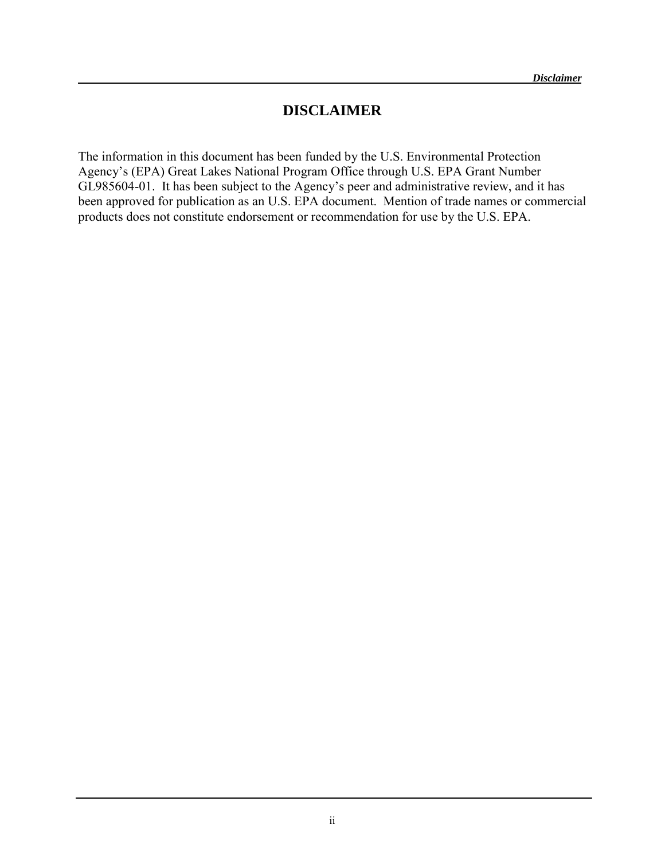#### **DISCLAIMER**

The information in this document has been funded by the U.S. Environmental Protection Agency's (EPA) Great Lakes National Program Office through U.S. EPA Grant Number GL985604-01. It has been subject to the Agency's peer and administrative review, and it has been approved for publication as an U.S. EPA document. Mention of trade names or commercial products does not constitute endorsement or recommendation for use by the U.S. EPA.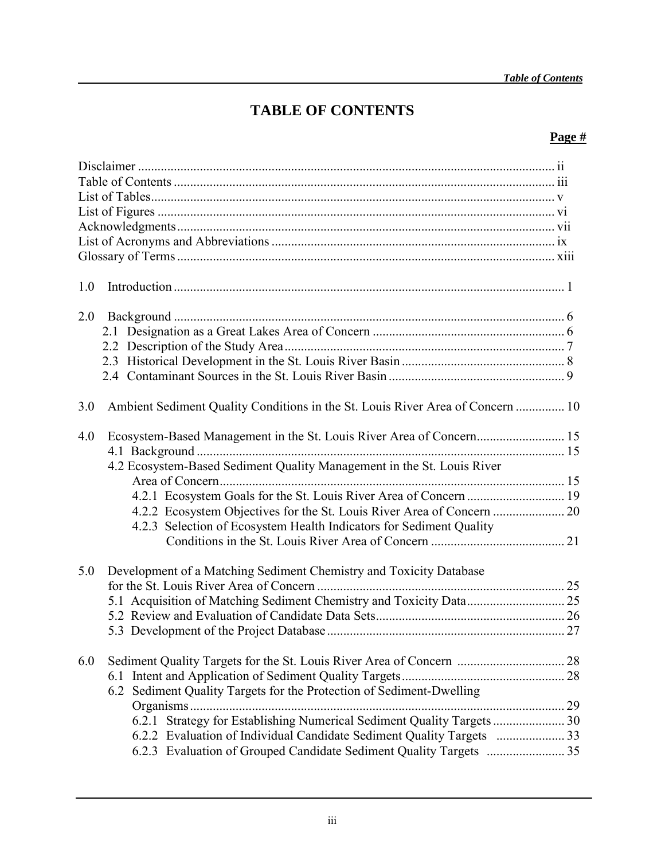# **TABLE OF CONTENTS**

#### **Page #**

| 1.0                                                                                   |  |
|---------------------------------------------------------------------------------------|--|
| 2.0                                                                                   |  |
|                                                                                       |  |
|                                                                                       |  |
|                                                                                       |  |
|                                                                                       |  |
| Ambient Sediment Quality Conditions in the St. Louis River Area of Concern  10<br>3.0 |  |
| 4.0                                                                                   |  |
|                                                                                       |  |
| 4.2 Ecosystem-Based Sediment Quality Management in the St. Louis River                |  |
|                                                                                       |  |
|                                                                                       |  |
| 4.2.3 Selection of Ecosystem Health Indicators for Sediment Quality                   |  |
|                                                                                       |  |
|                                                                                       |  |
| 5.0<br>Development of a Matching Sediment Chemistry and Toxicity Database             |  |
|                                                                                       |  |
|                                                                                       |  |
|                                                                                       |  |
|                                                                                       |  |
|                                                                                       |  |
| 6.0                                                                                   |  |
| 6.2 Sediment Quality Targets for the Protection of Sediment-Dwelling                  |  |
|                                                                                       |  |
| 6.2.1 Strategy for Establishing Numerical Sediment Quality Targets  30                |  |
|                                                                                       |  |
|                                                                                       |  |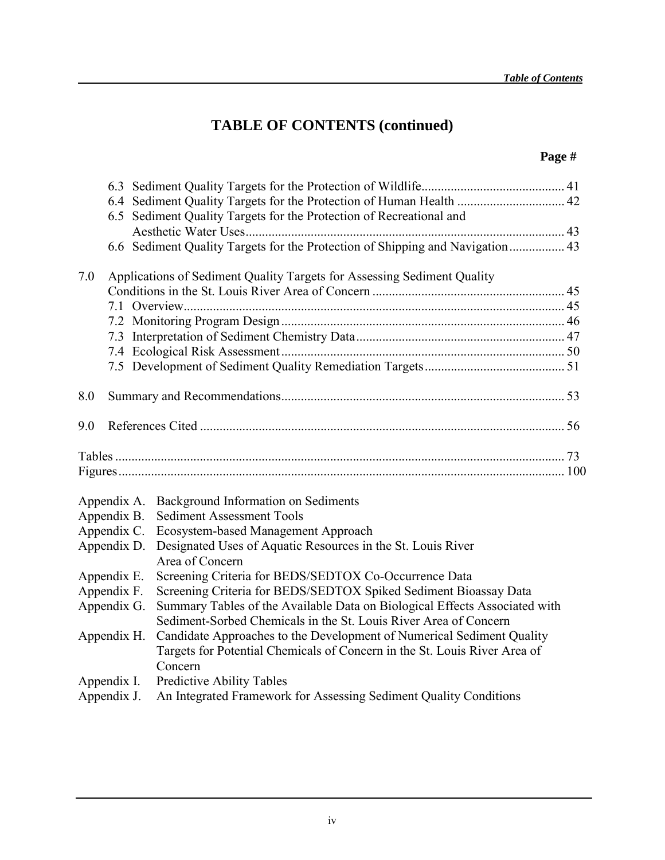# **TABLE OF CONTENTS (continued)**

## **Page #**

|     |             | 6.5 Sediment Quality Targets for the Protection of Recreational and                  |  |
|-----|-------------|--------------------------------------------------------------------------------------|--|
|     |             |                                                                                      |  |
|     |             | 6.6 Sediment Quality Targets for the Protection of Shipping and Navigation 43        |  |
|     |             |                                                                                      |  |
| 7.0 |             | Applications of Sediment Quality Targets for Assessing Sediment Quality              |  |
|     |             |                                                                                      |  |
|     |             |                                                                                      |  |
|     |             |                                                                                      |  |
|     |             |                                                                                      |  |
|     |             |                                                                                      |  |
|     |             |                                                                                      |  |
| 8.0 |             |                                                                                      |  |
| 9.0 |             |                                                                                      |  |
|     |             |                                                                                      |  |
|     |             |                                                                                      |  |
|     | Appendix A. | Background Information on Sediments                                                  |  |
|     | Appendix B. | <b>Sediment Assessment Tools</b>                                                     |  |
|     | Appendix C. | Ecosystem-based Management Approach                                                  |  |
|     | Appendix D. | Designated Uses of Aquatic Resources in the St. Louis River<br>Area of Concern       |  |
|     | Appendix E. | Screening Criteria for BEDS/SEDTOX Co-Occurrence Data                                |  |
|     | Appendix F. | Screening Criteria for BEDS/SEDTOX Spiked Sediment Bioassay Data                     |  |
|     | Appendix G. | Summary Tables of the Available Data on Biological Effects Associated with           |  |
|     |             | Sediment-Sorbed Chemicals in the St. Louis River Area of Concern                     |  |
|     | Appendix H. | Candidate Approaches to the Development of Numerical Sediment Quality                |  |
|     |             | Targets for Potential Chemicals of Concern in the St. Louis River Area of<br>Concern |  |
|     | Appendix I. | Predictive Ability Tables                                                            |  |
|     |             |                                                                                      |  |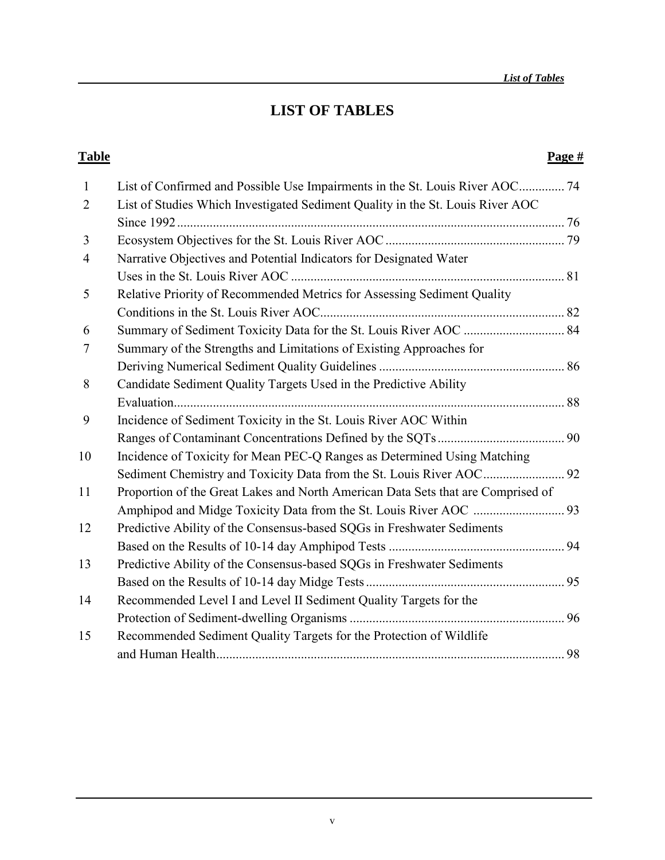## **LIST OF TABLES**

#### **Table** Page #

| $\mathbf{1}$   | List of Confirmed and Possible Use Impairments in the St. Louis River AOC 74     |  |
|----------------|----------------------------------------------------------------------------------|--|
| $\overline{2}$ | List of Studies Which Investigated Sediment Quality in the St. Louis River AOC   |  |
|                |                                                                                  |  |
| 3              |                                                                                  |  |
| $\overline{4}$ | Narrative Objectives and Potential Indicators for Designated Water               |  |
|                |                                                                                  |  |
| 5              | Relative Priority of Recommended Metrics for Assessing Sediment Quality          |  |
|                |                                                                                  |  |
| 6              | Summary of Sediment Toxicity Data for the St. Louis River AOC  84                |  |
| 7              | Summary of the Strengths and Limitations of Existing Approaches for              |  |
|                |                                                                                  |  |
| 8              | Candidate Sediment Quality Targets Used in the Predictive Ability                |  |
|                |                                                                                  |  |
| 9              | Incidence of Sediment Toxicity in the St. Louis River AOC Within                 |  |
|                |                                                                                  |  |
| 10             | Incidence of Toxicity for Mean PEC-Q Ranges as Determined Using Matching         |  |
|                |                                                                                  |  |
| 11             | Proportion of the Great Lakes and North American Data Sets that are Comprised of |  |
|                |                                                                                  |  |
| 12             | Predictive Ability of the Consensus-based SQGs in Freshwater Sediments           |  |
|                |                                                                                  |  |
| 13             | Predictive Ability of the Consensus-based SQGs in Freshwater Sediments           |  |
|                |                                                                                  |  |
| 14             | Recommended Level I and Level II Sediment Quality Targets for the                |  |
|                |                                                                                  |  |
| 15             | Recommended Sediment Quality Targets for the Protection of Wildlife              |  |
|                |                                                                                  |  |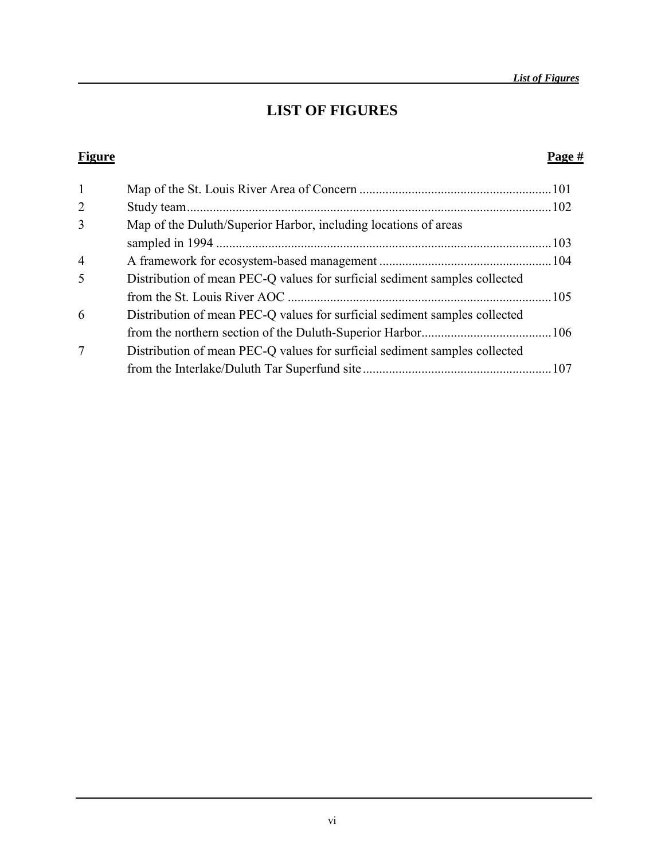## **LIST OF FIGURES**

#### **Figure Page #**

| $\mathbf{1}$   |                                                                            |  |
|----------------|----------------------------------------------------------------------------|--|
| $\overline{2}$ |                                                                            |  |
| 3              | Map of the Duluth/Superior Harbor, including locations of areas            |  |
|                |                                                                            |  |
| $\overline{4}$ |                                                                            |  |
| 5              | Distribution of mean PEC-Q values for surficial sediment samples collected |  |
|                |                                                                            |  |
| 6              | Distribution of mean PEC-Q values for surficial sediment samples collected |  |
|                |                                                                            |  |
| 7              | Distribution of mean PEC-Q values for surficial sediment samples collected |  |
|                |                                                                            |  |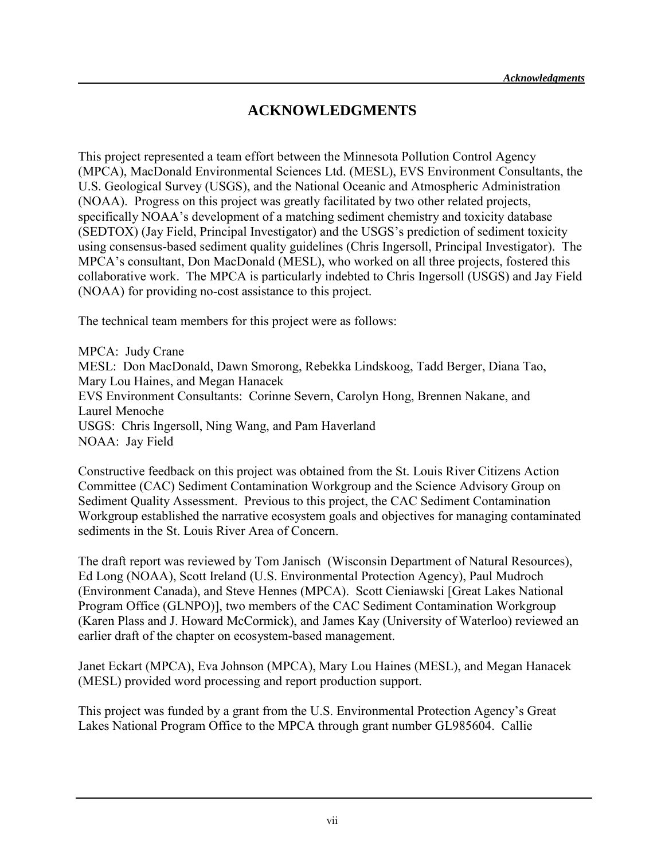#### **ACKNOWLEDGMENTS**

This project represented a team effort between the Minnesota Pollution Control Agency (MPCA), MacDonald Environmental Sciences Ltd. (MESL), EVS Environment Consultants, the U.S. Geological Survey (USGS), and the National Oceanic and Atmospheric Administration (NOAA). Progress on this project was greatly facilitated by two other related projects, specifically NOAA's development of a matching sediment chemistry and toxicity database (SEDTOX) (Jay Field, Principal Investigator) and the USGS's prediction of sediment toxicity using consensus-based sediment quality guidelines (Chris Ingersoll, Principal Investigator). The MPCA's consultant, Don MacDonald (MESL), who worked on all three projects, fostered this collaborative work. The MPCA is particularly indebted to Chris Ingersoll (USGS) and Jay Field (NOAA) for providing no-cost assistance to this project.

The technical team members for this project were as follows:

MPCA: Judy Crane MESL: Don MacDonald, Dawn Smorong, Rebekka Lindskoog, Tadd Berger, Diana Tao, Mary Lou Haines, and Megan Hanacek EVS Environment Consultants: Corinne Severn, Carolyn Hong, Brennen Nakane, and Laurel Menoche USGS: Chris Ingersoll, Ning Wang, and Pam Haverland NOAA: Jay Field

Constructive feedback on this project was obtained from the St. Louis River Citizens Action Committee (CAC) Sediment Contamination Workgroup and the Science Advisory Group on Sediment Quality Assessment. Previous to this project, the CAC Sediment Contamination Workgroup established the narrative ecosystem goals and objectives for managing contaminated sediments in the St. Louis River Area of Concern.

The draft report was reviewed by Tom Janisch (Wisconsin Department of Natural Resources), Ed Long (NOAA), Scott Ireland (U.S. Environmental Protection Agency), Paul Mudroch (Environment Canada), and Steve Hennes (MPCA). Scott Cieniawski [Great Lakes National Program Office (GLNPO)], two members of the CAC Sediment Contamination Workgroup (Karen Plass and J. Howard McCormick), and James Kay (University of Waterloo) reviewed an earlier draft of the chapter on ecosystem-based management.

Janet Eckart (MPCA), Eva Johnson (MPCA), Mary Lou Haines (MESL), and Megan Hanacek (MESL) provided word processing and report production support.

This project was funded by a grant from the U.S. Environmental Protection Agency's Great Lakes National Program Office to the MPCA through grant number GL985604. Callie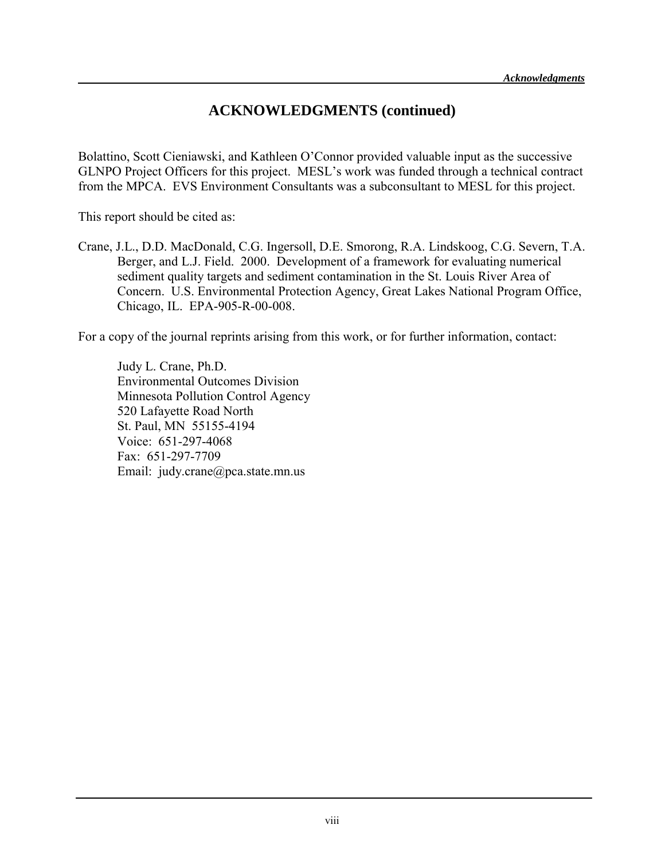#### **ACKNOWLEDGMENTS (continued)**

Bolattino, Scott Cieniawski, and Kathleen O'Connor provided valuable input as the successive GLNPO Project Officers for this project. MESL's work was funded through a technical contract from the MPCA. EVS Environment Consultants was a subconsultant to MESL for this project.

This report should be cited as:

Crane, J.L., D.D. MacDonald, C.G. Ingersoll, D.E. Smorong, R.A. Lindskoog, C.G. Severn, T.A. Berger, and L.J. Field. 2000. Development of a framework for evaluating numerical sediment quality targets and sediment contamination in the St. Louis River Area of Concern. U.S. Environmental Protection Agency, Great Lakes National Program Office, Chicago, IL. EPA-905-R-00-008.

For a copy of the journal reprints arising from this work, or for further information, contact:

Judy L. Crane, Ph.D. Environmental Outcomes Division Minnesota Pollution Control Agency 520 Lafayette Road North St. Paul, MN 55155-4194 Voice: 651-297-4068 Fax: 651-297-7709 Email: judy.crane@pca.state.mn.us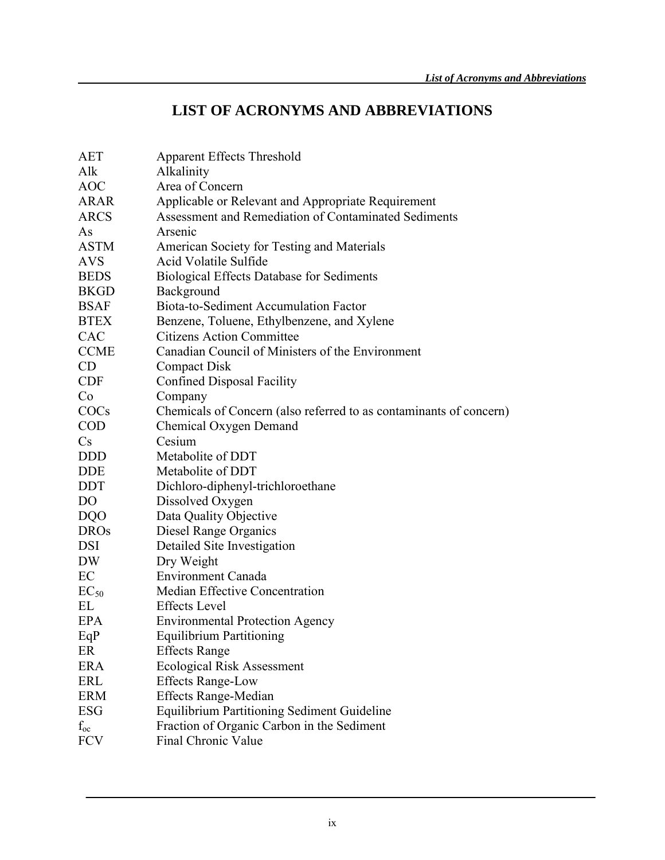## **LIST OF ACRONYMS AND ABBREVIATIONS**

| <b>Apparent Effects Threshold</b>                                  |
|--------------------------------------------------------------------|
| Alkalinity                                                         |
| Area of Concern                                                    |
| Applicable or Relevant and Appropriate Requirement                 |
| Assessment and Remediation of Contaminated Sediments               |
| Arsenic                                                            |
| American Society for Testing and Materials                         |
| Acid Volatile Sulfide                                              |
| <b>Biological Effects Database for Sediments</b>                   |
| Background                                                         |
| Biota-to-Sediment Accumulation Factor                              |
| Benzene, Toluene, Ethylbenzene, and Xylene                         |
| <b>Citizens Action Committee</b>                                   |
| Canadian Council of Ministers of the Environment                   |
| <b>Compact Disk</b>                                                |
| Confined Disposal Facility                                         |
| Company                                                            |
| Chemicals of Concern (also referred to as contaminants of concern) |
| Chemical Oxygen Demand                                             |
| Cesium                                                             |
| Metabolite of DDT                                                  |
| Metabolite of DDT                                                  |
| Dichloro-diphenyl-trichloroethane                                  |
| Dissolved Oxygen                                                   |
| Data Quality Objective                                             |
| Diesel Range Organics                                              |
| Detailed Site Investigation                                        |
| Dry Weight                                                         |
| <b>Environment Canada</b>                                          |
| Median Effective Concentration                                     |
| <b>Effects</b> Level                                               |
| <b>Environmental Protection Agency</b>                             |
| <b>Equilibrium Partitioning</b>                                    |
| <b>Effects Range</b>                                               |
| <b>Ecological Risk Assessment</b>                                  |
| <b>Effects Range-Low</b>                                           |
| <b>Effects Range-Median</b>                                        |
| <b>Equilibrium Partitioning Sediment Guideline</b>                 |
| Fraction of Organic Carbon in the Sediment                         |
| Final Chronic Value                                                |
|                                                                    |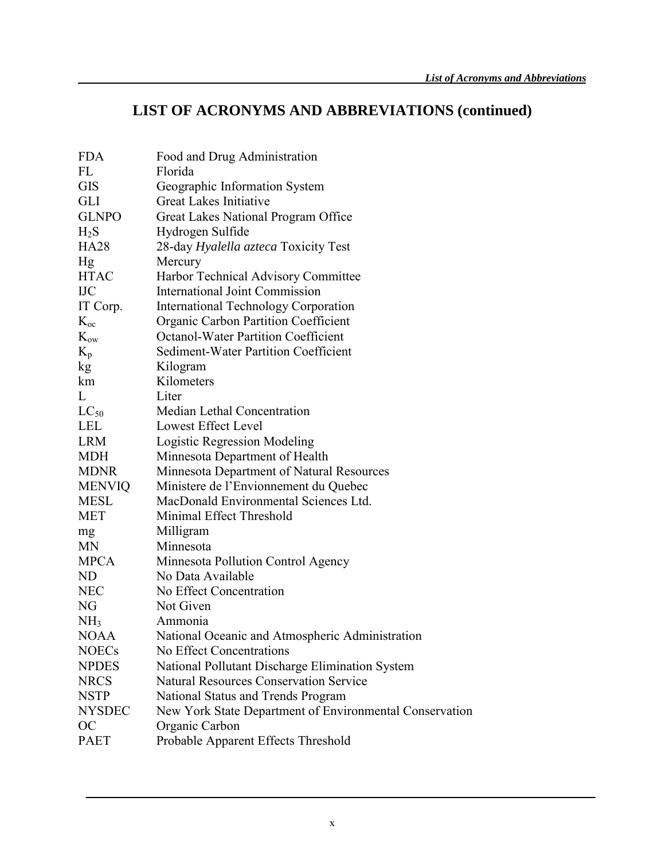# **LIST OF ACRONYMS AND ABBREVIATIONS (continued)**

| <b>FDA</b>      | Food and Drug Administration                            |
|-----------------|---------------------------------------------------------|
| FL              | Florida                                                 |
| <b>GIS</b>      | Geographic Information System                           |
| <b>GLI</b>      | <b>Great Lakes Initiative</b>                           |
| <b>GLNPO</b>    | Great Lakes National Program Office                     |
| $H_2S$          | Hydrogen Sulfide                                        |
| <b>HA28</b>     | 28-day Hyalella azteca Toxicity Test                    |
| Hg              | Mercury                                                 |
| <b>HTAC</b>     | Harbor Technical Advisory Committee                     |
| <b>IJC</b>      | <b>International Joint Commission</b>                   |
| IT Corp.        | International Technology Corporation                    |
| $K_{oc}$        | Organic Carbon Partition Coefficient                    |
| $K_{ow}$        | <b>Octanol-Water Partition Coefficient</b>              |
| $K_{p}$         | <b>Sediment-Water Partition Coefficient</b>             |
| kg              | Kilogram                                                |
| km              | Kilometers                                              |
| L               | Liter                                                   |
| $LC_{50}$       | Median Lethal Concentration                             |
| <b>LEL</b>      | Lowest Effect Level                                     |
| <b>LRM</b>      | Logistic Regression Modeling                            |
| <b>MDH</b>      | Minnesota Department of Health                          |
| <b>MDNR</b>     | Minnesota Department of Natural Resources               |
| <b>MENVIQ</b>   | Ministere de l'Envionnement du Quebec                   |
| <b>MESL</b>     | MacDonald Environmental Sciences Ltd.                   |
| <b>MET</b>      | Minimal Effect Threshold                                |
| mg              | Milligram                                               |
| MN              | Minnesota                                               |
| <b>MPCA</b>     | Minnesota Pollution Control Agency                      |
| ND              | No Data Available                                       |
| <b>NEC</b>      | No Effect Concentration                                 |
| NG              | Not Given                                               |
| NH <sub>3</sub> | Ammonia                                                 |
| <b>NOAA</b>     | National Oceanic and Atmospheric Administration         |
| <b>NOECs</b>    | No Effect Concentrations                                |
| <b>NPDES</b>    | National Pollutant Discharge Elimination System         |
| <b>NRCS</b>     | <b>Natural Resources Conservation Service</b>           |
| <b>NSTP</b>     | National Status and Trends Program                      |
| <b>NYSDEC</b>   | New York State Department of Environmental Conservation |
| <b>OC</b>       | Organic Carbon                                          |
| <b>PAET</b>     | Probable Apparent Effects Threshold                     |
|                 |                                                         |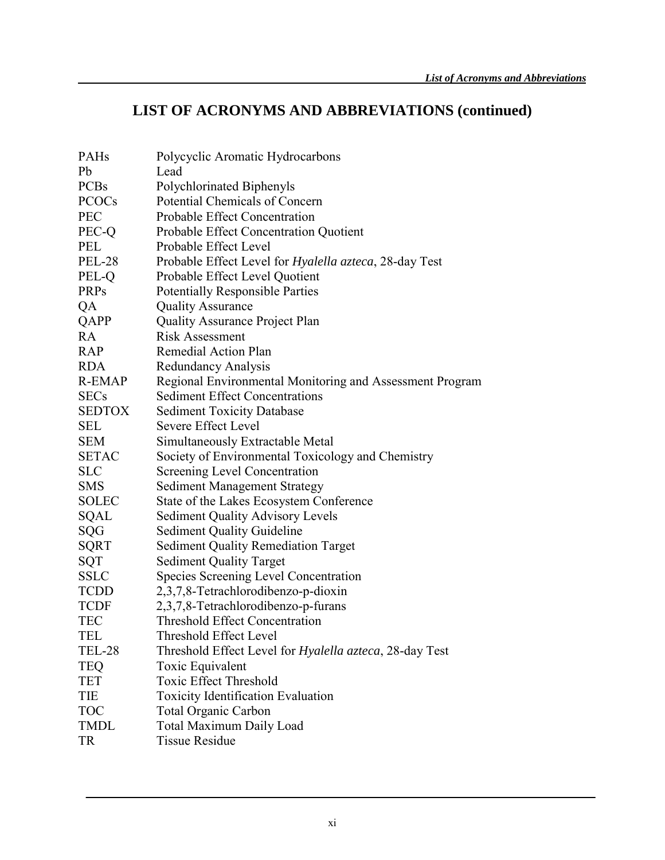## **LIST OF ACRONYMS AND ABBREVIATIONS (continued)**

| PAHs          | Polycyclic Aromatic Hydrocarbons                               |
|---------------|----------------------------------------------------------------|
| Pb            | Lead                                                           |
| <b>PCBs</b>   | Polychlorinated Biphenyls                                      |
| <b>PCOCs</b>  | Potential Chemicals of Concern                                 |
| <b>PEC</b>    | Probable Effect Concentration                                  |
| PEC-Q         | Probable Effect Concentration Quotient                         |
| <b>PEL</b>    | Probable Effect Level                                          |
| <b>PEL-28</b> | Probable Effect Level for <i>Hyalella azteca</i> , 28-day Test |
| PEL-Q         | Probable Effect Level Quotient                                 |
| <b>PRPs</b>   | <b>Potentially Responsible Parties</b>                         |
| QA            | <b>Quality Assurance</b>                                       |
| QAPP          | <b>Quality Assurance Project Plan</b>                          |
| RA            | <b>Risk Assessment</b>                                         |
| <b>RAP</b>    | Remedial Action Plan                                           |
| <b>RDA</b>    | <b>Redundancy Analysis</b>                                     |
| <b>R-EMAP</b> | Regional Environmental Monitoring and Assessment Program       |
| <b>SECs</b>   | <b>Sediment Effect Concentrations</b>                          |
| <b>SEDTOX</b> | <b>Sediment Toxicity Database</b>                              |
| SEL           | Severe Effect Level                                            |
| <b>SEM</b>    | Simultaneously Extractable Metal                               |
| <b>SETAC</b>  | Society of Environmental Toxicology and Chemistry              |
| <b>SLC</b>    | <b>Screening Level Concentration</b>                           |
| <b>SMS</b>    | <b>Sediment Management Strategy</b>                            |
| <b>SOLEC</b>  | State of the Lakes Ecosystem Conference                        |
| SQAL          | <b>Sediment Quality Advisory Levels</b>                        |
| SQG           | <b>Sediment Quality Guideline</b>                              |
| <b>SQRT</b>   | <b>Sediment Quality Remediation Target</b>                     |
| SQT           | <b>Sediment Quality Target</b>                                 |
| <b>SSLC</b>   | Species Screening Level Concentration                          |
| <b>TCDD</b>   | 2,3,7,8-Tetrachlorodibenzo-p-dioxin                            |
| <b>TCDF</b>   | 2,3,7,8-Tetrachlorodibenzo-p-furans                            |
| <b>TEC</b>    | <b>Threshold Effect Concentration</b>                          |
| TEL           | <b>Threshold Effect Level</b>                                  |
| <b>TEL-28</b> | Threshold Effect Level for Hyalella azteca, 28-day Test        |
| <b>TEQ</b>    | Toxic Equivalent                                               |
| <b>TET</b>    | <b>Toxic Effect Threshold</b>                                  |
| TIE           | <b>Toxicity Identification Evaluation</b>                      |
| TOC           | <b>Total Organic Carbon</b>                                    |
| <b>TMDL</b>   | <b>Total Maximum Daily Load</b>                                |
| <b>TR</b>     | <b>Tissue Residue</b>                                          |
|               |                                                                |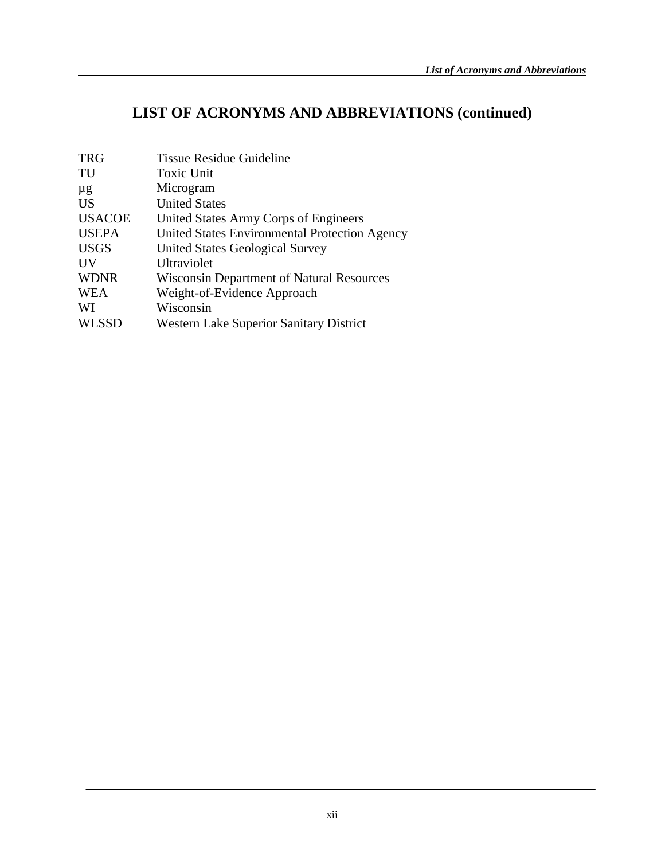# **LIST OF ACRONYMS AND ABBREVIATIONS (continued)**

| <b>TRG</b>    | <b>Tissue Residue Guideline</b>                  |
|---------------|--------------------------------------------------|
| TU            | <b>Toxic Unit</b>                                |
| $\mu$ g       | Microgram                                        |
| <b>US</b>     | <b>United States</b>                             |
| <b>USACOE</b> | United States Army Corps of Engineers            |
| <b>USEPA</b>  | United States Environmental Protection Agency    |
| <b>USGS</b>   | United States Geological Survey                  |
| UV            | Ultraviolet                                      |
| <b>WDNR</b>   | <b>Wisconsin Department of Natural Resources</b> |
| <b>WEA</b>    | Weight-of-Evidence Approach                      |
| WI            | Wisconsin                                        |
| <b>WLSSD</b>  | <b>Western Lake Superior Sanitary District</b>   |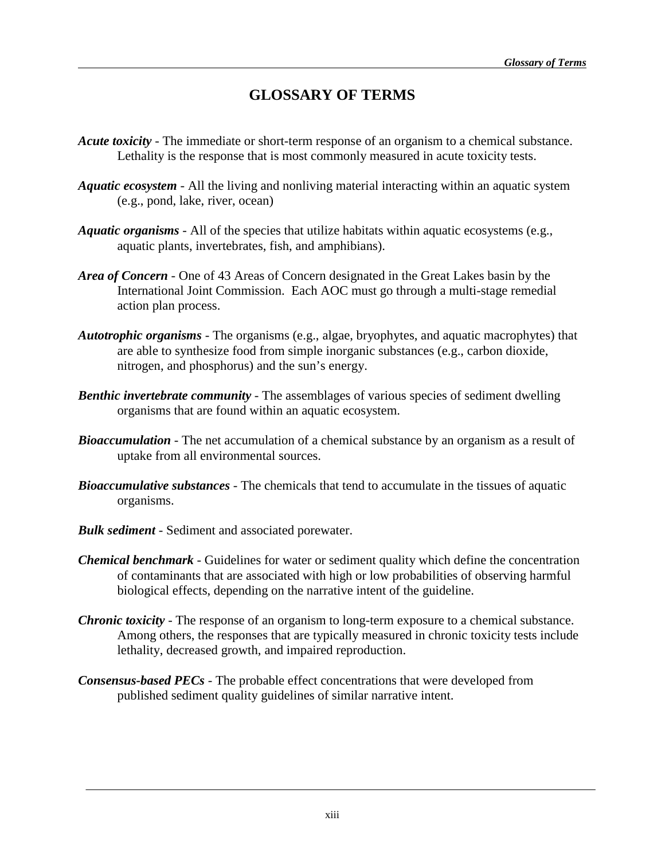## **GLOSSARY OF TERMS**

- *Acute toxicity* The immediate or short-term response of an organism to a chemical substance. Lethality is the response that is most commonly measured in acute toxicity tests.
- *Aquatic ecosystem* All the living and nonliving material interacting within an aquatic system (e.g., pond, lake, river, ocean)
- *Aquatic organisms* All of the species that utilize habitats within aquatic ecosystems (e.g., aquatic plants, invertebrates, fish, and amphibians).
- *Area of Concern* One of 43 Areas of Concern designated in the Great Lakes basin by the International Joint Commission. Each AOC must go through a multi-stage remedial action plan process.
- *Autotrophic organisms*  The organisms (e.g., algae, bryophytes, and aquatic macrophytes) that are able to synthesize food from simple inorganic substances (e.g., carbon dioxide, nitrogen, and phosphorus) and the sun's energy.
- *Benthic invertebrate community* The assemblages of various species of sediment dwelling organisms that are found within an aquatic ecosystem.
- **Bioaccumulation** The net accumulation of a chemical substance by an organism as a result of uptake from all environmental sources.
- *Bioaccumulative substances* The chemicals that tend to accumulate in the tissues of aquatic organisms.
- *Bulk sediment* Sediment and associated porewater.
- *Chemical benchmark* Guidelines for water or sediment quality which define the concentration of contaminants that are associated with high or low probabilities of observing harmful biological effects, depending on the narrative intent of the guideline.
- *Chronic toxicity* The response of an organism to long-term exposure to a chemical substance. Among others, the responses that are typically measured in chronic toxicity tests include lethality, decreased growth, and impaired reproduction.
- *Consensus-based PECs* The probable effect concentrations that were developed from published sediment quality guidelines of similar narrative intent.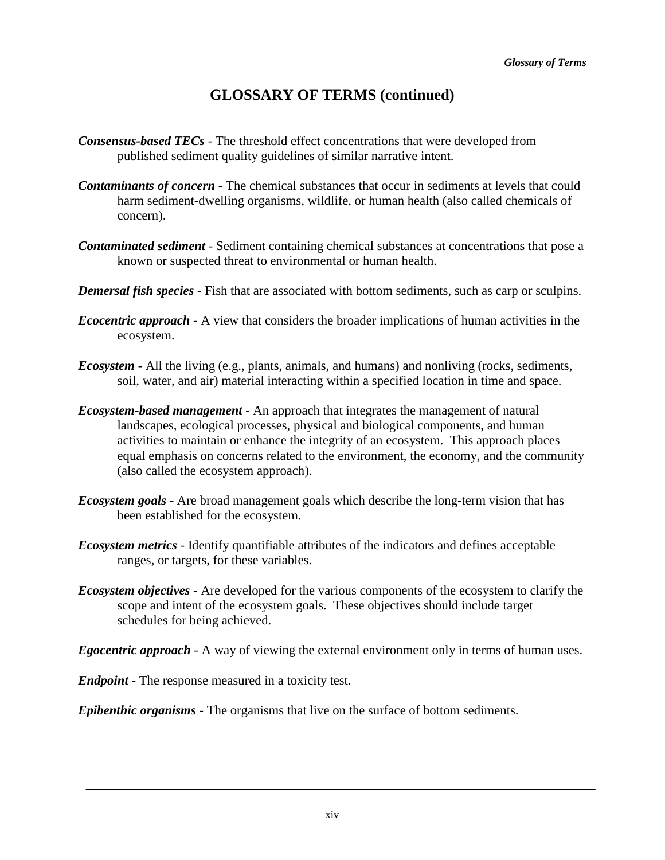## **GLOSSARY OF TERMS (continued)**

- *Consensus-based TECs* The threshold effect concentrations that were developed from published sediment quality guidelines of similar narrative intent.
- *Contaminants of concern -* The chemical substances that occur in sediments at levels that could harm sediment-dwelling organisms, wildlife, or human health (also called chemicals of concern).
- *Contaminated sediment* Sediment containing chemical substances at concentrations that pose a known or suspected threat to environmental or human health.
- *Demersal fish species* Fish that are associated with bottom sediments, such as carp or sculpins.
- *Ecocentric approach*  A view that considers the broader implications of human activities in the ecosystem.
- *Ecosystem* All the living (e.g., plants, animals, and humans) and nonliving (rocks, sediments, soil, water, and air) material interacting within a specified location in time and space.
- *Ecosystem-based management* **-** An approach that integrates the management of natural landscapes, ecological processes, physical and biological components, and human activities to maintain or enhance the integrity of an ecosystem. This approach places equal emphasis on concerns related to the environment, the economy, and the community (also called the ecosystem approach).
- *Ecosystem goals*  Are broad management goals which describe the long-term vision that has been established for the ecosystem.
- *Ecosystem metrics*  Identify quantifiable attributes of the indicators and defines acceptable ranges, or targets, for these variables.
- *Ecosystem objectives*  Are developed for the various components of the ecosystem to clarify the scope and intent of the ecosystem goals. These objectives should include target schedules for being achieved.
- *Egocentric approach*  A way of viewing the external environment only in terms of human uses.
- *Endpoint* The response measured in a toxicity test.

*Epibenthic organisms* - The organisms that live on the surface of bottom sediments.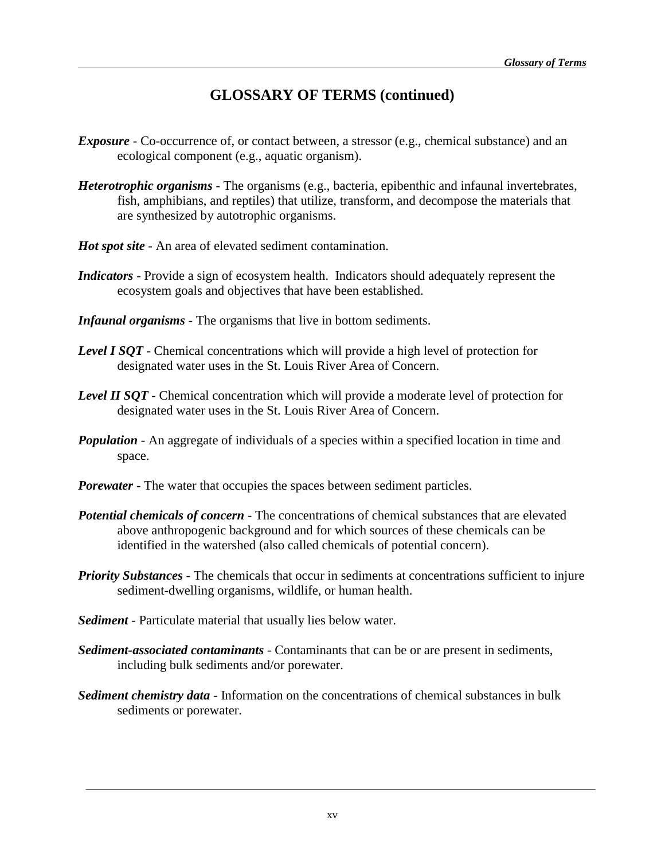## **GLOSSARY OF TERMS (continued)**

- *Exposure* Co-occurrence of, or contact between, a stressor (e.g., chemical substance) and an ecological component (e.g., aquatic organism).
- *Heterotrophic organisms*  The organisms (e.g., bacteria, epibenthic and infaunal invertebrates, fish, amphibians, and reptiles) that utilize, transform, and decompose the materials that are synthesized by autotrophic organisms.
- *Hot spot site* An area of elevated sediment contamination.
- *Indicators*  Provide a sign of ecosystem health. Indicators should adequately represent the ecosystem goals and objectives that have been established.
- *Infaunal organisms* The organisms that live in bottom sediments.
- **Level I SQT** Chemical concentrations which will provide a high level of protection for designated water uses in the St. Louis River Area of Concern.
- *Level II SOT* Chemical concentration which will provide a moderate level of protection for designated water uses in the St. Louis River Area of Concern.
- *Population* An aggregate of individuals of a species within a specified location in time and space.
- *Porewater* The water that occupies the spaces between sediment particles.
- *Potential chemicals of concern* The concentrations of chemical substances that are elevated above anthropogenic background and for which sources of these chemicals can be identified in the watershed (also called chemicals of potential concern).
- *Priority Substances* The chemicals that occur in sediments at concentrations sufficient to injure sediment-dwelling organisms, wildlife, or human health.
- *Sediment*  Particulate material that usually lies below water.
- *Sediment-associated contaminants* Contaminants that can be or are present in sediments, including bulk sediments and/or porewater.
- *Sediment chemistry data* Information on the concentrations of chemical substances in bulk sediments or porewater.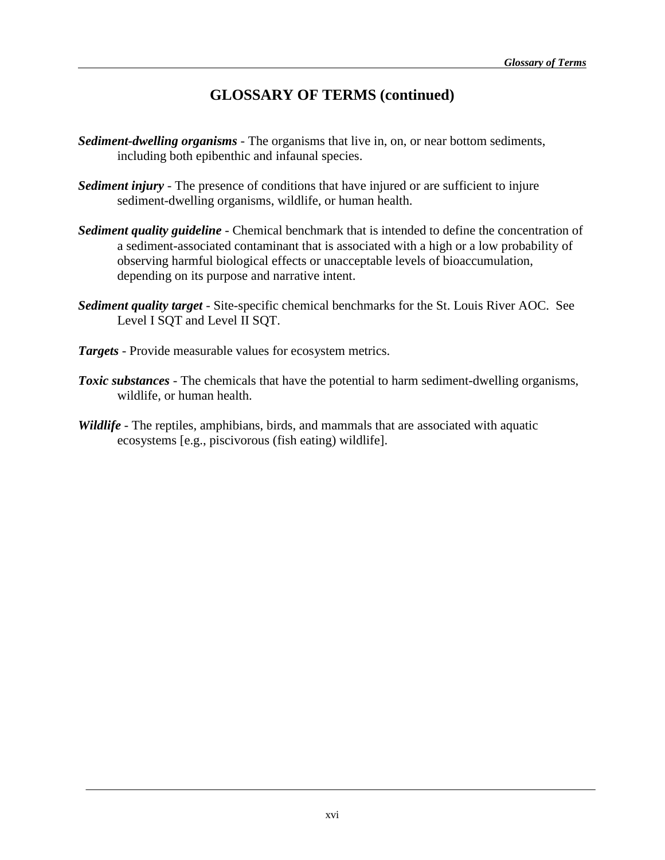## **GLOSSARY OF TERMS (continued)**

- *Sediment-dwelling organisms* The organisms that live in, on, or near bottom sediments, including both epibenthic and infaunal species.
- *Sediment injury* The presence of conditions that have injured or are sufficient to injure sediment-dwelling organisms, wildlife, or human health.
- *Sediment quality guideline* Chemical benchmark that is intended to define the concentration of a sediment-associated contaminant that is associated with a high or a low probability of observing harmful biological effects or unacceptable levels of bioaccumulation, depending on its purpose and narrative intent.
- *Sediment quality target* Site-specific chemical benchmarks for the St. Louis River AOC. See Level I SQT and Level II SQT.
- *Targets*  Provide measurable values for ecosystem metrics.
- *Toxic substances* The chemicals that have the potential to harm sediment-dwelling organisms, wildlife, or human health.
- *Wildlife* The reptiles, amphibians, birds, and mammals that are associated with aquatic ecosystems [e.g., piscivorous (fish eating) wildlife].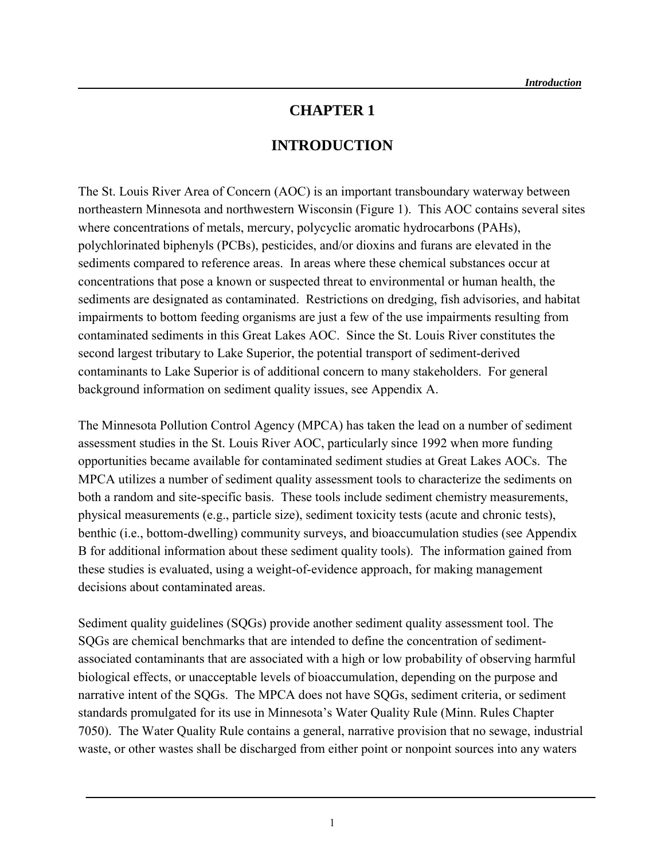#### **CHAPTER 1**

## **INTRODUCTION**

The St. Louis River Area of Concern (AOC) is an important transboundary waterway between northeastern Minnesota and northwestern Wisconsin (Figure 1). This AOC contains several sites where concentrations of metals, mercury, polycyclic aromatic hydrocarbons (PAHs), polychlorinated biphenyls (PCBs), pesticides, and/or dioxins and furans are elevated in the sediments compared to reference areas. In areas where these chemical substances occur at concentrations that pose a known or suspected threat to environmental or human health, the sediments are designated as contaminated. Restrictions on dredging, fish advisories, and habitat impairments to bottom feeding organisms are just a few of the use impairments resulting from contaminated sediments in this Great Lakes AOC. Since the St. Louis River constitutes the second largest tributary to Lake Superior, the potential transport of sediment-derived contaminants to Lake Superior is of additional concern to many stakeholders. For general background information on sediment quality issues, see Appendix A.

The Minnesota Pollution Control Agency (MPCA) has taken the lead on a number of sediment assessment studies in the St. Louis River AOC, particularly since 1992 when more funding opportunities became available for contaminated sediment studies at Great Lakes AOCs. The MPCA utilizes a number of sediment quality assessment tools to characterize the sediments on both a random and site-specific basis. These tools include sediment chemistry measurements, physical measurements (e.g., particle size), sediment toxicity tests (acute and chronic tests), benthic (i.e., bottom-dwelling) community surveys, and bioaccumulation studies (see Appendix B for additional information about these sediment quality tools). The information gained from these studies is evaluated, using a weight-of-evidence approach, for making management decisions about contaminated areas.

Sediment quality guidelines (SQGs) provide another sediment quality assessment tool. The SQGs are chemical benchmarks that are intended to define the concentration of sedimentassociated contaminants that are associated with a high or low probability of observing harmful biological effects, or unacceptable levels of bioaccumulation, depending on the purpose and narrative intent of the SQGs. The MPCA does not have SQGs, sediment criteria, or sediment standards promulgated for its use in Minnesota's Water Quality Rule (Minn. Rules Chapter 7050). The Water Quality Rule contains a general, narrative provision that no sewage, industrial waste, or other wastes shall be discharged from either point or nonpoint sources into any waters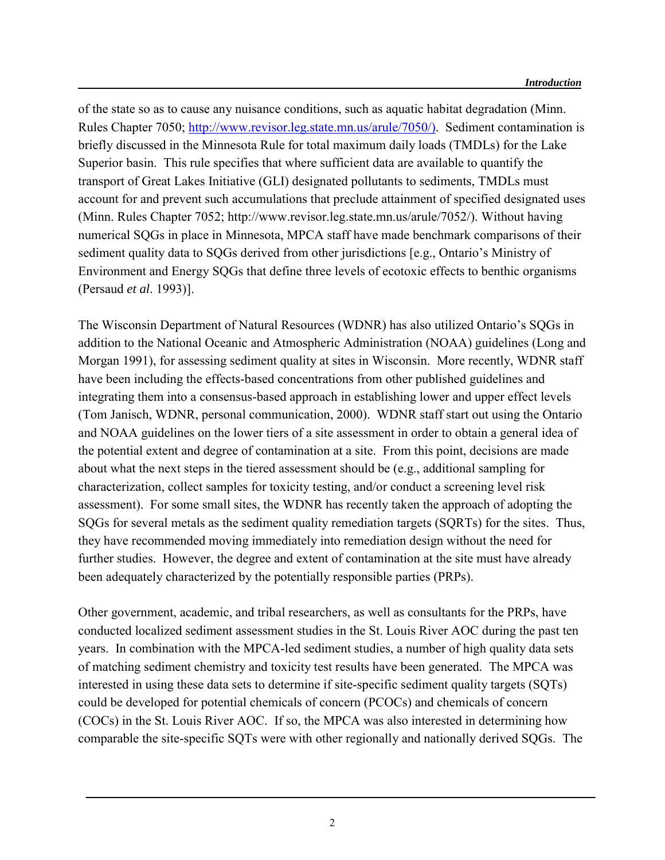of the state so as to cause any nuisance conditions, such as aquatic habitat degradation (Minn. Rules Chapter 7050; [http://www.revisor.leg.state.mn.us/arule/7050/\).](http://www.revisor.leg.state.mn.us/arule/7050/)) Sediment contamination is briefly discussed in the Minnesota Rule for total maximum daily loads (TMDLs) for the Lake Superior basin. This rule specifies that where sufficient data are available to quantify the transport of Great Lakes Initiative (GLI) designated pollutants to sediments, TMDLs must account for and prevent such accumulations that preclude attainment of specified designated uses (Minn. Rules Chapter 7052; http://www.revisor.leg.state.mn.us/arule/7052/). Without having numerical SQGs in place in Minnesota, MPCA staff have made benchmark comparisons of their sediment quality data to SQGs derived from other jurisdictions [e.g., Ontario's Ministry of Environment and Energy SQGs that define three levels of ecotoxic effects to benthic organisms (Persaud *et al*. 1993)].

The Wisconsin Department of Natural Resources (WDNR) has also utilized Ontario's SQGs in addition to the National Oceanic and Atmospheric Administration (NOAA) guidelines (Long and Morgan 1991), for assessing sediment quality at sites in Wisconsin. More recently, WDNR staff have been including the effects-based concentrations from other published guidelines and integrating them into a consensus-based approach in establishing lower and upper effect levels (Tom Janisch, WDNR, personal communication, 2000). WDNR staff start out using the Ontario and NOAA guidelines on the lower tiers of a site assessment in order to obtain a general idea of the potential extent and degree of contamination at a site. From this point, decisions are made about what the next steps in the tiered assessment should be (e.g., additional sampling for characterization, collect samples for toxicity testing, and/or conduct a screening level risk assessment). For some small sites, the WDNR has recently taken the approach of adopting the SQGs for several metals as the sediment quality remediation targets (SQRTs) for the sites. Thus, they have recommended moving immediately into remediation design without the need for further studies. However, the degree and extent of contamination at the site must have already been adequately characterized by the potentially responsible parties (PRPs).

Other government, academic, and tribal researchers, as well as consultants for the PRPs, have conducted localized sediment assessment studies in the St. Louis River AOC during the past ten years. In combination with the MPCA-led sediment studies, a number of high quality data sets of matching sediment chemistry and toxicity test results have been generated. The MPCA was interested in using these data sets to determine if site-specific sediment quality targets (SQTs) could be developed for potential chemicals of concern (PCOCs) and chemicals of concern (COCs) in the St. Louis River AOC. If so, the MPCA was also interested in determining how comparable the site-specific SQTs were with other regionally and nationally derived SQGs. The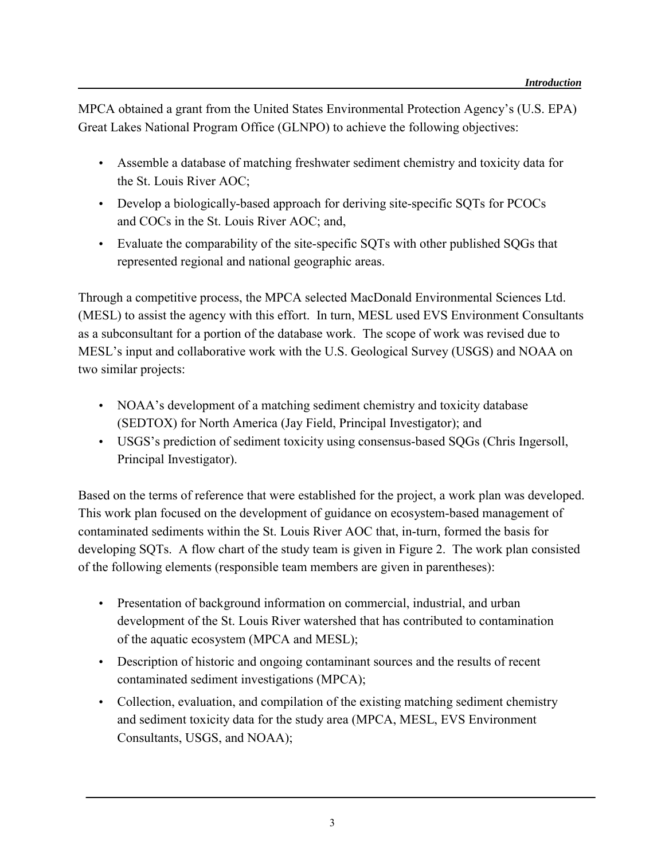MPCA obtained a grant from the United States Environmental Protection Agency's (U.S. EPA) Great Lakes National Program Office (GLNPO) to achieve the following objectives:

- Assemble a database of matching freshwater sediment chemistry and toxicity data for the St. Louis River AOC;
- Develop a biologically-based approach for deriving site-specific SQTs for PCOCs and COCs in the St. Louis River AOC; and,
- Evaluate the comparability of the site-specific SQTs with other published SQGs that represented regional and national geographic areas.

Through a competitive process, the MPCA selected MacDonald Environmental Sciences Ltd. (MESL) to assist the agency with this effort. In turn, MESL used EVS Environment Consultants as a subconsultant for a portion of the database work. The scope of work was revised due to MESL's input and collaborative work with the U.S. Geological Survey (USGS) and NOAA on two similar projects:

- NOAA's development of a matching sediment chemistry and toxicity database (SEDTOX) for North America (Jay Field, Principal Investigator); and
- USGS's prediction of sediment toxicity using consensus-based SQGs (Chris Ingersoll, Principal Investigator).

Based on the terms of reference that were established for the project, a work plan was developed. This work plan focused on the development of guidance on ecosystem-based management of contaminated sediments within the St. Louis River AOC that, in-turn, formed the basis for developing SQTs. A flow chart of the study team is given in Figure 2. The work plan consisted of the following elements (responsible team members are given in parentheses):

- Presentation of background information on commercial, industrial, and urban development of the St. Louis River watershed that has contributed to contamination of the aquatic ecosystem (MPCA and MESL);
- Description of historic and ongoing contaminant sources and the results of recent contaminated sediment investigations (MPCA);
- Collection, evaluation, and compilation of the existing matching sediment chemistry and sediment toxicity data for the study area (MPCA, MESL, EVS Environment Consultants, USGS, and NOAA);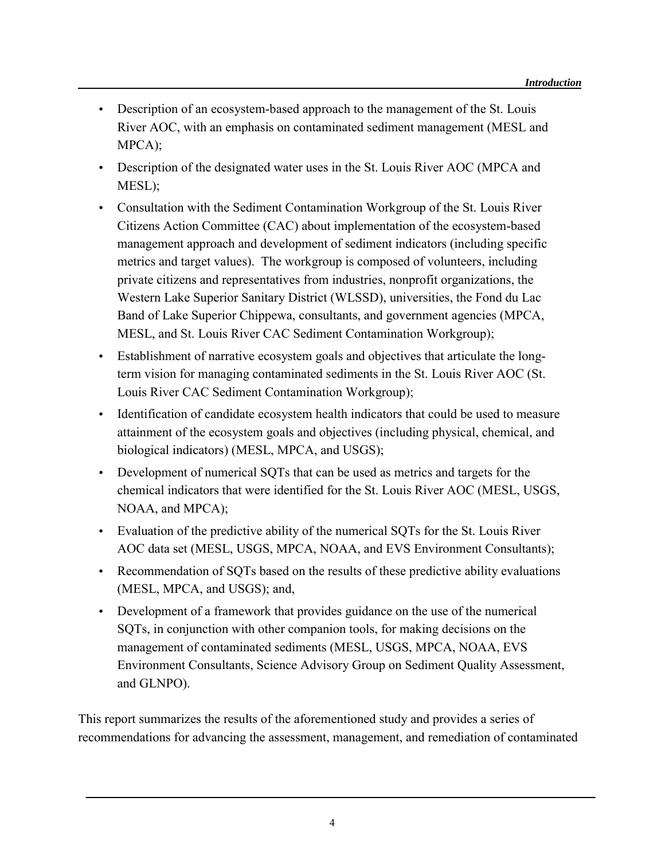- Description of an ecosystem-based approach to the management of the St. Louis River AOC, with an emphasis on contaminated sediment management (MESL and MPCA);
- Description of the designated water uses in the St. Louis River AOC (MPCA and MESL);
- Consultation with the Sediment Contamination Workgroup of the St. Louis River Citizens Action Committee (CAC) about implementation of the ecosystem-based management approach and development of sediment indicators (including specific metrics and target values). The workgroup is composed of volunteers, including private citizens and representatives from industries, nonprofit organizations, the Western Lake Superior Sanitary District (WLSSD), universities, the Fond du Lac Band of Lake Superior Chippewa, consultants, and government agencies (MPCA, MESL, and St. Louis River CAC Sediment Contamination Workgroup);
- Establishment of narrative ecosystem goals and objectives that articulate the longterm vision for managing contaminated sediments in the St. Louis River AOC (St. Louis River CAC Sediment Contamination Workgroup);
- Identification of candidate ecosystem health indicators that could be used to measure attainment of the ecosystem goals and objectives (including physical, chemical, and biological indicators) (MESL, MPCA, and USGS);
- Development of numerical SOTs that can be used as metrics and targets for the chemical indicators that were identified for the St. Louis River AOC (MESL, USGS, NOAA, and MPCA);
- Evaluation of the predictive ability of the numerical SQTs for the St. Louis River AOC data set (MESL, USGS, MPCA, NOAA, and EVS Environment Consultants);
- Recommendation of SQTs based on the results of these predictive ability evaluations (MESL, MPCA, and USGS); and,
- Development of a framework that provides guidance on the use of the numerical SQTs, in conjunction with other companion tools, for making decisions on the management of contaminated sediments (MESL, USGS, MPCA, NOAA, EVS Environment Consultants, Science Advisory Group on Sediment Quality Assessment, and GLNPO).

This report summarizes the results of the aforementioned study and provides a series of recommendations for advancing the assessment, management, and remediation of contaminated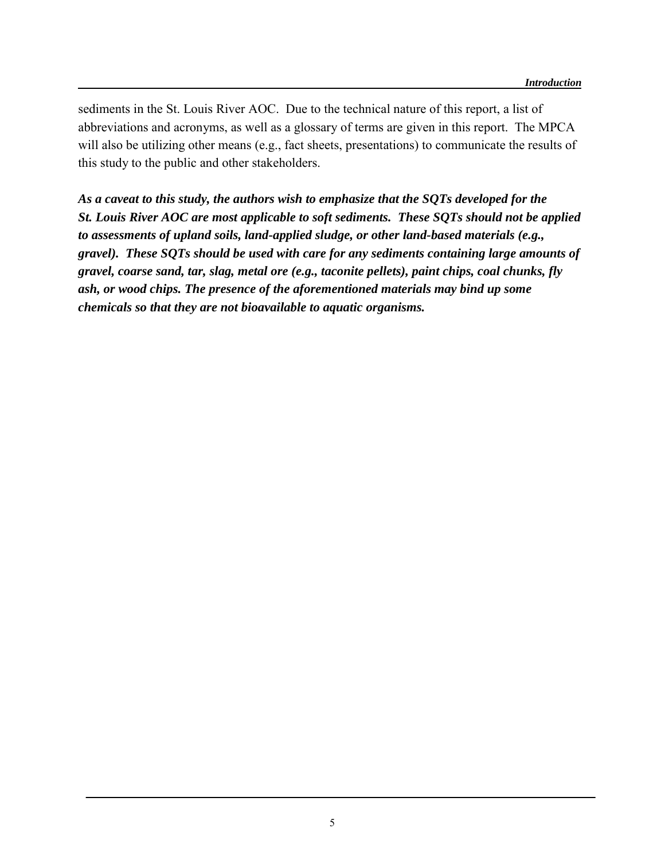sediments in the St. Louis River AOC. Due to the technical nature of this report, a list of abbreviations and acronyms, as well as a glossary of terms are given in this report. The MPCA will also be utilizing other means (e.g., fact sheets, presentations) to communicate the results of this study to the public and other stakeholders.

*As a caveat to this study, the authors wish to emphasize that the SQTs developed for the St. Louis River AOC are most applicable to soft sediments. These SQTs should not be applied to assessments of upland soils, land-applied sludge, or other land-based materials (e.g., gravel). These SQTs should be used with care for any sediments containing large amounts of gravel, coarse sand, tar, slag, metal ore (e.g., taconite pellets), paint chips, coal chunks, fly ash, or wood chips. The presence of the aforementioned materials may bind up some chemicals so that they are not bioavailable to aquatic organisms.*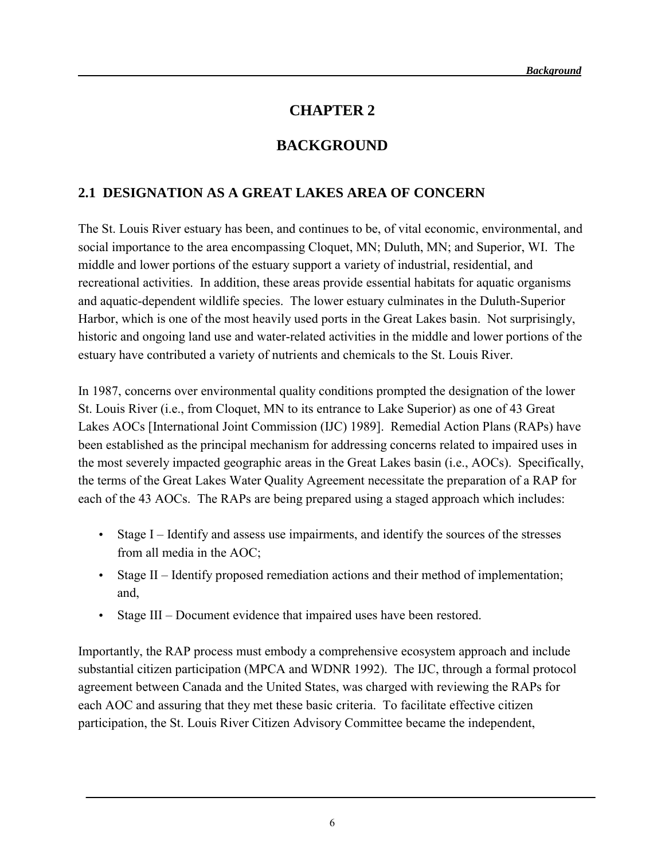#### **CHAPTER 2**

## **BACKGROUND**

#### **2.1 DESIGNATION AS A GREAT LAKES AREA OF CONCERN**

The St. Louis River estuary has been, and continues to be, of vital economic, environmental, and social importance to the area encompassing Cloquet, MN; Duluth, MN; and Superior, WI. The middle and lower portions of the estuary support a variety of industrial, residential, and recreational activities. In addition, these areas provide essential habitats for aquatic organisms and aquatic-dependent wildlife species. The lower estuary culminates in the Duluth-Superior Harbor, which is one of the most heavily used ports in the Great Lakes basin. Not surprisingly, historic and ongoing land use and water-related activities in the middle and lower portions of the estuary have contributed a variety of nutrients and chemicals to the St. Louis River.

In 1987, concerns over environmental quality conditions prompted the designation of the lower St. Louis River (i.e., from Cloquet, MN to its entrance to Lake Superior) as one of 43 Great Lakes AOCs [International Joint Commission (IJC) 1989]. Remedial Action Plans (RAPs) have been established as the principal mechanism for addressing concerns related to impaired uses in the most severely impacted geographic areas in the Great Lakes basin (i.e., AOCs). Specifically, the terms of the Great Lakes Water Quality Agreement necessitate the preparation of a RAP for each of the 43 AOCs. The RAPs are being prepared using a staged approach which includes:

- Stage I Identify and assess use impairments, and identify the sources of the stresses from all media in the AOC;
- Stage II Identify proposed remediation actions and their method of implementation; and,
- Stage III Document evidence that impaired uses have been restored.

Importantly, the RAP process must embody a comprehensive ecosystem approach and include substantial citizen participation (MPCA and WDNR 1992). The IJC, through a formal protocol agreement between Canada and the United States, was charged with reviewing the RAPs for each AOC and assuring that they met these basic criteria. To facilitate effective citizen participation, the St. Louis River Citizen Advisory Committee became the independent,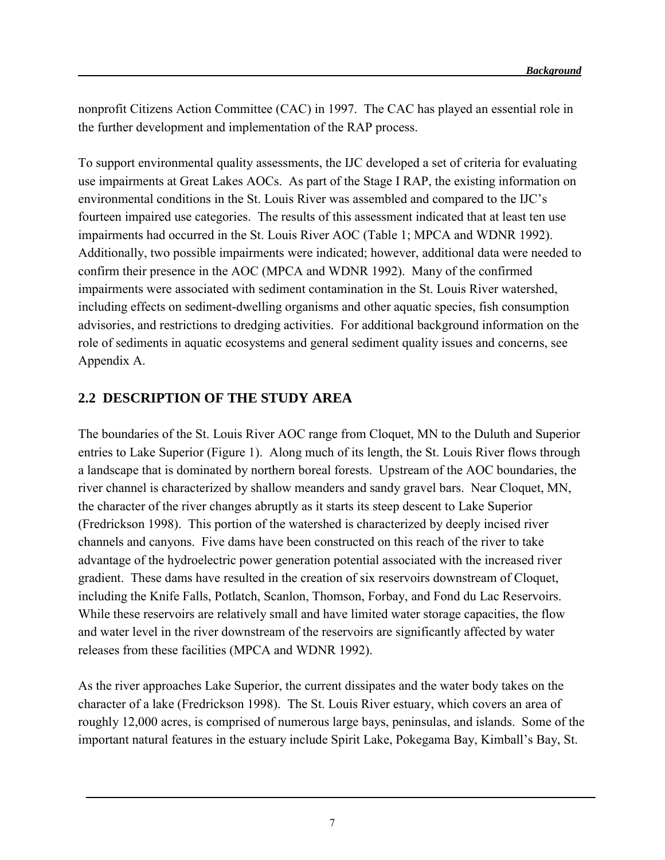nonprofit Citizens Action Committee (CAC) in 1997. The CAC has played an essential role in the further development and implementation of the RAP process.

To support environmental quality assessments, the IJC developed a set of criteria for evaluating use impairments at Great Lakes AOCs. As part of the Stage I RAP, the existing information on environmental conditions in the St. Louis River was assembled and compared to the IJC's fourteen impaired use categories. The results of this assessment indicated that at least ten use impairments had occurred in the St. Louis River AOC (Table 1; MPCA and WDNR 1992). Additionally, two possible impairments were indicated; however, additional data were needed to confirm their presence in the AOC (MPCA and WDNR 1992). Many of the confirmed impairments were associated with sediment contamination in the St. Louis River watershed, including effects on sediment-dwelling organisms and other aquatic species, fish consumption advisories, and restrictions to dredging activities. For additional background information on the role of sediments in aquatic ecosystems and general sediment quality issues and concerns, see Appendix A.

#### **2.2 DESCRIPTION OF THE STUDY AREA**

The boundaries of the St. Louis River AOC range from Cloquet, MN to the Duluth and Superior entries to Lake Superior (Figure 1). Along much of its length, the St. Louis River flows through a landscape that is dominated by northern boreal forests. Upstream of the AOC boundaries, the river channel is characterized by shallow meanders and sandy gravel bars. Near Cloquet, MN, the character of the river changes abruptly as it starts its steep descent to Lake Superior (Fredrickson 1998). This portion of the watershed is characterized by deeply incised river channels and canyons. Five dams have been constructed on this reach of the river to take advantage of the hydroelectric power generation potential associated with the increased river gradient. These dams have resulted in the creation of six reservoirs downstream of Cloquet, including the Knife Falls, Potlatch, Scanlon, Thomson, Forbay, and Fond du Lac Reservoirs. While these reservoirs are relatively small and have limited water storage capacities, the flow and water level in the river downstream of the reservoirs are significantly affected by water releases from these facilities (MPCA and WDNR 1992).

As the river approaches Lake Superior, the current dissipates and the water body takes on the character of a lake (Fredrickson 1998). The St. Louis River estuary, which covers an area of roughly 12,000 acres, is comprised of numerous large bays, peninsulas, and islands. Some of the important natural features in the estuary include Spirit Lake, Pokegama Bay, Kimball's Bay, St.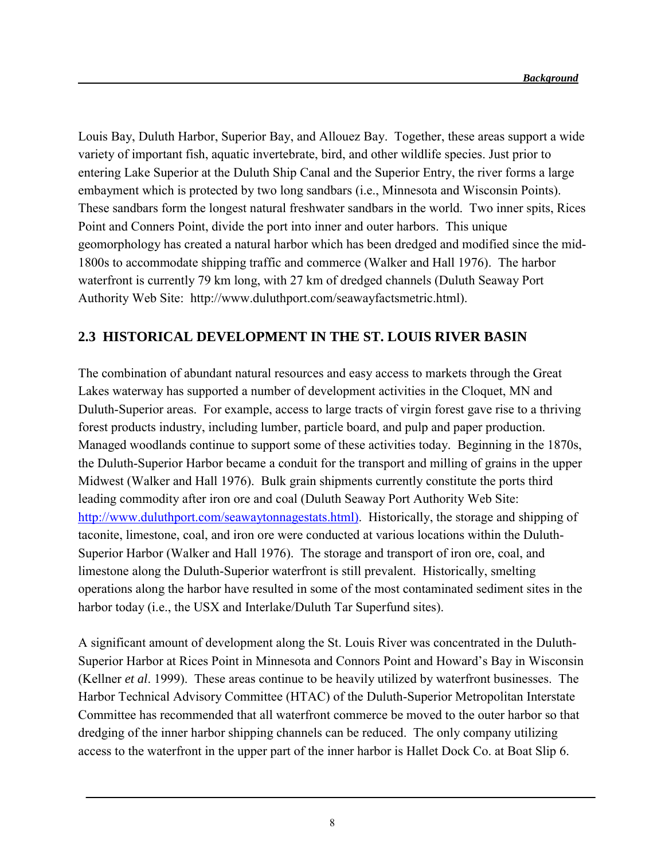Louis Bay, Duluth Harbor, Superior Bay, and Allouez Bay. Together, these areas support a wide variety of important fish, aquatic invertebrate, bird, and other wildlife species. Just prior to entering Lake Superior at the Duluth Ship Canal and the Superior Entry, the river forms a large embayment which is protected by two long sandbars (i.e., Minnesota and Wisconsin Points). These sandbars form the longest natural freshwater sandbars in the world. Two inner spits, Rices Point and Conners Point, divide the port into inner and outer harbors. This unique geomorphology has created a natural harbor which has been dredged and modified since the mid-1800s to accommodate shipping traffic and commerce (Walker and Hall 1976). The harbor waterfront is currently 79 km long, with 27 km of dredged channels (Duluth Seaway Port Authority Web Site: http://www.duluthport.com/seawayfactsmetric.html).

#### **2.3 HISTORICAL DEVELOPMENT IN THE ST. LOUIS RIVER BASIN**

The combination of abundant natural resources and easy access to markets through the Great Lakes waterway has supported a number of development activities in the Cloquet, MN and Duluth-Superior areas. For example, access to large tracts of virgin forest gave rise to a thriving forest products industry, including lumber, particle board, and pulp and paper production. Managed woodlands continue to support some of these activities today. Beginning in the 1870s, the Duluth-Superior Harbor became a conduit for the transport and milling of grains in the upper Midwest (Walker and Hall 1976). Bulk grain shipments currently constitute the ports third leading commodity after iron ore and coal (Duluth Seaway Port Authority Web Site: [http://www.duluthport.com/seawaytonnagestats.html\).](http://www.duluthport.com/seawaytonnagestats.html)) Historically, the storage and shipping of taconite, limestone, coal, and iron ore were conducted at various locations within the Duluth-Superior Harbor (Walker and Hall 1976). The storage and transport of iron ore, coal, and limestone along the Duluth-Superior waterfront is still prevalent. Historically, smelting operations along the harbor have resulted in some of the most contaminated sediment sites in the harbor today (i.e., the USX and Interlake/Duluth Tar Superfund sites).

A significant amount of development along the St. Louis River was concentrated in the Duluth-Superior Harbor at Rices Point in Minnesota and Connors Point and Howard's Bay in Wisconsin (Kellner *et al*. 1999). These areas continue to be heavily utilized by waterfront businesses. The Harbor Technical Advisory Committee (HTAC) of the Duluth-Superior Metropolitan Interstate Committee has recommended that all waterfront commerce be moved to the outer harbor so that dredging of the inner harbor shipping channels can be reduced. The only company utilizing access to the waterfront in the upper part of the inner harbor is Hallet Dock Co. at Boat Slip 6.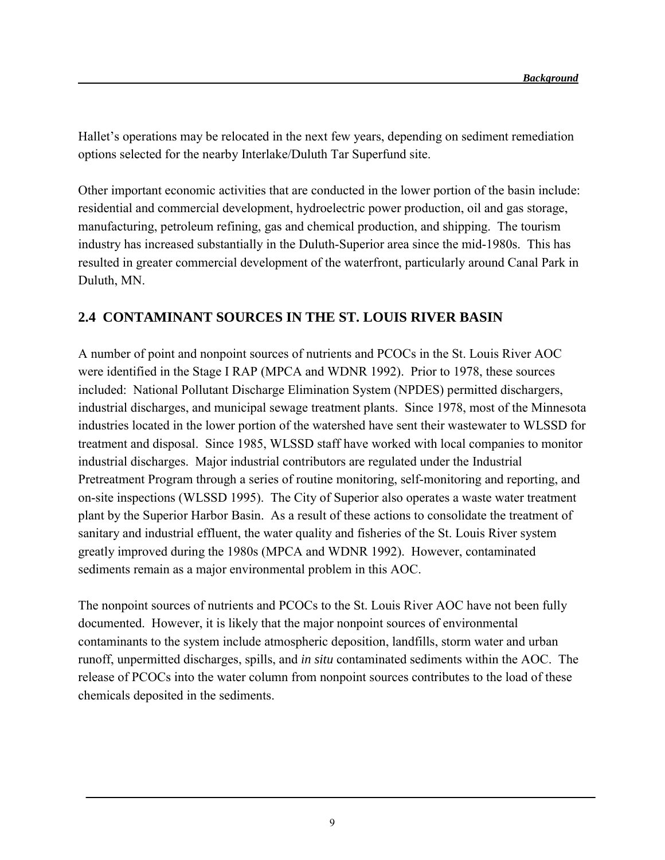Hallet's operations may be relocated in the next few years, depending on sediment remediation options selected for the nearby Interlake/Duluth Tar Superfund site.

Other important economic activities that are conducted in the lower portion of the basin include: residential and commercial development, hydroelectric power production, oil and gas storage, manufacturing, petroleum refining, gas and chemical production, and shipping. The tourism industry has increased substantially in the Duluth-Superior area since the mid-1980s. This has resulted in greater commercial development of the waterfront, particularly around Canal Park in Duluth, MN.

#### **2.4 CONTAMINANT SOURCES IN THE ST. LOUIS RIVER BASIN**

A number of point and nonpoint sources of nutrients and PCOCs in the St. Louis River AOC were identified in the Stage I RAP (MPCA and WDNR 1992). Prior to 1978, these sources included: National Pollutant Discharge Elimination System (NPDES) permitted dischargers, industrial discharges, and municipal sewage treatment plants. Since 1978, most of the Minnesota industries located in the lower portion of the watershed have sent their wastewater to WLSSD for treatment and disposal. Since 1985, WLSSD staff have worked with local companies to monitor industrial discharges. Major industrial contributors are regulated under the Industrial Pretreatment Program through a series of routine monitoring, self-monitoring and reporting, and on-site inspections (WLSSD 1995). The City of Superior also operates a waste water treatment plant by the Superior Harbor Basin. As a result of these actions to consolidate the treatment of sanitary and industrial effluent, the water quality and fisheries of the St. Louis River system greatly improved during the 1980s (MPCA and WDNR 1992). However, contaminated sediments remain as a major environmental problem in this AOC.

The nonpoint sources of nutrients and PCOCs to the St. Louis River AOC have not been fully documented. However, it is likely that the major nonpoint sources of environmental contaminants to the system include atmospheric deposition, landfills, storm water and urban runoff, unpermitted discharges, spills, and *in situ* contaminated sediments within the AOC. The release of PCOCs into the water column from nonpoint sources contributes to the load of these chemicals deposited in the sediments.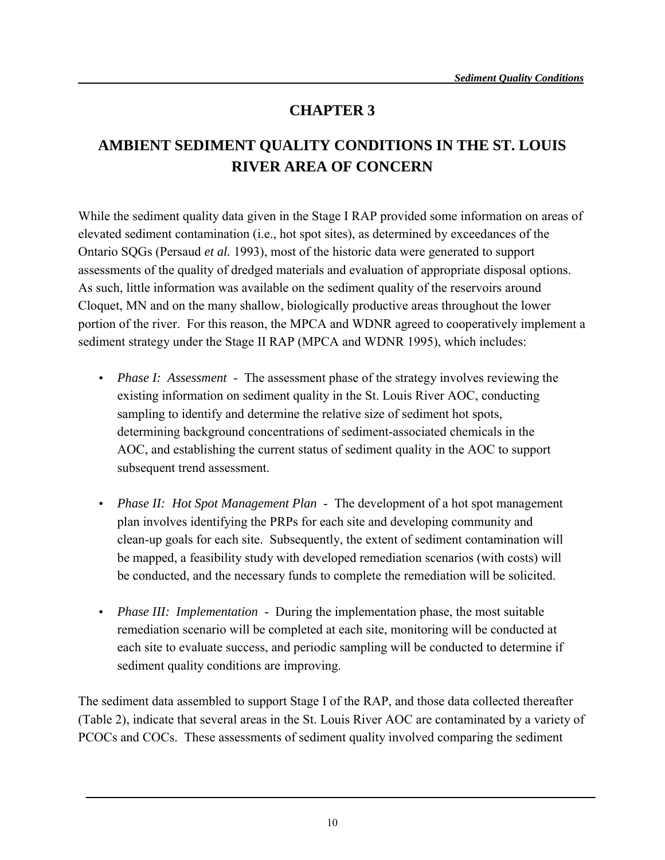## **CHAPTER 3**

# **AMBIENT SEDIMENT QUALITY CONDITIONS IN THE ST. LOUIS RIVER AREA OF CONCERN**

While the sediment quality data given in the Stage I RAP provided some information on areas of elevated sediment contamination (i.e., hot spot sites), as determined by exceedances of the Ontario SQGs (Persaud *et al.* 1993), most of the historic data were generated to support assessments of the quality of dredged materials and evaluation of appropriate disposal options. As such, little information was available on the sediment quality of the reservoirs around Cloquet, MN and on the many shallow, biologically productive areas throughout the lower portion of the river. For this reason, the MPCA and WDNR agreed to cooperatively implement a sediment strategy under the Stage II RAP (MPCA and WDNR 1995), which includes:

- *Phase I: Assessment* The assessment phase of the strategy involves reviewing the existing information on sediment quality in the St. Louis River AOC, conducting sampling to identify and determine the relative size of sediment hot spots, determining background concentrations of sediment-associated chemicals in the AOC, and establishing the current status of sediment quality in the AOC to support subsequent trend assessment.
- *Phase II: Hot Spot Management Plan* The development of a hot spot management plan involves identifying the PRPs for each site and developing community and clean-up goals for each site. Subsequently, the extent of sediment contamination will be mapped, a feasibility study with developed remediation scenarios (with costs) will be conducted, and the necessary funds to complete the remediation will be solicited.
- *Phase III: Implementation* During the implementation phase, the most suitable remediation scenario will be completed at each site, monitoring will be conducted at each site to evaluate success, and periodic sampling will be conducted to determine if sediment quality conditions are improving.

The sediment data assembled to support Stage I of the RAP, and those data collected thereafter (Table 2), indicate that several areas in the St. Louis River AOC are contaminated by a variety of PCOCs and COCs. These assessments of sediment quality involved comparing the sediment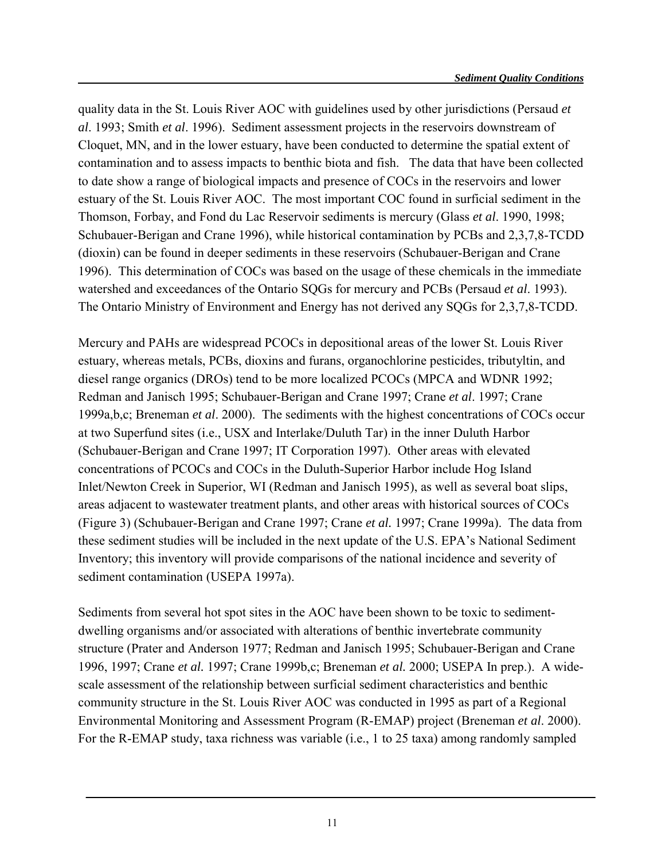quality data in the St. Louis River AOC with guidelines used by other jurisdictions (Persaud *et al*. 1993; Smith *et al*. 1996). Sediment assessment projects in the reservoirs downstream of Cloquet, MN, and in the lower estuary, have been conducted to determine the spatial extent of contamination and to assess impacts to benthic biota and fish. The data that have been collected to date show a range of biological impacts and presence of COCs in the reservoirs and lower estuary of the St. Louis River AOC. The most important COC found in surficial sediment in the Thomson, Forbay, and Fond du Lac Reservoir sediments is mercury (Glass *et al*. 1990, 1998; Schubauer-Berigan and Crane 1996), while historical contamination by PCBs and 2,3,7,8-TCDD (dioxin) can be found in deeper sediments in these reservoirs (Schubauer-Berigan and Crane 1996). This determination of COCs was based on the usage of these chemicals in the immediate watershed and exceedances of the Ontario SQGs for mercury and PCBs (Persaud *et al*. 1993). The Ontario Ministry of Environment and Energy has not derived any SQGs for 2,3,7,8-TCDD.

Mercury and PAHs are widespread PCOCs in depositional areas of the lower St. Louis River estuary, whereas metals, PCBs, dioxins and furans, organochlorine pesticides, tributyltin, and diesel range organics (DROs) tend to be more localized PCOCs (MPCA and WDNR 1992; Redman and Janisch 1995; Schubauer-Berigan and Crane 1997; Crane *et al*. 1997; Crane 1999a,b,c; Breneman *et al*. 2000). The sediments with the highest concentrations of COCs occur at two Superfund sites (i.e., USX and Interlake/Duluth Tar) in the inner Duluth Harbor (Schubauer-Berigan and Crane 1997; IT Corporation 1997). Other areas with elevated concentrations of PCOCs and COCs in the Duluth-Superior Harbor include Hog Island Inlet/Newton Creek in Superior, WI (Redman and Janisch 1995), as well as several boat slips, areas adjacent to wastewater treatment plants, and other areas with historical sources of COCs (Figure 3) (Schubauer-Berigan and Crane 1997; Crane *et al.* 1997; Crane 1999a). The data from these sediment studies will be included in the next update of the U.S. EPA's National Sediment Inventory; this inventory will provide comparisons of the national incidence and severity of sediment contamination (USEPA 1997a).

Sediments from several hot spot sites in the AOC have been shown to be toxic to sedimentdwelling organisms and/or associated with alterations of benthic invertebrate community structure (Prater and Anderson 1977; Redman and Janisch 1995; Schubauer-Berigan and Crane 1996, 1997; Crane *et al.* 1997; Crane 1999b,c; Breneman *et al.* 2000; USEPA In prep.). A widescale assessment of the relationship between surficial sediment characteristics and benthic community structure in the St. Louis River AOC was conducted in 1995 as part of a Regional Environmental Monitoring and Assessment Program (R-EMAP) project (Breneman *et al*. 2000). For the R-EMAP study, taxa richness was variable (i.e., 1 to 25 taxa) among randomly sampled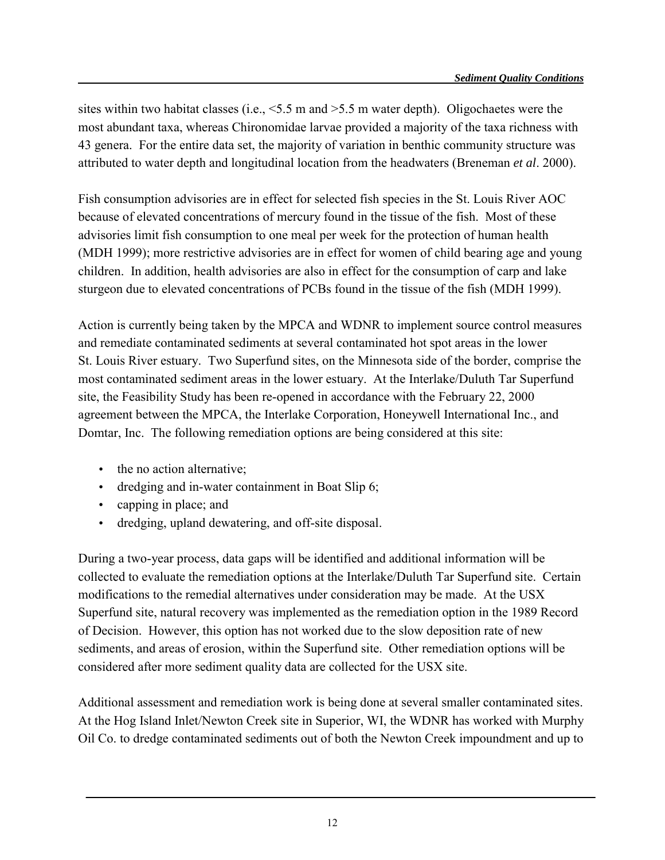sites within two habitat classes (i.e.,  $\leq 5.5$  m and  $\geq 5.5$  m water depth). Oligochaetes were the most abundant taxa, whereas Chironomidae larvae provided a majority of the taxa richness with 43 genera. For the entire data set, the majority of variation in benthic community structure was attributed to water depth and longitudinal location from the headwaters (Breneman *et al*. 2000).

Fish consumption advisories are in effect for selected fish species in the St. Louis River AOC because of elevated concentrations of mercury found in the tissue of the fish. Most of these advisories limit fish consumption to one meal per week for the protection of human health (MDH 1999); more restrictive advisories are in effect for women of child bearing age and young children. In addition, health advisories are also in effect for the consumption of carp and lake sturgeon due to elevated concentrations of PCBs found in the tissue of the fish (MDH 1999).

Action is currently being taken by the MPCA and WDNR to implement source control measures and remediate contaminated sediments at several contaminated hot spot areas in the lower St. Louis River estuary. Two Superfund sites, on the Minnesota side of the border, comprise the most contaminated sediment areas in the lower estuary. At the Interlake/Duluth Tar Superfund site, the Feasibility Study has been re-opened in accordance with the February 22, 2000 agreement between the MPCA, the Interlake Corporation, Honeywell International Inc., and Domtar, Inc. The following remediation options are being considered at this site:

- the no action alternative;
- dredging and in-water containment in Boat Slip 6;
- capping in place; and
- dredging, upland dewatering, and off-site disposal.

During a two-year process, data gaps will be identified and additional information will be collected to evaluate the remediation options at the Interlake/Duluth Tar Superfund site. Certain modifications to the remedial alternatives under consideration may be made. At the USX Superfund site, natural recovery was implemented as the remediation option in the 1989 Record of Decision. However, this option has not worked due to the slow deposition rate of new sediments, and areas of erosion, within the Superfund site. Other remediation options will be considered after more sediment quality data are collected for the USX site.

Additional assessment and remediation work is being done at several smaller contaminated sites. At the Hog Island Inlet/Newton Creek site in Superior, WI, the WDNR has worked with Murphy Oil Co. to dredge contaminated sediments out of both the Newton Creek impoundment and up to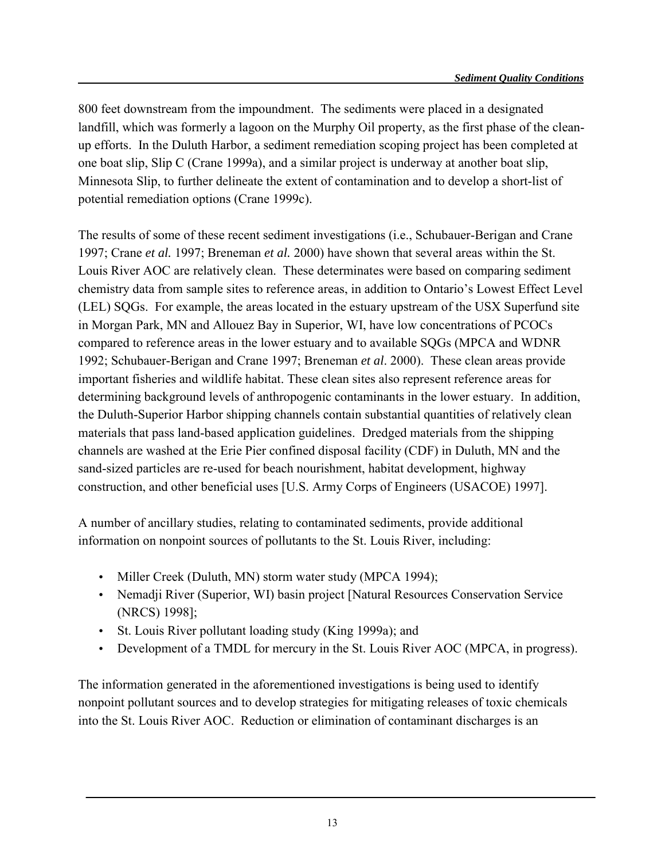800 feet downstream from the impoundment. The sediments were placed in a designated landfill, which was formerly a lagoon on the Murphy Oil property, as the first phase of the cleanup efforts. In the Duluth Harbor, a sediment remediation scoping project has been completed at one boat slip, Slip C (Crane 1999a), and a similar project is underway at another boat slip, Minnesota Slip, to further delineate the extent of contamination and to develop a short-list of potential remediation options (Crane 1999c).

The results of some of these recent sediment investigations (i.e., Schubauer-Berigan and Crane 1997; Crane *et al.* 1997; Breneman *et al.* 2000) have shown that several areas within the St. Louis River AOC are relatively clean. These determinates were based on comparing sediment chemistry data from sample sites to reference areas, in addition to Ontario's Lowest Effect Level (LEL) SQGs. For example, the areas located in the estuary upstream of the USX Superfund site in Morgan Park, MN and Allouez Bay in Superior, WI, have low concentrations of PCOCs compared to reference areas in the lower estuary and to available SQGs (MPCA and WDNR 1992; Schubauer-Berigan and Crane 1997; Breneman *et al*. 2000). These clean areas provide important fisheries and wildlife habitat. These clean sites also represent reference areas for determining background levels of anthropogenic contaminants in the lower estuary. In addition, the Duluth-Superior Harbor shipping channels contain substantial quantities of relatively clean materials that pass land-based application guidelines. Dredged materials from the shipping channels are washed at the Erie Pier confined disposal facility (CDF) in Duluth, MN and the sand-sized particles are re-used for beach nourishment, habitat development, highway construction, and other beneficial uses [U.S. Army Corps of Engineers (USACOE) 1997].

A number of ancillary studies, relating to contaminated sediments, provide additional information on nonpoint sources of pollutants to the St. Louis River, including:

- Miller Creek (Duluth, MN) storm water study (MPCA 1994);
- Nemadji River (Superior, WI) basin project [Natural Resources Conservation Service (NRCS) 1998];
- St. Louis River pollutant loading study (King 1999a); and
- Development of a TMDL for mercury in the St. Louis River AOC (MPCA, in progress).

The information generated in the aforementioned investigations is being used to identify nonpoint pollutant sources and to develop strategies for mitigating releases of toxic chemicals into the St. Louis River AOC. Reduction or elimination of contaminant discharges is an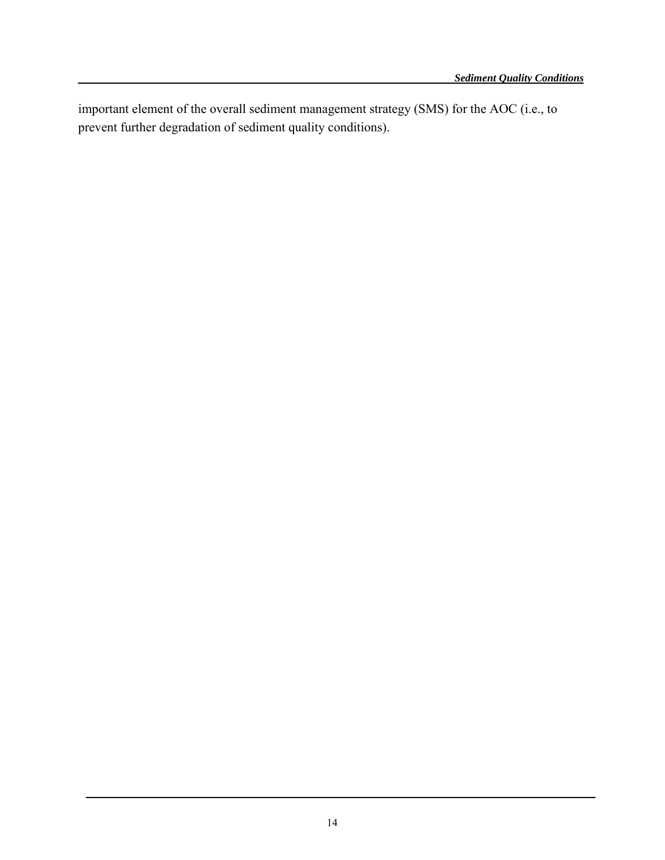important element of the overall sediment management strategy (SMS) for the AOC (i.e., to prevent further degradation of sediment quality conditions).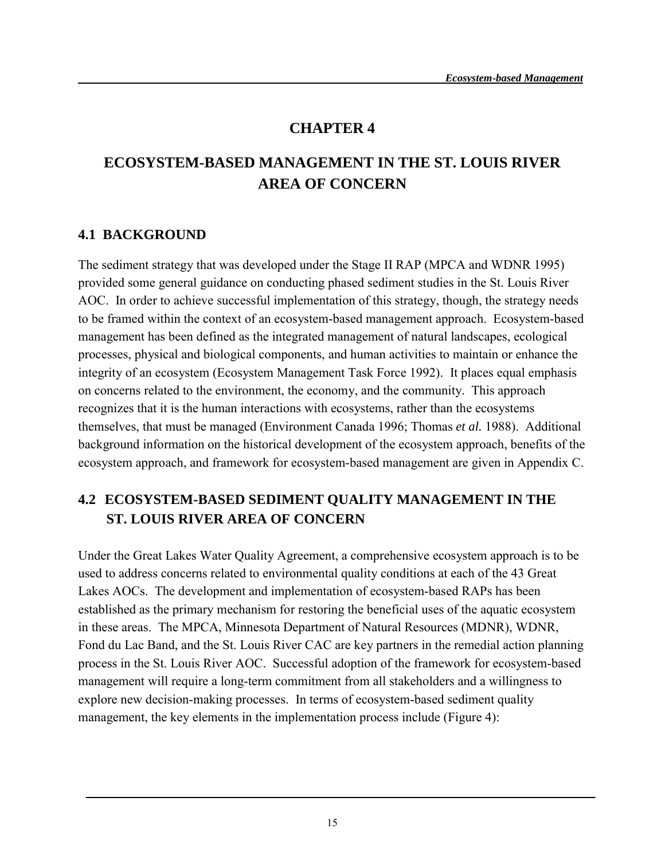#### **CHAPTER 4**

## **ECOSYSTEM-BASED MANAGEMENT IN THE ST. LOUIS RIVER AREA OF CONCERN**

#### **4.1 BACKGROUND**

The sediment strategy that was developed under the Stage II RAP (MPCA and WDNR 1995) provided some general guidance on conducting phased sediment studies in the St. Louis River AOC. In order to achieve successful implementation of this strategy, though, the strategy needs to be framed within the context of an ecosystem-based management approach. Ecosystem-based management has been defined as the integrated management of natural landscapes, ecological processes, physical and biological components, and human activities to maintain or enhance the integrity of an ecosystem (Ecosystem Management Task Force 1992). It places equal emphasis on concerns related to the environment, the economy, and the community. This approach recognizes that it is the human interactions with ecosystems, rather than the ecosystems themselves, that must be managed (Environment Canada 1996; Thomas *et al.* 1988). Additional background information on the historical development of the ecosystem approach, benefits of the ecosystem approach, and framework for ecosystem-based management are given in Appendix C.

## **4.2 ECOSYSTEM-BASED SEDIMENT QUALITY MANAGEMENT IN THE ST. LOUIS RIVER AREA OF CONCERN**

Under the Great Lakes Water Quality Agreement, a comprehensive ecosystem approach is to be used to address concerns related to environmental quality conditions at each of the 43 Great Lakes AOCs. The development and implementation of ecosystem-based RAPs has been established as the primary mechanism for restoring the beneficial uses of the aquatic ecosystem in these areas. The MPCA, Minnesota Department of Natural Resources (MDNR), WDNR, Fond du Lac Band, and the St. Louis River CAC are key partners in the remedial action planning process in the St. Louis River AOC. Successful adoption of the framework for ecosystem-based management will require a long-term commitment from all stakeholders and a willingness to explore new decision-making processes. In terms of ecosystem-based sediment quality management, the key elements in the implementation process include (Figure 4):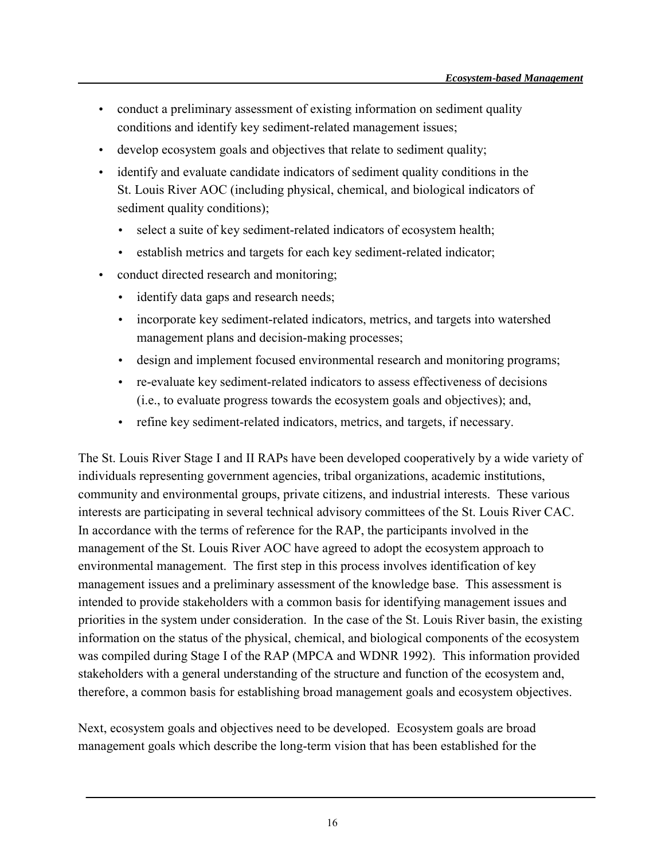- conduct a preliminary assessment of existing information on sediment quality conditions and identify key sediment-related management issues;
- develop ecosystem goals and objectives that relate to sediment quality;
- identify and evaluate candidate indicators of sediment quality conditions in the St. Louis River AOC (including physical, chemical, and biological indicators of sediment quality conditions);
	- select a suite of key sediment-related indicators of ecosystem health;
	- establish metrics and targets for each key sediment-related indicator;
- conduct directed research and monitoring;
	- identify data gaps and research needs;
	- incorporate key sediment-related indicators, metrics, and targets into watershed management plans and decision-making processes;
	- design and implement focused environmental research and monitoring programs;
	- re-evaluate key sediment-related indicators to assess effectiveness of decisions (i.e., to evaluate progress towards the ecosystem goals and objectives); and,
	- refine key sediment-related indicators, metrics, and targets, if necessary.

The St. Louis River Stage I and II RAPs have been developed cooperatively by a wide variety of individuals representing government agencies, tribal organizations, academic institutions, community and environmental groups, private citizens, and industrial interests. These various interests are participating in several technical advisory committees of the St. Louis River CAC. In accordance with the terms of reference for the RAP, the participants involved in the management of the St. Louis River AOC have agreed to adopt the ecosystem approach to environmental management. The first step in this process involves identification of key management issues and a preliminary assessment of the knowledge base. This assessment is intended to provide stakeholders with a common basis for identifying management issues and priorities in the system under consideration. In the case of the St. Louis River basin, the existing information on the status of the physical, chemical, and biological components of the ecosystem was compiled during Stage I of the RAP (MPCA and WDNR 1992). This information provided stakeholders with a general understanding of the structure and function of the ecosystem and, therefore, a common basis for establishing broad management goals and ecosystem objectives.

Next, ecosystem goals and objectives need to be developed. Ecosystem goals are broad management goals which describe the long-term vision that has been established for the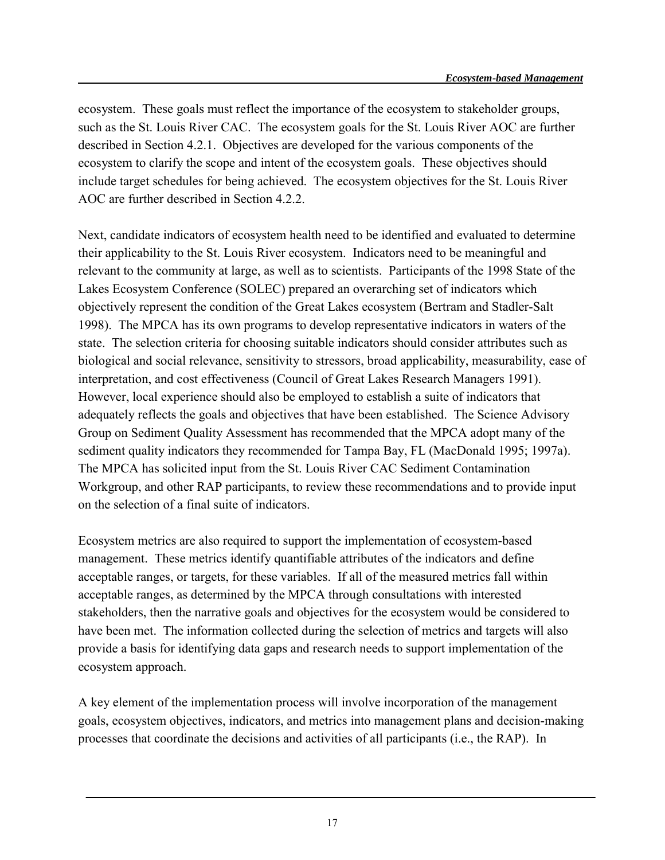ecosystem. These goals must reflect the importance of the ecosystem to stakeholder groups, such as the St. Louis River CAC. The ecosystem goals for the St. Louis River AOC are further described in Section 4.2.1. Objectives are developed for the various components of the ecosystem to clarify the scope and intent of the ecosystem goals. These objectives should include target schedules for being achieved. The ecosystem objectives for the St. Louis River AOC are further described in Section 4.2.2.

Next, candidate indicators of ecosystem health need to be identified and evaluated to determine their applicability to the St. Louis River ecosystem. Indicators need to be meaningful and relevant to the community at large, as well as to scientists. Participants of the 1998 State of the Lakes Ecosystem Conference (SOLEC) prepared an overarching set of indicators which objectively represent the condition of the Great Lakes ecosystem (Bertram and Stadler-Salt 1998). The MPCA has its own programs to develop representative indicators in waters of the state. The selection criteria for choosing suitable indicators should consider attributes such as biological and social relevance, sensitivity to stressors, broad applicability, measurability, ease of interpretation, and cost effectiveness (Council of Great Lakes Research Managers 1991). However, local experience should also be employed to establish a suite of indicators that adequately reflects the goals and objectives that have been established. The Science Advisory Group on Sediment Quality Assessment has recommended that the MPCA adopt many of the sediment quality indicators they recommended for Tampa Bay, FL (MacDonald 1995; 1997a). The MPCA has solicited input from the St. Louis River CAC Sediment Contamination Workgroup, and other RAP participants, to review these recommendations and to provide input on the selection of a final suite of indicators.

Ecosystem metrics are also required to support the implementation of ecosystem-based management. These metrics identify quantifiable attributes of the indicators and define acceptable ranges, or targets, for these variables. If all of the measured metrics fall within acceptable ranges, as determined by the MPCA through consultations with interested stakeholders, then the narrative goals and objectives for the ecosystem would be considered to have been met. The information collected during the selection of metrics and targets will also provide a basis for identifying data gaps and research needs to support implementation of the ecosystem approach.

A key element of the implementation process will involve incorporation of the management goals, ecosystem objectives, indicators, and metrics into management plans and decision-making processes that coordinate the decisions and activities of all participants (i.e., the RAP). In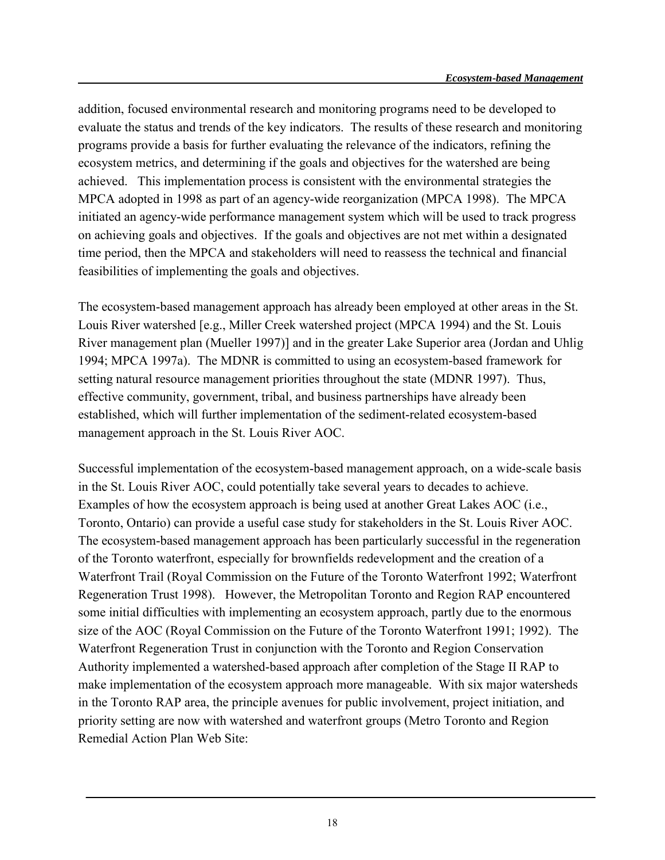addition, focused environmental research and monitoring programs need to be developed to evaluate the status and trends of the key indicators. The results of these research and monitoring programs provide a basis for further evaluating the relevance of the indicators, refining the ecosystem metrics, and determining if the goals and objectives for the watershed are being achieved. This implementation process is consistent with the environmental strategies the MPCA adopted in 1998 as part of an agency-wide reorganization (MPCA 1998). The MPCA initiated an agency-wide performance management system which will be used to track progress on achieving goals and objectives. If the goals and objectives are not met within a designated time period, then the MPCA and stakeholders will need to reassess the technical and financial feasibilities of implementing the goals and objectives.

The ecosystem-based management approach has already been employed at other areas in the St. Louis River watershed [e.g., Miller Creek watershed project (MPCA 1994) and the St. Louis River management plan (Mueller 1997)] and in the greater Lake Superior area (Jordan and Uhlig 1994; MPCA 1997a). The MDNR is committed to using an ecosystem-based framework for setting natural resource management priorities throughout the state (MDNR 1997). Thus, effective community, government, tribal, and business partnerships have already been established, which will further implementation of the sediment-related ecosystem-based management approach in the St. Louis River AOC.

Successful implementation of the ecosystem-based management approach, on a wide-scale basis in the St. Louis River AOC, could potentially take several years to decades to achieve. Examples of how the ecosystem approach is being used at another Great Lakes AOC (i.e., Toronto, Ontario) can provide a useful case study for stakeholders in the St. Louis River AOC. The ecosystem-based management approach has been particularly successful in the regeneration of the Toronto waterfront, especially for brownfields redevelopment and the creation of a Waterfront Trail (Royal Commission on the Future of the Toronto Waterfront 1992; Waterfront Regeneration Trust 1998). However, the Metropolitan Toronto and Region RAP encountered some initial difficulties with implementing an ecosystem approach, partly due to the enormous size of the AOC (Royal Commission on the Future of the Toronto Waterfront 1991; 1992). The Waterfront Regeneration Trust in conjunction with the Toronto and Region Conservation Authority implemented a watershed-based approach after completion of the Stage II RAP to make implementation of the ecosystem approach more manageable. With six major watersheds in the Toronto RAP area, the principle avenues for public involvement, project initiation, and priority setting are now with watershed and waterfront groups (Metro Toronto and Region Remedial Action Plan Web Site: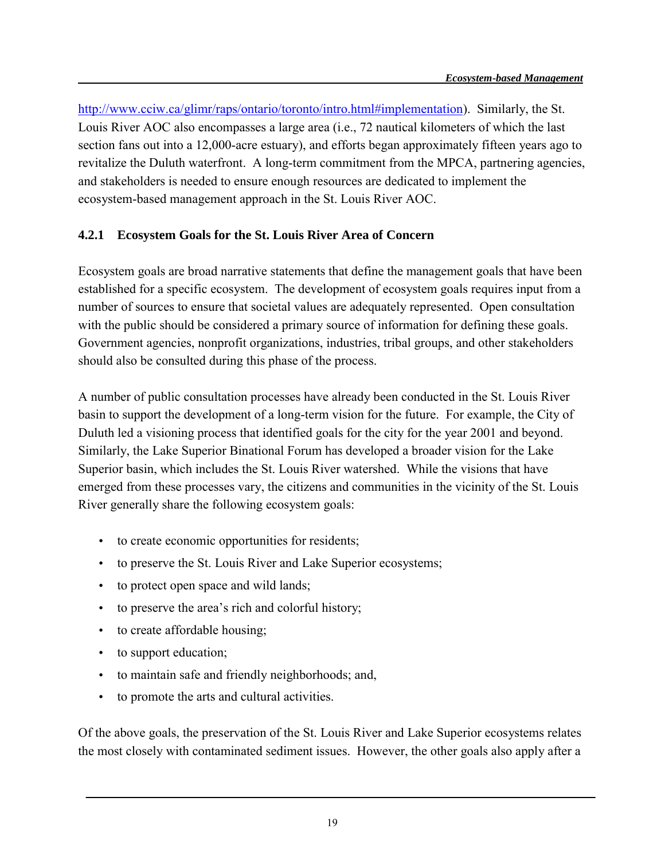[http://www.cciw.ca/glimr/raps/ontario/toronto/intro.html#implementation\)](http://www.cciw.ca/glimr/raps/ontario/toronto/intro.html#implementation). Similarly, the St. Louis River AOC also encompasses a large area (i.e., 72 nautical kilometers of which the last section fans out into a 12,000-acre estuary), and efforts began approximately fifteen years ago to revitalize the Duluth waterfront. A long-term commitment from the MPCA, partnering agencies, and stakeholders is needed to ensure enough resources are dedicated to implement the ecosystem-based management approach in the St. Louis River AOC.

#### **4.2.1 Ecosystem Goals for the St. Louis River Area of Concern**

Ecosystem goals are broad narrative statements that define the management goals that have been established for a specific ecosystem. The development of ecosystem goals requires input from a number of sources to ensure that societal values are adequately represented. Open consultation with the public should be considered a primary source of information for defining these goals. Government agencies, nonprofit organizations, industries, tribal groups, and other stakeholders should also be consulted during this phase of the process.

A number of public consultation processes have already been conducted in the St. Louis River basin to support the development of a long-term vision for the future. For example, the City of Duluth led a visioning process that identified goals for the city for the year 2001 and beyond. Similarly, the Lake Superior Binational Forum has developed a broader vision for the Lake Superior basin, which includes the St. Louis River watershed. While the visions that have emerged from these processes vary, the citizens and communities in the vicinity of the St. Louis River generally share the following ecosystem goals:

- to create economic opportunities for residents;
- to preserve the St. Louis River and Lake Superior ecosystems;
- to protect open space and wild lands;
- to preserve the area's rich and colorful history;
- to create affordable housing;
- to support education;
- to maintain safe and friendly neighborhoods; and,
- to promote the arts and cultural activities.

Of the above goals, the preservation of the St. Louis River and Lake Superior ecosystems relates the most closely with contaminated sediment issues. However, the other goals also apply after a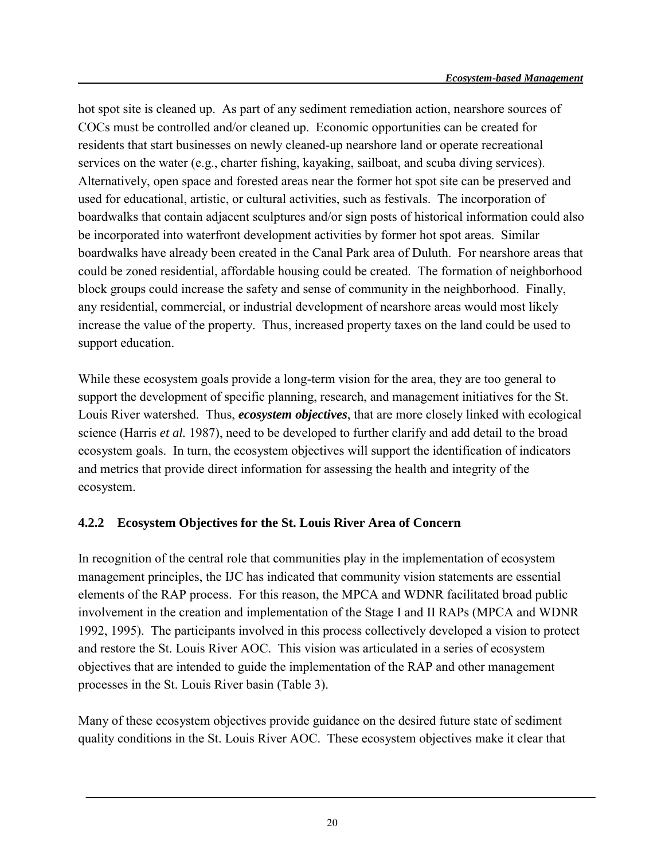hot spot site is cleaned up. As part of any sediment remediation action, nearshore sources of COCs must be controlled and/or cleaned up. Economic opportunities can be created for residents that start businesses on newly cleaned-up nearshore land or operate recreational services on the water (e.g., charter fishing, kayaking, sailboat, and scuba diving services). Alternatively, open space and forested areas near the former hot spot site can be preserved and used for educational, artistic, or cultural activities, such as festivals. The incorporation of boardwalks that contain adjacent sculptures and/or sign posts of historical information could also be incorporated into waterfront development activities by former hot spot areas. Similar boardwalks have already been created in the Canal Park area of Duluth. For nearshore areas that could be zoned residential, affordable housing could be created. The formation of neighborhood block groups could increase the safety and sense of community in the neighborhood. Finally, any residential, commercial, or industrial development of nearshore areas would most likely increase the value of the property. Thus, increased property taxes on the land could be used to support education.

While these ecosystem goals provide a long-term vision for the area, they are too general to support the development of specific planning, research, and management initiatives for the St. Louis River watershed. Thus, *ecosystem objectives*, that are more closely linked with ecological science (Harris *et al.* 1987), need to be developed to further clarify and add detail to the broad ecosystem goals. In turn, the ecosystem objectives will support the identification of indicators and metrics that provide direct information for assessing the health and integrity of the ecosystem.

#### **4.2.2 Ecosystem Objectives for the St. Louis River Area of Concern**

In recognition of the central role that communities play in the implementation of ecosystem management principles, the IJC has indicated that community vision statements are essential elements of the RAP process. For this reason, the MPCA and WDNR facilitated broad public involvement in the creation and implementation of the Stage I and II RAPs (MPCA and WDNR 1992, 1995). The participants involved in this process collectively developed a vision to protect and restore the St. Louis River AOC. This vision was articulated in a series of ecosystem objectives that are intended to guide the implementation of the RAP and other management processes in the St. Louis River basin (Table 3).

Many of these ecosystem objectives provide guidance on the desired future state of sediment quality conditions in the St. Louis River AOC. These ecosystem objectives make it clear that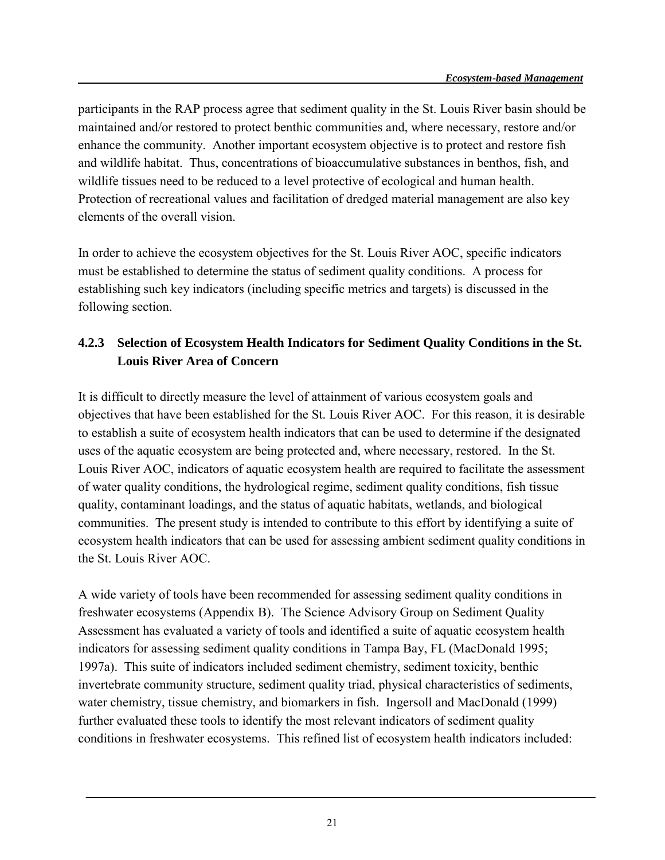participants in the RAP process agree that sediment quality in the St. Louis River basin should be maintained and/or restored to protect benthic communities and, where necessary, restore and/or enhance the community. Another important ecosystem objective is to protect and restore fish and wildlife habitat. Thus, concentrations of bioaccumulative substances in benthos, fish, and wildlife tissues need to be reduced to a level protective of ecological and human health. Protection of recreational values and facilitation of dredged material management are also key elements of the overall vision.

In order to achieve the ecosystem objectives for the St. Louis River AOC, specific indicators must be established to determine the status of sediment quality conditions. A process for establishing such key indicators (including specific metrics and targets) is discussed in the following section.

### **4.2.3 Selection of Ecosystem Health Indicators for Sediment Quality Conditions in the St. Louis River Area of Concern**

It is difficult to directly measure the level of attainment of various ecosystem goals and objectives that have been established for the St. Louis River AOC. For this reason, it is desirable to establish a suite of ecosystem health indicators that can be used to determine if the designated uses of the aquatic ecosystem are being protected and, where necessary, restored. In the St. Louis River AOC, indicators of aquatic ecosystem health are required to facilitate the assessment of water quality conditions, the hydrological regime, sediment quality conditions, fish tissue quality, contaminant loadings, and the status of aquatic habitats, wetlands, and biological communities. The present study is intended to contribute to this effort by identifying a suite of ecosystem health indicators that can be used for assessing ambient sediment quality conditions in the St. Louis River AOC.

A wide variety of tools have been recommended for assessing sediment quality conditions in freshwater ecosystems (Appendix B). The Science Advisory Group on Sediment Quality Assessment has evaluated a variety of tools and identified a suite of aquatic ecosystem health indicators for assessing sediment quality conditions in Tampa Bay, FL (MacDonald 1995; 1997a). This suite of indicators included sediment chemistry, sediment toxicity, benthic invertebrate community structure, sediment quality triad, physical characteristics of sediments, water chemistry, tissue chemistry, and biomarkers in fish. Ingersoll and MacDonald (1999) further evaluated these tools to identify the most relevant indicators of sediment quality conditions in freshwater ecosystems. This refined list of ecosystem health indicators included: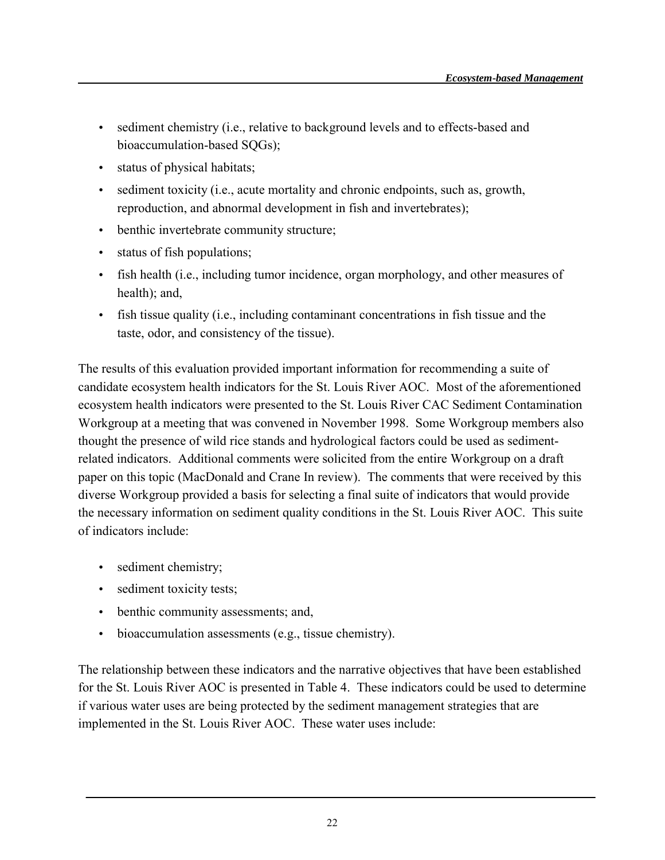- sediment chemistry (i.e., relative to background levels and to effects-based and bioaccumulation-based SQGs);
- status of physical habitats;
- sediment toxicity (i.e., acute mortality and chronic endpoints, such as, growth, reproduction, and abnormal development in fish and invertebrates);
- benthic invertebrate community structure;
- status of fish populations;
- fish health (i.e., including tumor incidence, organ morphology, and other measures of health); and,
- fish tissue quality (i.e., including contaminant concentrations in fish tissue and the taste, odor, and consistency of the tissue).

The results of this evaluation provided important information for recommending a suite of candidate ecosystem health indicators for the St. Louis River AOC. Most of the aforementioned ecosystem health indicators were presented to the St. Louis River CAC Sediment Contamination Workgroup at a meeting that was convened in November 1998. Some Workgroup members also thought the presence of wild rice stands and hydrological factors could be used as sedimentrelated indicators. Additional comments were solicited from the entire Workgroup on a draft paper on this topic (MacDonald and Crane In review). The comments that were received by this diverse Workgroup provided a basis for selecting a final suite of indicators that would provide the necessary information on sediment quality conditions in the St. Louis River AOC. This suite of indicators include:

- sediment chemistry;
- sediment toxicity tests;
- benthic community assessments; and,
- bioaccumulation assessments (e.g., tissue chemistry).

The relationship between these indicators and the narrative objectives that have been established for the St. Louis River AOC is presented in Table 4. These indicators could be used to determine if various water uses are being protected by the sediment management strategies that are implemented in the St. Louis River AOC. These water uses include: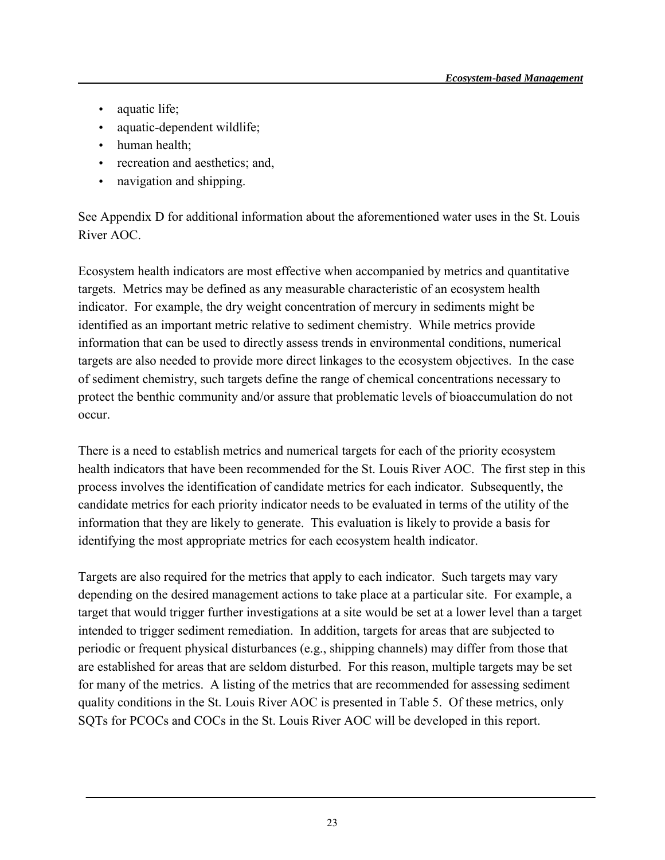- aquatic life;
- aquatic-dependent wildlife;
- human health:
- recreation and aesthetics; and,
- navigation and shipping.

See Appendix D for additional information about the aforementioned water uses in the St. Louis River AOC.

Ecosystem health indicators are most effective when accompanied by metrics and quantitative targets. Metrics may be defined as any measurable characteristic of an ecosystem health indicator. For example, the dry weight concentration of mercury in sediments might be identified as an important metric relative to sediment chemistry. While metrics provide information that can be used to directly assess trends in environmental conditions, numerical targets are also needed to provide more direct linkages to the ecosystem objectives. In the case of sediment chemistry, such targets define the range of chemical concentrations necessary to protect the benthic community and/or assure that problematic levels of bioaccumulation do not occur.

There is a need to establish metrics and numerical targets for each of the priority ecosystem health indicators that have been recommended for the St. Louis River AOC. The first step in this process involves the identification of candidate metrics for each indicator. Subsequently, the candidate metrics for each priority indicator needs to be evaluated in terms of the utility of the information that they are likely to generate. This evaluation is likely to provide a basis for identifying the most appropriate metrics for each ecosystem health indicator.

Targets are also required for the metrics that apply to each indicator. Such targets may vary depending on the desired management actions to take place at a particular site. For example, a target that would trigger further investigations at a site would be set at a lower level than a target intended to trigger sediment remediation. In addition, targets for areas that are subjected to periodic or frequent physical disturbances (e.g., shipping channels) may differ from those that are established for areas that are seldom disturbed. For this reason, multiple targets may be set for many of the metrics. A listing of the metrics that are recommended for assessing sediment quality conditions in the St. Louis River AOC is presented in Table 5. Of these metrics, only SQTs for PCOCs and COCs in the St. Louis River AOC will be developed in this report.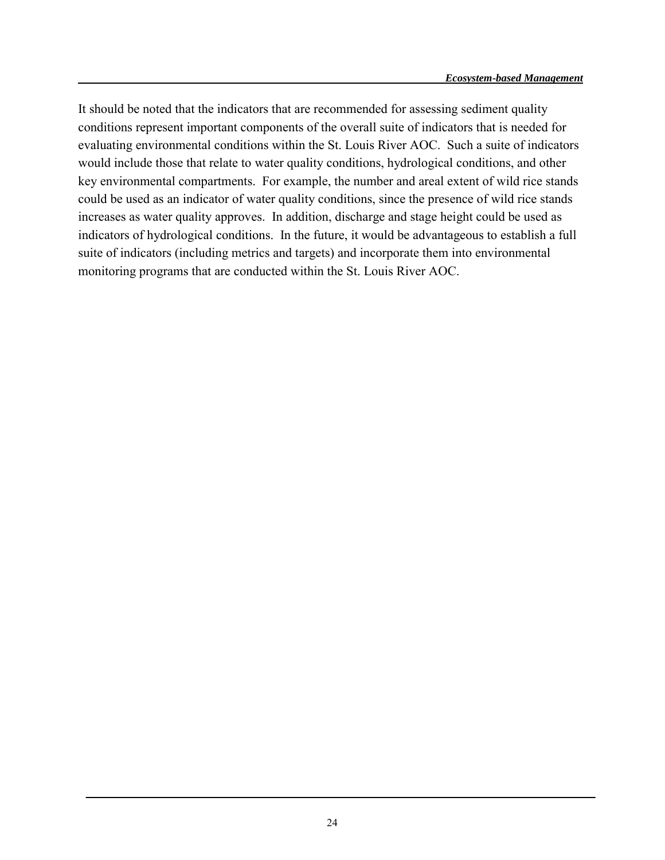It should be noted that the indicators that are recommended for assessing sediment quality conditions represent important components of the overall suite of indicators that is needed for evaluating environmental conditions within the St. Louis River AOC. Such a suite of indicators would include those that relate to water quality conditions, hydrological conditions, and other key environmental compartments. For example, the number and areal extent of wild rice stands could be used as an indicator of water quality conditions, since the presence of wild rice stands increases as water quality approves. In addition, discharge and stage height could be used as indicators of hydrological conditions. In the future, it would be advantageous to establish a full suite of indicators (including metrics and targets) and incorporate them into environmental monitoring programs that are conducted within the St. Louis River AOC.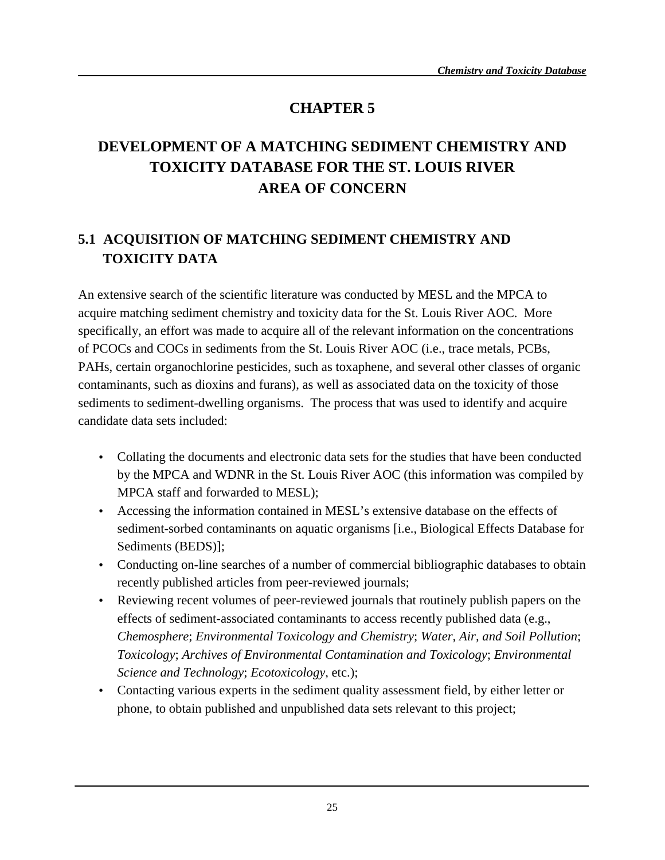### **CHAPTER 5**

# **DEVELOPMENT OF A MATCHING SEDIMENT CHEMISTRY AND TOXICITY DATABASE FOR THE ST. LOUIS RIVER AREA OF CONCERN**

# **5.1 ACQUISITION OF MATCHING SEDIMENT CHEMISTRY AND TOXICITY DATA**

An extensive search of the scientific literature was conducted by MESL and the MPCA to acquire matching sediment chemistry and toxicity data for the St. Louis River AOC. More specifically, an effort was made to acquire all of the relevant information on the concentrations of PCOCs and COCs in sediments from the St. Louis River AOC (i.e., trace metals, PCBs, PAHs, certain organochlorine pesticides, such as toxaphene, and several other classes of organic contaminants, such as dioxins and furans), as well as associated data on the toxicity of those sediments to sediment-dwelling organisms. The process that was used to identify and acquire candidate data sets included:

- Collating the documents and electronic data sets for the studies that have been conducted by the MPCA and WDNR in the St. Louis River AOC (this information was compiled by MPCA staff and forwarded to MESL);
- Accessing the information contained in MESL's extensive database on the effects of sediment-sorbed contaminants on aquatic organisms [i.e., Biological Effects Database for Sediments (BEDS)];
- Conducting on-line searches of a number of commercial bibliographic databases to obtain recently published articles from peer-reviewed journals;
- Reviewing recent volumes of peer-reviewed journals that routinely publish papers on the effects of sediment-associated contaminants to access recently published data (e.g., *Chemosphere*; *Environmental Toxicology and Chemistry*; *Water, Air, and Soil Pollution*; *Toxicology*; *Archives of Environmental Contamination and Toxicology*; *Environmental Science and Technology*; *Ecotoxicology*, etc.);
- Contacting various experts in the sediment quality assessment field, by either letter or phone, to obtain published and unpublished data sets relevant to this project;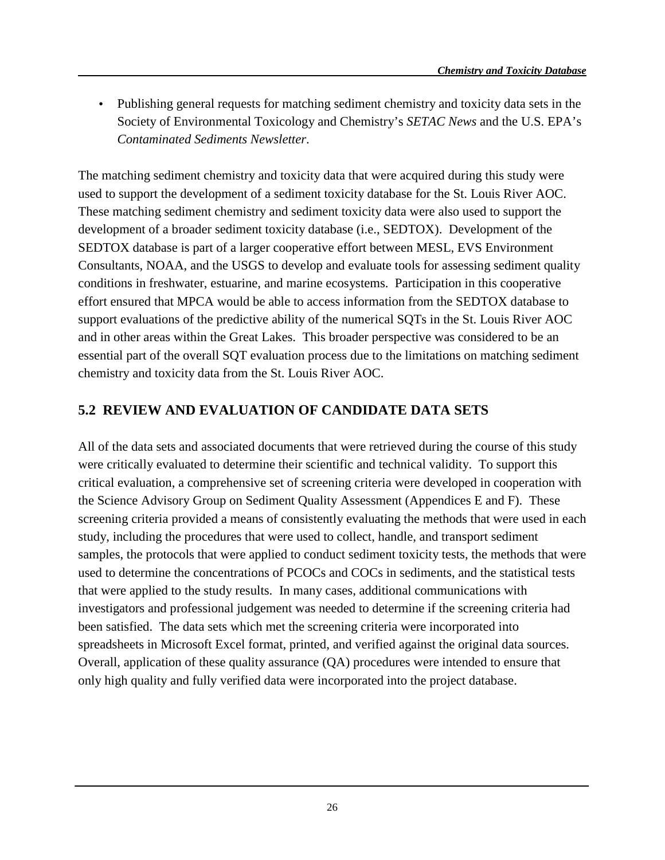• Publishing general requests for matching sediment chemistry and toxicity data sets in the Society of Environmental Toxicology and Chemistry's *SETAC News* and the U.S. EPA's *Contaminated Sediments Newsletter*.

The matching sediment chemistry and toxicity data that were acquired during this study were used to support the development of a sediment toxicity database for the St. Louis River AOC. These matching sediment chemistry and sediment toxicity data were also used to support the development of a broader sediment toxicity database (i.e., SEDTOX). Development of the SEDTOX database is part of a larger cooperative effort between MESL, EVS Environment Consultants, NOAA, and the USGS to develop and evaluate tools for assessing sediment quality conditions in freshwater, estuarine, and marine ecosystems. Participation in this cooperative effort ensured that MPCA would be able to access information from the SEDTOX database to support evaluations of the predictive ability of the numerical SQTs in the St. Louis River AOC and in other areas within the Great Lakes. This broader perspective was considered to be an essential part of the overall SQT evaluation process due to the limitations on matching sediment chemistry and toxicity data from the St. Louis River AOC.

#### **5.2 REVIEW AND EVALUATION OF CANDIDATE DATA SETS**

All of the data sets and associated documents that were retrieved during the course of this study were critically evaluated to determine their scientific and technical validity. To support this critical evaluation, a comprehensive set of screening criteria were developed in cooperation with the Science Advisory Group on Sediment Quality Assessment (Appendices E and F). These screening criteria provided a means of consistently evaluating the methods that were used in each study, including the procedures that were used to collect, handle, and transport sediment samples, the protocols that were applied to conduct sediment toxicity tests, the methods that were used to determine the concentrations of PCOCs and COCs in sediments, and the statistical tests that were applied to the study results. In many cases, additional communications with investigators and professional judgement was needed to determine if the screening criteria had been satisfied. The data sets which met the screening criteria were incorporated into spreadsheets in Microsoft Excel format, printed, and verified against the original data sources. Overall, application of these quality assurance (QA) procedures were intended to ensure that only high quality and fully verified data were incorporated into the project database.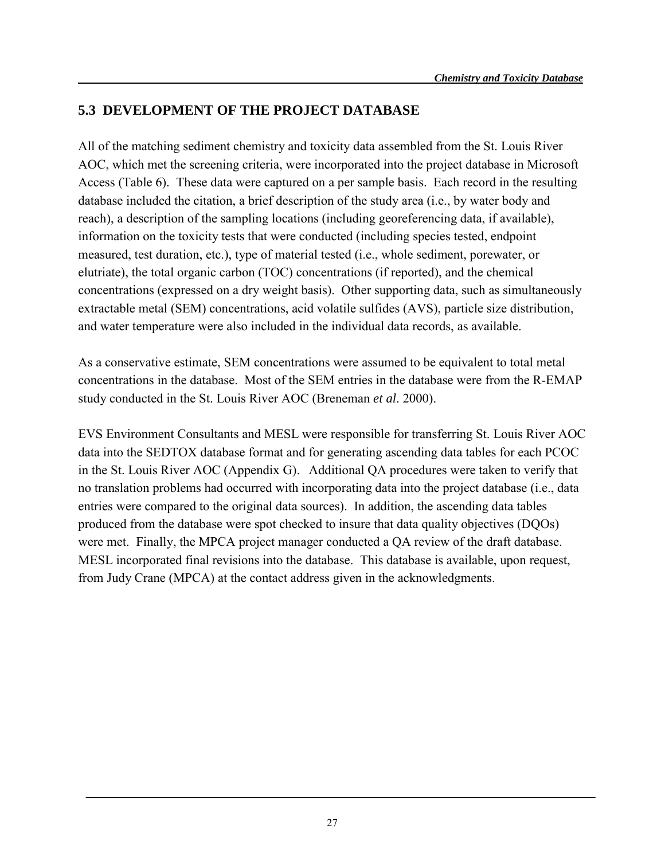### **5.3 DEVELOPMENT OF THE PROJECT DATABASE**

All of the matching sediment chemistry and toxicity data assembled from the St. Louis River AOC, which met the screening criteria, were incorporated into the project database in Microsoft Access (Table 6). These data were captured on a per sample basis. Each record in the resulting database included the citation, a brief description of the study area (i.e., by water body and reach), a description of the sampling locations (including georeferencing data, if available), information on the toxicity tests that were conducted (including species tested, endpoint measured, test duration, etc.), type of material tested (i.e., whole sediment, porewater, or elutriate), the total organic carbon (TOC) concentrations (if reported), and the chemical concentrations (expressed on a dry weight basis). Other supporting data, such as simultaneously extractable metal (SEM) concentrations, acid volatile sulfides (AVS), particle size distribution, and water temperature were also included in the individual data records, as available.

As a conservative estimate, SEM concentrations were assumed to be equivalent to total metal concentrations in the database. Most of the SEM entries in the database were from the R-EMAP study conducted in the St. Louis River AOC (Breneman *et al*. 2000).

EVS Environment Consultants and MESL were responsible for transferring St. Louis River AOC data into the SEDTOX database format and for generating ascending data tables for each PCOC in the St. Louis River AOC (Appendix G). Additional QA procedures were taken to verify that no translation problems had occurred with incorporating data into the project database (i.e., data entries were compared to the original data sources). In addition, the ascending data tables produced from the database were spot checked to insure that data quality objectives (DQOs) were met. Finally, the MPCA project manager conducted a QA review of the draft database. MESL incorporated final revisions into the database. This database is available, upon request, from Judy Crane (MPCA) at the contact address given in the acknowledgments.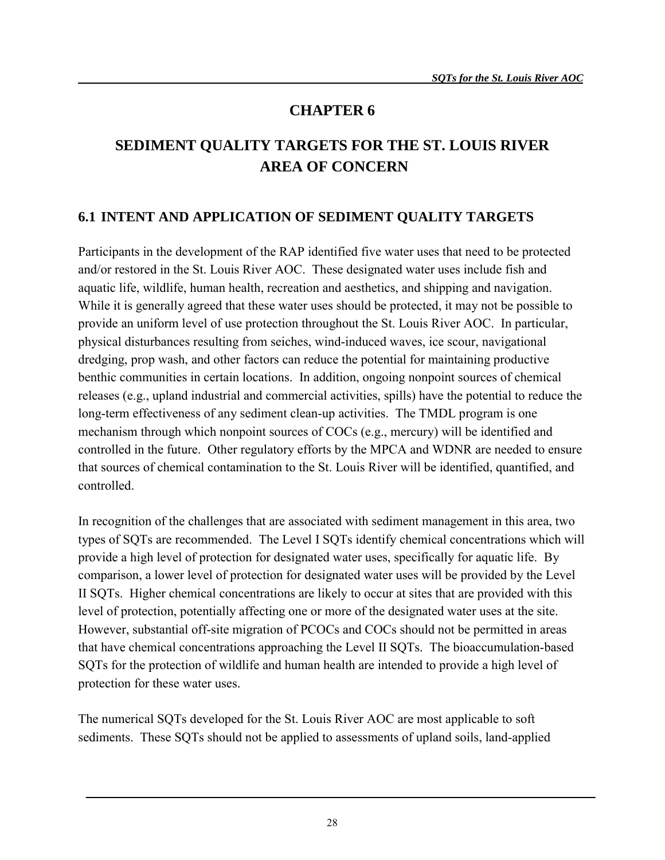### **CHAPTER 6**

# **SEDIMENT QUALITY TARGETS FOR THE ST. LOUIS RIVER AREA OF CONCERN**

### **6.1 INTENT AND APPLICATION OF SEDIMENT QUALITY TARGETS**

Participants in the development of the RAP identified five water uses that need to be protected and/or restored in the St. Louis River AOC. These designated water uses include fish and aquatic life, wildlife, human health, recreation and aesthetics, and shipping and navigation. While it is generally agreed that these water uses should be protected, it may not be possible to provide an uniform level of use protection throughout the St. Louis River AOC. In particular, physical disturbances resulting from seiches, wind-induced waves, ice scour, navigational dredging, prop wash, and other factors can reduce the potential for maintaining productive benthic communities in certain locations. In addition, ongoing nonpoint sources of chemical releases (e.g., upland industrial and commercial activities, spills) have the potential to reduce the long-term effectiveness of any sediment clean-up activities. The TMDL program is one mechanism through which nonpoint sources of COCs (e.g., mercury) will be identified and controlled in the future. Other regulatory efforts by the MPCA and WDNR are needed to ensure that sources of chemical contamination to the St. Louis River will be identified, quantified, and controlled.

In recognition of the challenges that are associated with sediment management in this area, two types of SQTs are recommended. The Level I SQTs identify chemical concentrations which will provide a high level of protection for designated water uses, specifically for aquatic life. By comparison, a lower level of protection for designated water uses will be provided by the Level II SQTs. Higher chemical concentrations are likely to occur at sites that are provided with this level of protection, potentially affecting one or more of the designated water uses at the site. However, substantial off-site migration of PCOCs and COCs should not be permitted in areas that have chemical concentrations approaching the Level II SQTs. The bioaccumulation-based SQTs for the protection of wildlife and human health are intended to provide a high level of protection for these water uses.

The numerical SQTs developed for the St. Louis River AOC are most applicable to soft sediments. These SQTs should not be applied to assessments of upland soils, land-applied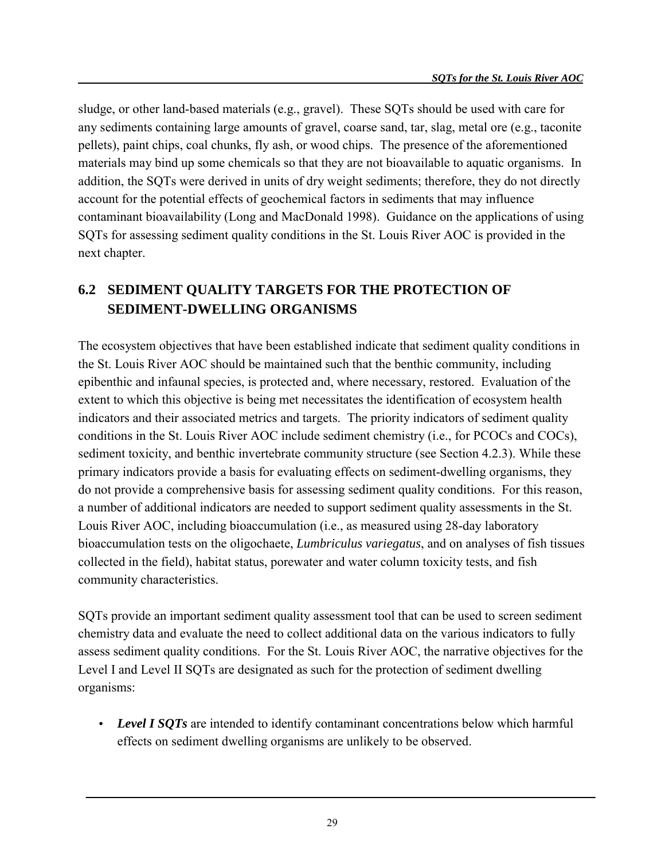sludge, or other land-based materials (e.g., gravel). These SQTs should be used with care for any sediments containing large amounts of gravel, coarse sand, tar, slag, metal ore (e.g., taconite pellets), paint chips, coal chunks, fly ash, or wood chips. The presence of the aforementioned materials may bind up some chemicals so that they are not bioavailable to aquatic organisms. In addition, the SQTs were derived in units of dry weight sediments; therefore, they do not directly account for the potential effects of geochemical factors in sediments that may influence contaminant bioavailability (Long and MacDonald 1998). Guidance on the applications of using SQTs for assessing sediment quality conditions in the St. Louis River AOC is provided in the next chapter.

# **6.2 SEDIMENT QUALITY TARGETS FOR THE PROTECTION OF SEDIMENT-DWELLING ORGANISMS**

The ecosystem objectives that have been established indicate that sediment quality conditions in the St. Louis River AOC should be maintained such that the benthic community, including epibenthic and infaunal species, is protected and, where necessary, restored. Evaluation of the extent to which this objective is being met necessitates the identification of ecosystem health indicators and their associated metrics and targets. The priority indicators of sediment quality conditions in the St. Louis River AOC include sediment chemistry (i.e., for PCOCs and COCs), sediment toxicity, and benthic invertebrate community structure (see Section 4.2.3). While these primary indicators provide a basis for evaluating effects on sediment-dwelling organisms, they do not provide a comprehensive basis for assessing sediment quality conditions. For this reason, a number of additional indicators are needed to support sediment quality assessments in the St. Louis River AOC, including bioaccumulation (i.e., as measured using 28-day laboratory bioaccumulation tests on the oligochaete, *Lumbriculus variegatus*, and on analyses of fish tissues collected in the field), habitat status, porewater and water column toxicity tests, and fish community characteristics.

SQTs provide an important sediment quality assessment tool that can be used to screen sediment chemistry data and evaluate the need to collect additional data on the various indicators to fully assess sediment quality conditions. For the St. Louis River AOC, the narrative objectives for the Level I and Level II SQTs are designated as such for the protection of sediment dwelling organisms:

• *Level I SQTs* are intended to identify contaminant concentrations below which harmful effects on sediment dwelling organisms are unlikely to be observed.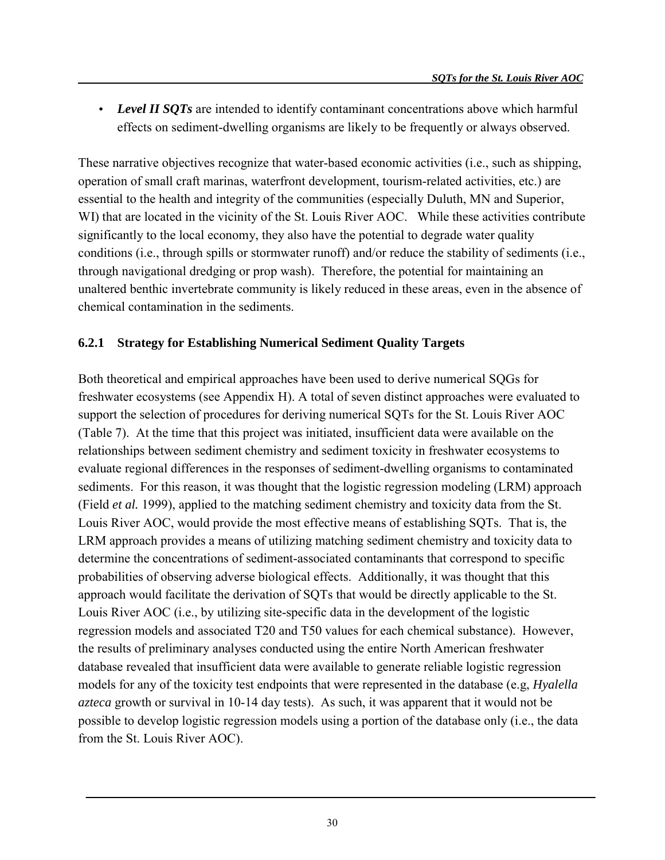• *Level II SOTs* are intended to identify contaminant concentrations above which harmful effects on sediment-dwelling organisms are likely to be frequently or always observed.

These narrative objectives recognize that water-based economic activities (i.e., such as shipping, operation of small craft marinas, waterfront development, tourism-related activities, etc.) are essential to the health and integrity of the communities (especially Duluth, MN and Superior, WI) that are located in the vicinity of the St. Louis River AOC. While these activities contribute significantly to the local economy, they also have the potential to degrade water quality conditions (i.e., through spills or stormwater runoff) and/or reduce the stability of sediments (i.e., through navigational dredging or prop wash). Therefore, the potential for maintaining an unaltered benthic invertebrate community is likely reduced in these areas, even in the absence of chemical contamination in the sediments.

#### **6.2.1 Strategy for Establishing Numerical Sediment Quality Targets**

Both theoretical and empirical approaches have been used to derive numerical SQGs for freshwater ecosystems (see Appendix H). A total of seven distinct approaches were evaluated to support the selection of procedures for deriving numerical SQTs for the St. Louis River AOC (Table 7). At the time that this project was initiated, insufficient data were available on the relationships between sediment chemistry and sediment toxicity in freshwater ecosystems to evaluate regional differences in the responses of sediment-dwelling organisms to contaminated sediments. For this reason, it was thought that the logistic regression modeling (LRM) approach (Field *et al.* 1999), applied to the matching sediment chemistry and toxicity data from the St. Louis River AOC, would provide the most effective means of establishing SQTs. That is, the LRM approach provides a means of utilizing matching sediment chemistry and toxicity data to determine the concentrations of sediment-associated contaminants that correspond to specific probabilities of observing adverse biological effects. Additionally, it was thought that this approach would facilitate the derivation of SQTs that would be directly applicable to the St. Louis River AOC (i.e., by utilizing site-specific data in the development of the logistic regression models and associated T20 and T50 values for each chemical substance). However, the results of preliminary analyses conducted using the entire North American freshwater database revealed that insufficient data were available to generate reliable logistic regression models for any of the toxicity test endpoints that were represented in the database (e.g, *Hyalella azteca* growth or survival in 10-14 day tests). As such, it was apparent that it would not be possible to develop logistic regression models using a portion of the database only (i.e., the data from the St. Louis River AOC).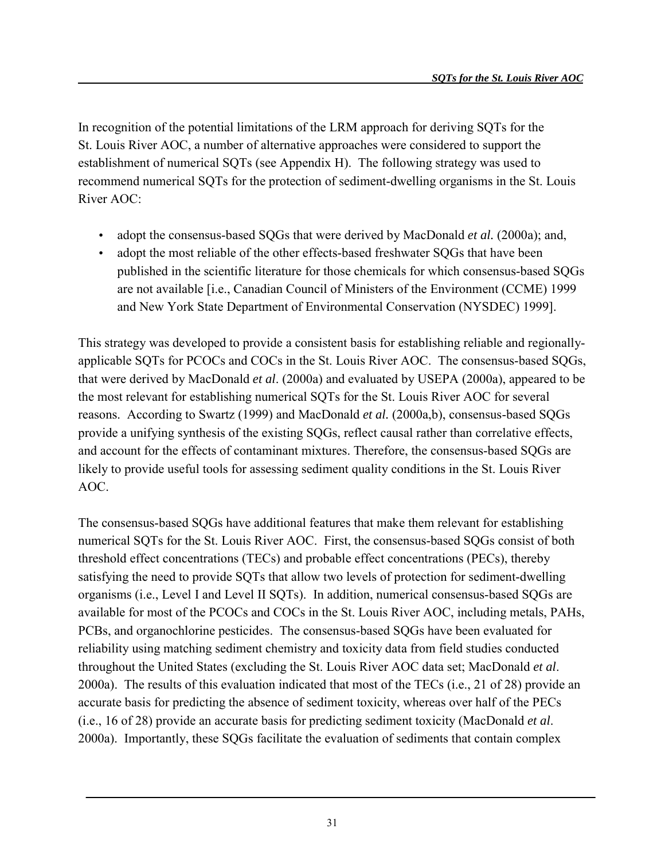In recognition of the potential limitations of the LRM approach for deriving SQTs for the St. Louis River AOC, a number of alternative approaches were considered to support the establishment of numerical SQTs (see Appendix H). The following strategy was used to recommend numerical SQTs for the protection of sediment-dwelling organisms in the St. Louis River AOC:

- adopt the consensus-based SQGs that were derived by MacDonald *et al.* (2000a); and,
- adopt the most reliable of the other effects-based freshwater SQGs that have been published in the scientific literature for those chemicals for which consensus-based SQGs are not available [i.e., Canadian Council of Ministers of the Environment (CCME) 1999 and New York State Department of Environmental Conservation (NYSDEC) 1999].

This strategy was developed to provide a consistent basis for establishing reliable and regionallyapplicable SQTs for PCOCs and COCs in the St. Louis River AOC. The consensus-based SQGs, that were derived by MacDonald *et al*. (2000a) and evaluated by USEPA (2000a), appeared to be the most relevant for establishing numerical SQTs for the St. Louis River AOC for several reasons. According to Swartz (1999) and MacDonald *et al.* (2000a,b), consensus-based SQGs provide a unifying synthesis of the existing SQGs, reflect causal rather than correlative effects, and account for the effects of contaminant mixtures. Therefore, the consensus-based SQGs are likely to provide useful tools for assessing sediment quality conditions in the St. Louis River AOC.

The consensus-based SQGs have additional features that make them relevant for establishing numerical SQTs for the St. Louis River AOC. First, the consensus-based SQGs consist of both threshold effect concentrations (TECs) and probable effect concentrations (PECs), thereby satisfying the need to provide SQTs that allow two levels of protection for sediment-dwelling organisms (i.e., Level I and Level II SQTs). In addition, numerical consensus-based SQGs are available for most of the PCOCs and COCs in the St. Louis River AOC, including metals, PAHs, PCBs, and organochlorine pesticides. The consensus-based SQGs have been evaluated for reliability using matching sediment chemistry and toxicity data from field studies conducted throughout the United States (excluding the St. Louis River AOC data set; MacDonald *et al*. 2000a). The results of this evaluation indicated that most of the TECs (i.e., 21 of 28) provide an accurate basis for predicting the absence of sediment toxicity, whereas over half of the PECs (i.e., 16 of 28) provide an accurate basis for predicting sediment toxicity (MacDonald *et al*. 2000a). Importantly, these SQGs facilitate the evaluation of sediments that contain complex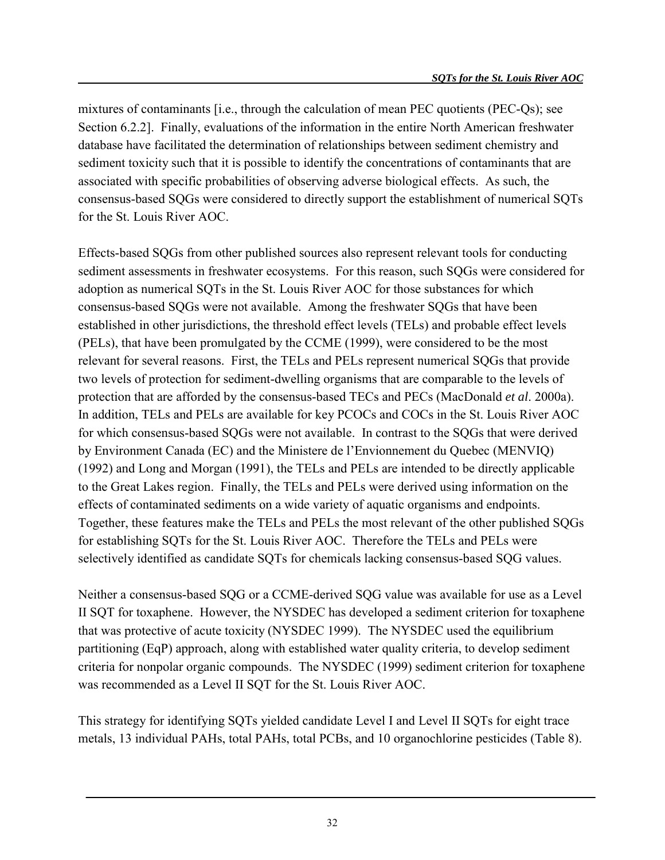mixtures of contaminants [i.e., through the calculation of mean PEC quotients (PEC-Qs); see Section 6.2.2]. Finally, evaluations of the information in the entire North American freshwater database have facilitated the determination of relationships between sediment chemistry and sediment toxicity such that it is possible to identify the concentrations of contaminants that are associated with specific probabilities of observing adverse biological effects. As such, the consensus-based SQGs were considered to directly support the establishment of numerical SQTs for the St. Louis River AOC.

Effects-based SQGs from other published sources also represent relevant tools for conducting sediment assessments in freshwater ecosystems. For this reason, such SQGs were considered for adoption as numerical SQTs in the St. Louis River AOC for those substances for which consensus-based SQGs were not available. Among the freshwater SQGs that have been established in other jurisdictions, the threshold effect levels (TELs) and probable effect levels (PELs), that have been promulgated by the CCME (1999), were considered to be the most relevant for several reasons. First, the TELs and PELs represent numerical SQGs that provide two levels of protection for sediment-dwelling organisms that are comparable to the levels of protection that are afforded by the consensus-based TECs and PECs (MacDonald *et al*. 2000a). In addition, TELs and PELs are available for key PCOCs and COCs in the St. Louis River AOC for which consensus-based SQGs were not available. In contrast to the SQGs that were derived by Environment Canada (EC) and the Ministere de l'Envionnement du Quebec (MENVIQ) (1992) and Long and Morgan (1991), the TELs and PELs are intended to be directly applicable to the Great Lakes region. Finally, the TELs and PELs were derived using information on the effects of contaminated sediments on a wide variety of aquatic organisms and endpoints. Together, these features make the TELs and PELs the most relevant of the other published SQGs for establishing SQTs for the St. Louis River AOC. Therefore the TELs and PELs were selectively identified as candidate SQTs for chemicals lacking consensus-based SQG values.

Neither a consensus-based SQG or a CCME-derived SQG value was available for use as a Level II SQT for toxaphene. However, the NYSDEC has developed a sediment criterion for toxaphene that was protective of acute toxicity (NYSDEC 1999). The NYSDEC used the equilibrium partitioning (EqP) approach, along with established water quality criteria, to develop sediment criteria for nonpolar organic compounds. The NYSDEC (1999) sediment criterion for toxaphene was recommended as a Level II SQT for the St. Louis River AOC.

This strategy for identifying SQTs yielded candidate Level I and Level II SQTs for eight trace metals, 13 individual PAHs, total PAHs, total PCBs, and 10 organochlorine pesticides (Table 8).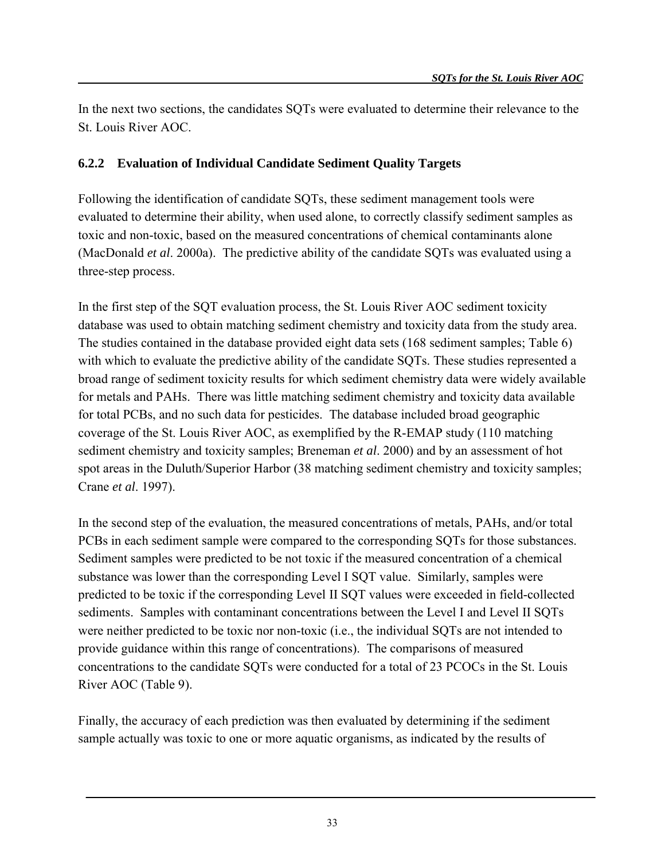In the next two sections, the candidates SQTs were evaluated to determine their relevance to the St. Louis River AOC.

#### **6.2.2 Evaluation of Individual Candidate Sediment Quality Targets**

Following the identification of candidate SQTs, these sediment management tools were evaluated to determine their ability, when used alone, to correctly classify sediment samples as toxic and non-toxic, based on the measured concentrations of chemical contaminants alone (MacDonald *et al*. 2000a). The predictive ability of the candidate SQTs was evaluated using a three-step process.

In the first step of the SQT evaluation process, the St. Louis River AOC sediment toxicity database was used to obtain matching sediment chemistry and toxicity data from the study area. The studies contained in the database provided eight data sets (168 sediment samples; Table 6) with which to evaluate the predictive ability of the candidate SQTs. These studies represented a broad range of sediment toxicity results for which sediment chemistry data were widely available for metals and PAHs. There was little matching sediment chemistry and toxicity data available for total PCBs, and no such data for pesticides. The database included broad geographic coverage of the St. Louis River AOC, as exemplified by the R-EMAP study (110 matching sediment chemistry and toxicity samples; Breneman *et al*. 2000) and by an assessment of hot spot areas in the Duluth/Superior Harbor (38 matching sediment chemistry and toxicity samples; Crane *et al*. 1997).

In the second step of the evaluation, the measured concentrations of metals, PAHs, and/or total PCBs in each sediment sample were compared to the corresponding SQTs for those substances. Sediment samples were predicted to be not toxic if the measured concentration of a chemical substance was lower than the corresponding Level I SQT value. Similarly, samples were predicted to be toxic if the corresponding Level II SQT values were exceeded in field-collected sediments. Samples with contaminant concentrations between the Level I and Level II SOTs were neither predicted to be toxic nor non-toxic (i.e., the individual SQTs are not intended to provide guidance within this range of concentrations). The comparisons of measured concentrations to the candidate SQTs were conducted for a total of 23 PCOCs in the St. Louis River AOC (Table 9).

Finally, the accuracy of each prediction was then evaluated by determining if the sediment sample actually was toxic to one or more aquatic organisms, as indicated by the results of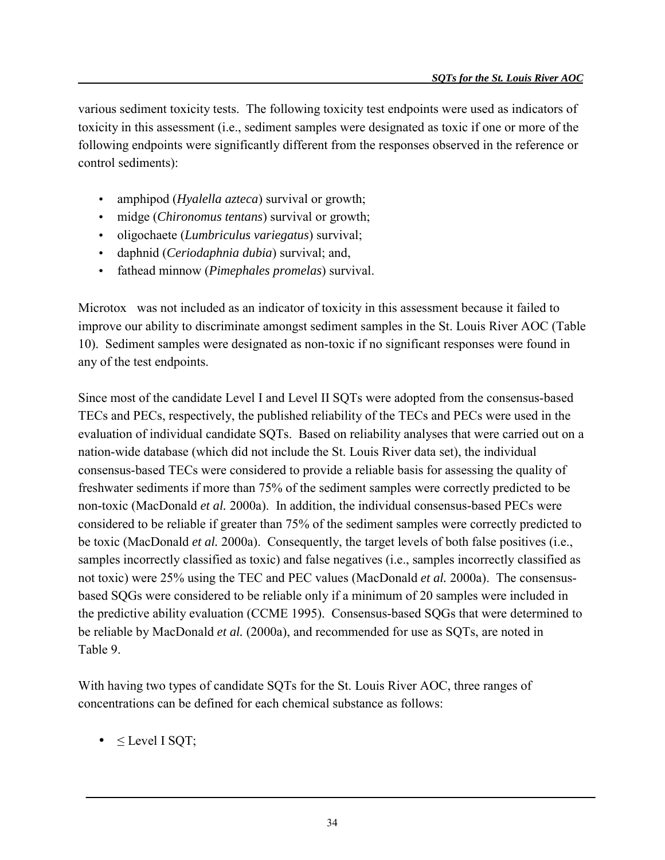various sediment toxicity tests. The following toxicity test endpoints were used as indicators of toxicity in this assessment (i.e., sediment samples were designated as toxic if one or more of the following endpoints were significantly different from the responses observed in the reference or control sediments):

- amphipod (*Hyalella azteca*) survival or growth;
- midge (*Chironomus tentans*) survival or growth;
- oligochaete (*Lumbriculus variegatus*) survival;
- daphnid (*Ceriodaphnia dubia*) survival; and,
- fathead minnow (*Pimephales promelas*) survival.

Microtox $\mathscr P$  was not included as an indicator of toxicity in this assessment because it failed to improve our ability to discriminate amongst sediment samples in the St. Louis River AOC (Table 10). Sediment samples were designated as non-toxic if no significant responses were found in any of the test endpoints.

Since most of the candidate Level I and Level II SQTs were adopted from the consensus-based TECs and PECs, respectively, the published reliability of the TECs and PECs were used in the evaluation of individual candidate SQTs. Based on reliability analyses that were carried out on a nation-wide database (which did not include the St. Louis River data set), the individual consensus-based TECs were considered to provide a reliable basis for assessing the quality of freshwater sediments if more than 75% of the sediment samples were correctly predicted to be non-toxic (MacDonald *et al.* 2000a). In addition, the individual consensus-based PECs were considered to be reliable if greater than 75% of the sediment samples were correctly predicted to be toxic (MacDonald *et al.* 2000a). Consequently, the target levels of both false positives (i.e., samples incorrectly classified as toxic) and false negatives (i.e., samples incorrectly classified as not toxic) were 25% using the TEC and PEC values (MacDonald *et al.* 2000a). The consensusbased SQGs were considered to be reliable only if a minimum of 20 samples were included in the predictive ability evaluation (CCME 1995). Consensus-based SQGs that were determined to be reliable by MacDonald *et al.* (2000a), and recommended for use as SQTs, are noted in Table 9.

With having two types of candidate SQTs for the St. Louis River AOC, three ranges of concentrations can be defined for each chemical substance as follows:

•  $\leq$  Level I SQT;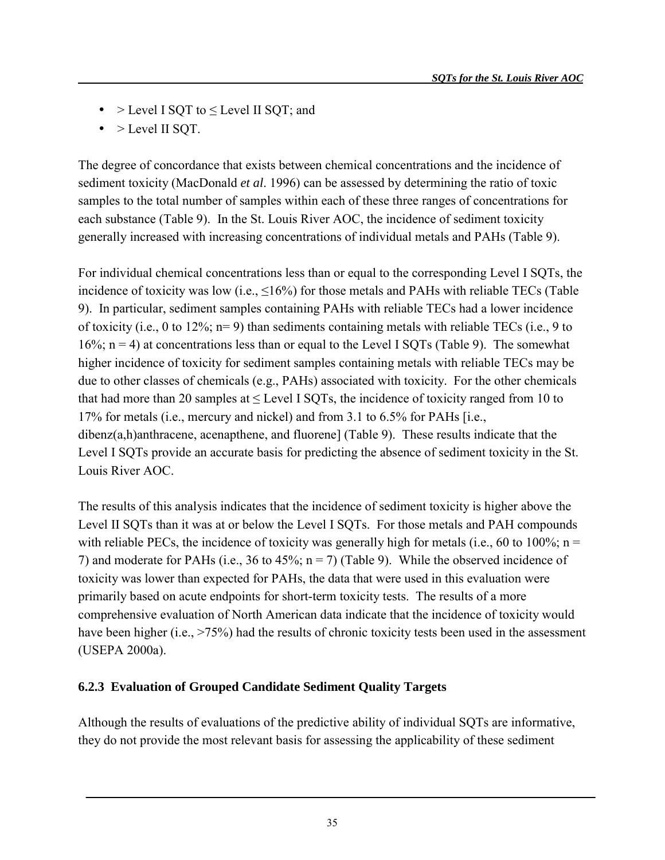- $>$  Level I SOT to  $\leq$  Level II SOT; and
- $\bullet$  > Level II SQT.

The degree of concordance that exists between chemical concentrations and the incidence of sediment toxicity (MacDonald *et al*. 1996) can be assessed by determining the ratio of toxic samples to the total number of samples within each of these three ranges of concentrations for each substance (Table 9). In the St. Louis River AOC, the incidence of sediment toxicity generally increased with increasing concentrations of individual metals and PAHs (Table 9).

For individual chemical concentrations less than or equal to the corresponding Level I SQTs, the incidence of toxicity was low (i.e.,  $\leq 16\%$ ) for those metals and PAHs with reliable TECs (Table 9). In particular, sediment samples containing PAHs with reliable TECs had a lower incidence of toxicity (i.e., 0 to 12%; n= 9) than sediments containing metals with reliable TECs (i.e., 9 to  $16\%$ ; n = 4) at concentrations less than or equal to the Level I SQTs (Table 9). The somewhat higher incidence of toxicity for sediment samples containing metals with reliable TECs may be due to other classes of chemicals (e.g., PAHs) associated with toxicity. For the other chemicals that had more than 20 samples at  $\leq$  Level I SQTs, the incidence of toxicity ranged from 10 to 17% for metals (i.e., mercury and nickel) and from 3.1 to 6.5% for PAHs [i.e., dibenz(a,h)anthracene, acenapthene, and fluorene] (Table 9). These results indicate that the Level I SQTs provide an accurate basis for predicting the absence of sediment toxicity in the St. Louis River AOC.

The results of this analysis indicates that the incidence of sediment toxicity is higher above the Level II SQTs than it was at or below the Level I SQTs. For those metals and PAH compounds with reliable PECs, the incidence of toxicity was generally high for metals (i.e., 60 to 100%;  $n =$ 7) and moderate for PAHs (i.e., 36 to 45%;  $n = 7$ ) (Table 9). While the observed incidence of toxicity was lower than expected for PAHs, the data that were used in this evaluation were primarily based on acute endpoints for short-term toxicity tests. The results of a more comprehensive evaluation of North American data indicate that the incidence of toxicity would have been higher (i.e., >75%) had the results of chronic toxicity tests been used in the assessment (USEPA 2000a).

#### **6.2.3 Evaluation of Grouped Candidate Sediment Quality Targets**

Although the results of evaluations of the predictive ability of individual SQTs are informative, they do not provide the most relevant basis for assessing the applicability of these sediment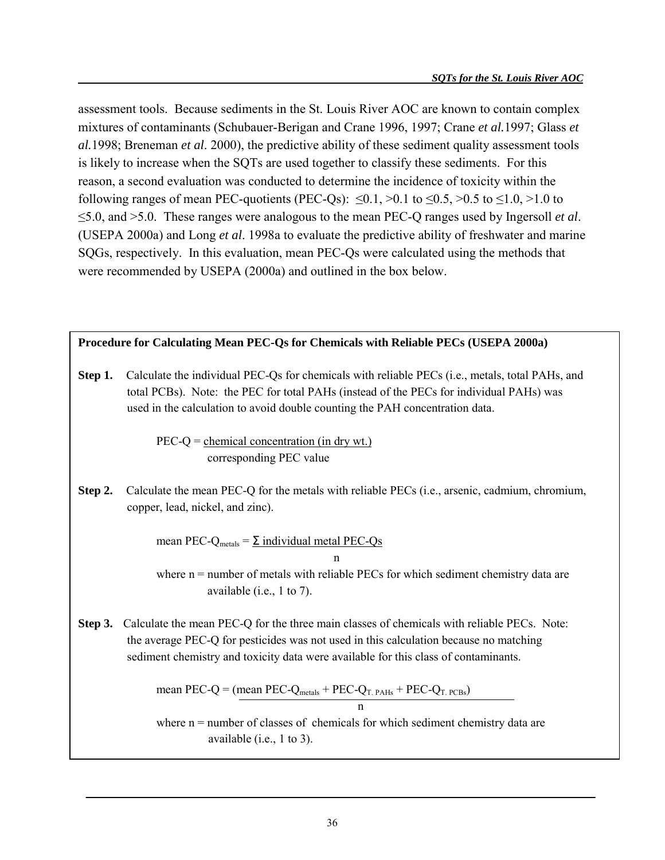assessment tools. Because sediments in the St. Louis River AOC are known to contain complex mixtures of contaminants (Schubauer-Berigan and Crane 1996, 1997; Crane *et al.*1997; Glass *et al.*1998; Breneman *et al*. 2000), the predictive ability of these sediment quality assessment tools is likely to increase when the SQTs are used together to classify these sediments. For this reason, a second evaluation was conducted to determine the incidence of toxicity within the following ranges of mean PEC-quotients (PEC-Qs):  $\leq 0.1$ ,  $> 0.1$  to  $\leq 0.5$ ,  $> 0.5$  to  $\leq 1.0$ ,  $> 1.0$  to ≤5.0, and >5.0. These ranges were analogous to the mean PEC-Q ranges used by Ingersoll *et al*. (USEPA 2000a) and Long *et al*. 1998a to evaluate the predictive ability of freshwater and marine SQGs, respectively. In this evaluation, mean PEC-Qs were calculated using the methods that were recommended by USEPA (2000a) and outlined in the box below.

**Procedure for Calculating Mean PEC-Qs for Chemicals with Reliable PECs (USEPA 2000a)**

**Step 1.** Calculate the individual PEC-Qs for chemicals with reliable PECs (i.e., metals, total PAHs, and total PCBs). Note: the PEC for total PAHs (instead of the PECs for individual PAHs) was used in the calculation to avoid double counting the PAH concentration data.

> $PEC-Q = chemical concentration (in dry wt.)$ corresponding PEC value

**Step 2.** Calculate the mean PEC-Q for the metals with reliable PECs (i.e., arsenic, cadmium, chromium, copper, lead, nickel, and zinc).

> mean PEC- $Q_{\text{metals}} = \Sigma$  individual metal PEC- $Q_{\text{S}}$ n

where n = number of metals with reliable PECs for which sediment chemistry data are available (i.e., 1 to 7).

**Step 3.** Calculate the mean PEC-Q for the three main classes of chemicals with reliable PECs. Note: the average PEC-Q for pesticides was not used in this calculation because no matching sediment chemistry and toxicity data were available for this class of contaminants.

mean PEC-Q = (mean PEC-Q<sub>metals</sub> + PEC-Q<sub>T. PAHs</sub> + PEC-Q<sub>T. PCBs</sub>)

where  $n =$  number of classes of chemicals for which sediment chemistry data are available (i.e., 1 to 3).

n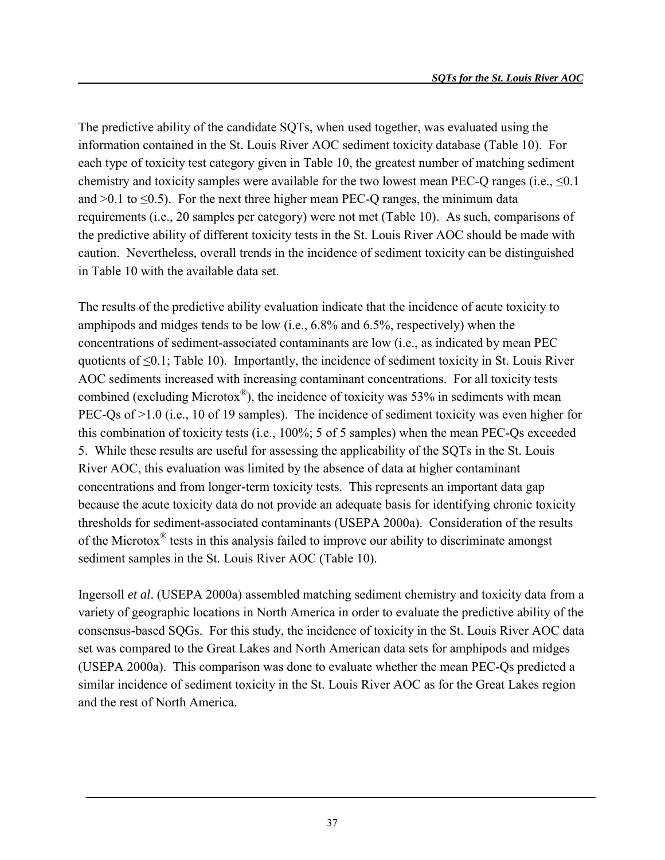The predictive ability of the candidate SQTs, when used together, was evaluated using the information contained in the St. Louis River AOC sediment toxicity database (Table 10). For each type of toxicity test category given in Table 10, the greatest number of matching sediment chemistry and toxicity samples were available for the two lowest mean PEC-Q ranges (i.e.,  $\leq 0.1$ ) and  $>0.1$  to  $\leq 0.5$ ). For the next three higher mean PEC-Q ranges, the minimum data requirements (i.e., 20 samples per category) were not met (Table 10). As such, comparisons of the predictive ability of different toxicity tests in the St. Louis River AOC should be made with caution. Nevertheless, overall trends in the incidence of sediment toxicity can be distinguished in Table 10 with the available data set.

The results of the predictive ability evaluation indicate that the incidence of acute toxicity to amphipods and midges tends to be low (i.e., 6.8% and 6.5%, respectively) when the concentrations of sediment-associated contaminants are low (i.e., as indicated by mean PEC quotients of <0.1; Table 10). Importantly, the incidence of sediment toxicity in St. Louis River AOC sediments increased with increasing contaminant concentrations. For all toxicity tests combined (excluding Microtox<sup>®</sup>), the incidence of toxicity was 53% in sediments with mean PEC-Qs of  $\geq$  1.0 (i.e., 10 of 19 samples). The incidence of sediment toxicity was even higher for this combination of toxicity tests (i.e., 100%; 5 of 5 samples) when the mean PEC-Qs exceeded 5. While these results are useful for assessing the applicability of the SQTs in the St. Louis River AOC, this evaluation was limited by the absence of data at higher contaminant concentrations and from longer-term toxicity tests. This represents an important data gap because the acute toxicity data do not provide an adequate basis for identifying chronic toxicity thresholds for sediment-associated contaminants (USEPA 2000a). Consideration of the results of the Microtox® tests in this analysis failed to improve our ability to discriminate amongst sediment samples in the St. Louis River AOC (Table 10).

Ingersoll *et al*. (USEPA 2000a) assembled matching sediment chemistry and toxicity data from a variety of geographic locations in North America in order to evaluate the predictive ability of the consensus-based SQGs. For this study, the incidence of toxicity in the St. Louis River AOC data set was compared to the Great Lakes and North American data sets for amphipods and midges (USEPA 2000a). This comparison was done to evaluate whether the mean PEC-Qs predicted a similar incidence of sediment toxicity in the St. Louis River AOC as for the Great Lakes region and the rest of North America.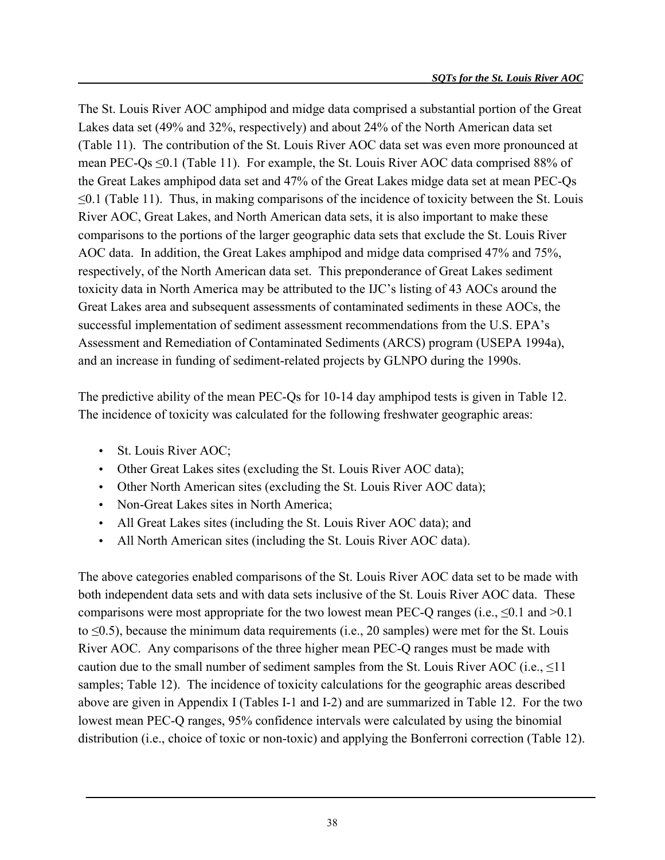The St. Louis River AOC amphipod and midge data comprised a substantial portion of the Great Lakes data set (49% and 32%, respectively) and about 24% of the North American data set (Table 11). The contribution of the St. Louis River AOC data set was even more pronounced at mean PEC-Qs ≤0.1 (Table 11). For example, the St. Louis River AOC data comprised 88% of the Great Lakes amphipod data set and 47% of the Great Lakes midge data set at mean PEC-Qs  $\leq 0.1$  (Table 11). Thus, in making comparisons of the incidence of toxicity between the St. Louis River AOC, Great Lakes, and North American data sets, it is also important to make these comparisons to the portions of the larger geographic data sets that exclude the St. Louis River AOC data. In addition, the Great Lakes amphipod and midge data comprised 47% and 75%, respectively, of the North American data set. This preponderance of Great Lakes sediment toxicity data in North America may be attributed to the IJC's listing of 43 AOCs around the Great Lakes area and subsequent assessments of contaminated sediments in these AOCs, the successful implementation of sediment assessment recommendations from the U.S. EPA's Assessment and Remediation of Contaminated Sediments (ARCS) program (USEPA 1994a), and an increase in funding of sediment-related projects by GLNPO during the 1990s.

The predictive ability of the mean PEC-Qs for 10-14 day amphipod tests is given in Table 12. The incidence of toxicity was calculated for the following freshwater geographic areas:

- St. Louis River AOC;
- Other Great Lakes sites (excluding the St. Louis River AOC data);
- Other North American sites (excluding the St. Louis River AOC data);
- Non-Great Lakes sites in North America:
- All Great Lakes sites (including the St. Louis River AOC data); and
- All North American sites (including the St. Louis River AOC data).

The above categories enabled comparisons of the St. Louis River AOC data set to be made with both independent data sets and with data sets inclusive of the St. Louis River AOC data. These comparisons were most appropriate for the two lowest mean PEC-Q ranges (i.e.,  $\leq 0.1$  and  $\geq 0.1$ ) to  $\leq 0.5$ ), because the minimum data requirements (i.e., 20 samples) were met for the St. Louis River AOC. Any comparisons of the three higher mean PEC-Q ranges must be made with caution due to the small number of sediment samples from the St. Louis River AOC (i.e.,  $\leq 11$ ) samples; Table 12). The incidence of toxicity calculations for the geographic areas described above are given in Appendix I (Tables I-1 and I-2) and are summarized in Table 12. For the two lowest mean PEC-Q ranges, 95% confidence intervals were calculated by using the binomial distribution (i.e., choice of toxic or non-toxic) and applying the Bonferroni correction (Table 12).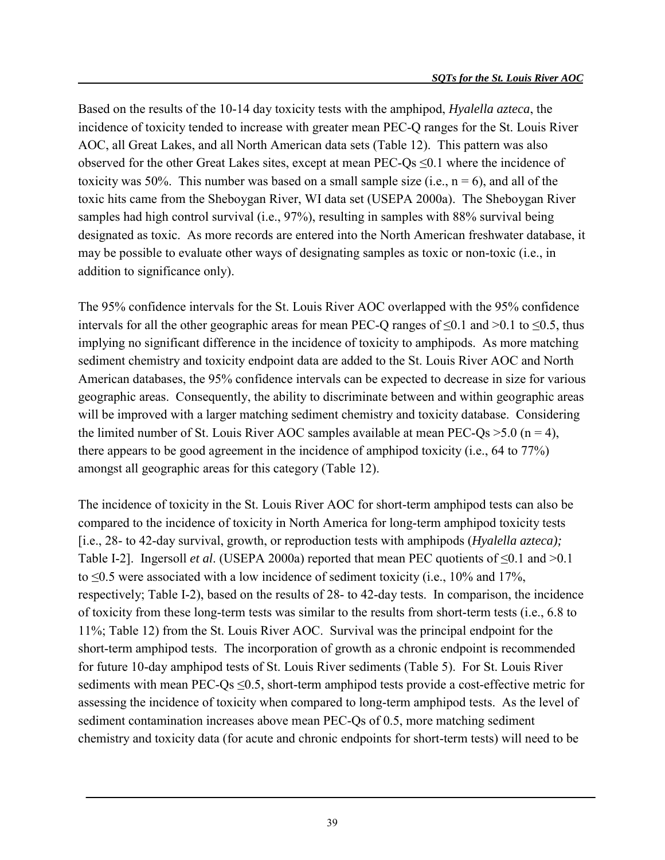Based on the results of the 10-14 day toxicity tests with the amphipod, *Hyalella azteca*, the incidence of toxicity tended to increase with greater mean PEC-Q ranges for the St. Louis River AOC, all Great Lakes, and all North American data sets (Table 12). This pattern was also observed for the other Great Lakes sites, except at mean PEC-Qs ≤0.1 where the incidence of toxicity was 50%. This number was based on a small sample size (i.e.,  $n = 6$ ), and all of the toxic hits came from the Sheboygan River, WI data set (USEPA 2000a). The Sheboygan River samples had high control survival (i.e., 97%), resulting in samples with 88% survival being designated as toxic. As more records are entered into the North American freshwater database, it may be possible to evaluate other ways of designating samples as toxic or non-toxic (i.e., in addition to significance only).

The 95% confidence intervals for the St. Louis River AOC overlapped with the 95% confidence intervals for all the other geographic areas for mean PEC-Q ranges of  $\leq 0.1$  and  $> 0.1$  to  $\leq 0.5$ , thus implying no significant difference in the incidence of toxicity to amphipods. As more matching sediment chemistry and toxicity endpoint data are added to the St. Louis River AOC and North American databases, the 95% confidence intervals can be expected to decrease in size for various geographic areas. Consequently, the ability to discriminate between and within geographic areas will be improved with a larger matching sediment chemistry and toxicity database. Considering the limited number of St. Louis River AOC samples available at mean PEC-Qs  $>5.0$  (n = 4), there appears to be good agreement in the incidence of amphipod toxicity (i.e., 64 to 77%) amongst all geographic areas for this category (Table 12).

The incidence of toxicity in the St. Louis River AOC for short-term amphipod tests can also be compared to the incidence of toxicity in North America for long-term amphipod toxicity tests [i.e., 28- to 42-day survival, growth, or reproduction tests with amphipods (*Hyalella azteca);* Table I-2]. Ingersoll *et al*. (USEPA 2000a) reported that mean PEC quotients of ≤0.1 and >0.1 to ≤0.5 were associated with a low incidence of sediment toxicity (i.e., 10% and 17%, respectively; Table I-2), based on the results of 28- to 42-day tests. In comparison, the incidence of toxicity from these long-term tests was similar to the results from short-term tests (i.e., 6.8 to 11%; Table 12) from the St. Louis River AOC. Survival was the principal endpoint for the short-term amphipod tests. The incorporation of growth as a chronic endpoint is recommended for future 10-day amphipod tests of St. Louis River sediments (Table 5). For St. Louis River sediments with mean PEC-Qs  $\leq$ 0.5, short-term amphipod tests provide a cost-effective metric for assessing the incidence of toxicity when compared to long-term amphipod tests. As the level of sediment contamination increases above mean PEC-Qs of 0.5, more matching sediment chemistry and toxicity data (for acute and chronic endpoints for short-term tests) will need to be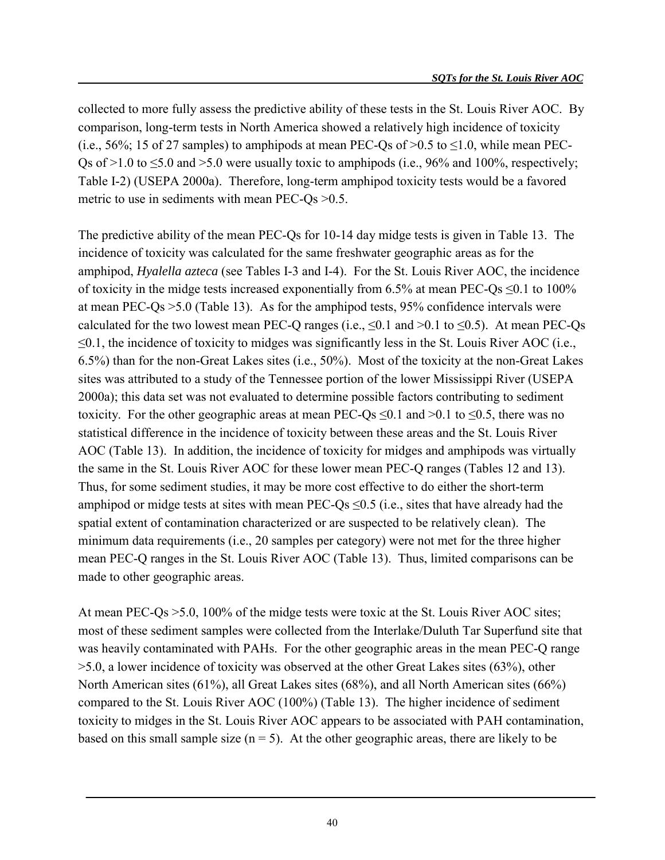collected to more fully assess the predictive ability of these tests in the St. Louis River AOC. By comparison, long-term tests in North America showed a relatively high incidence of toxicity (i.e.,  $56\%$ ; 15 of 27 samples) to amphipods at mean PEC-Os of  $>0.5$  to  $\leq 1.0$ , while mean PEC-Os of  $>1.0$  to  $\leq 5.0$  and  $>5.0$  were usually toxic to amphipods (i.e., 96% and 100%, respectively; Table I-2) (USEPA 2000a). Therefore, long-term amphipod toxicity tests would be a favored metric to use in sediments with mean PEC-Qs > 0.5.

The predictive ability of the mean PEC-Qs for 10-14 day midge tests is given in Table 13. The incidence of toxicity was calculated for the same freshwater geographic areas as for the amphipod, *Hyalella azteca* (see Tables I-3 and I-4). For the St. Louis River AOC, the incidence of toxicity in the midge tests increased exponentially from 6.5% at mean PEC-Qs  $\leq 0.1$  to 100% at mean PEC-Qs >5.0 (Table 13). As for the amphipod tests, 95% confidence intervals were calculated for the two lowest mean PEC-Q ranges (i.e.,  $\leq 0.1$  and  $> 0.1$  to  $\leq 0.5$ ). At mean PEC-Qs  $\leq 0.1$ , the incidence of toxicity to midges was significantly less in the St. Louis River AOC (i.e., 6.5%) than for the non-Great Lakes sites (i.e., 50%). Most of the toxicity at the non-Great Lakes sites was attributed to a study of the Tennessee portion of the lower Mississippi River (USEPA 2000a); this data set was not evaluated to determine possible factors contributing to sediment toxicity. For the other geographic areas at mean PEC-Qs  $\leq 0.1$  and  $> 0.1$  to  $\leq 0.5$ , there was no statistical difference in the incidence of toxicity between these areas and the St. Louis River AOC (Table 13). In addition, the incidence of toxicity for midges and amphipods was virtually the same in the St. Louis River AOC for these lower mean PEC-Q ranges (Tables 12 and 13). Thus, for some sediment studies, it may be more cost effective to do either the short-term amphipod or midge tests at sites with mean PEC-Qs  $\leq$ 0.5 (i.e., sites that have already had the spatial extent of contamination characterized or are suspected to be relatively clean). The minimum data requirements (i.e., 20 samples per category) were not met for the three higher mean PEC-Q ranges in the St. Louis River AOC (Table 13). Thus, limited comparisons can be made to other geographic areas.

At mean PEC-Qs >5.0, 100% of the midge tests were toxic at the St. Louis River AOC sites; most of these sediment samples were collected from the Interlake/Duluth Tar Superfund site that was heavily contaminated with PAHs. For the other geographic areas in the mean PEC-Q range >5.0, a lower incidence of toxicity was observed at the other Great Lakes sites (63%), other North American sites (61%), all Great Lakes sites (68%), and all North American sites (66%) compared to the St. Louis River AOC (100%) (Table 13). The higher incidence of sediment toxicity to midges in the St. Louis River AOC appears to be associated with PAH contamination, based on this small sample size  $(n = 5)$ . At the other geographic areas, there are likely to be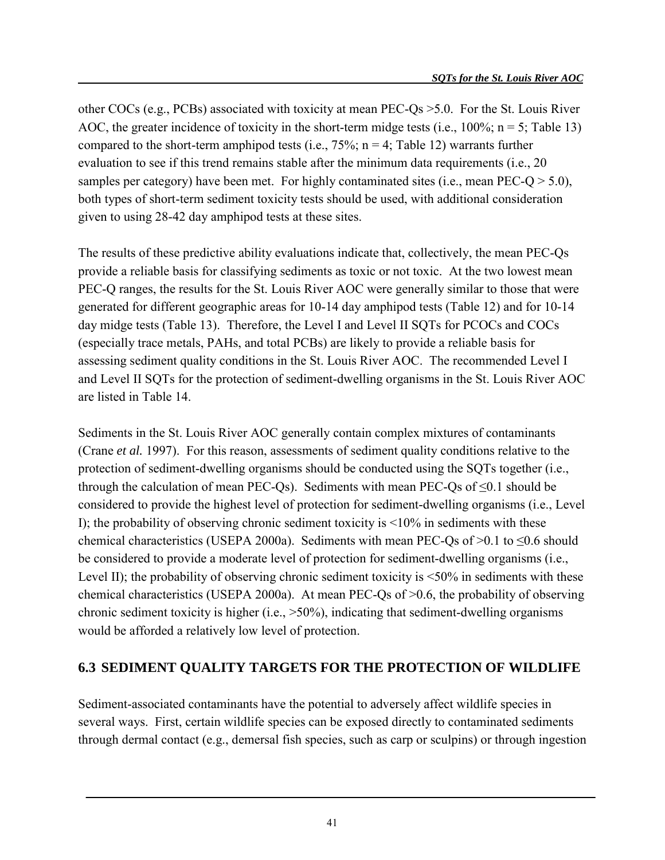other COCs (e.g., PCBs) associated with toxicity at mean PEC-Qs >5.0. For the St. Louis River AOC, the greater incidence of toxicity in the short-term midge tests (i.e.,  $100\%$ ; n = 5; Table 13) compared to the short-term amphipod tests (i.e.,  $75\%$ ; n = 4; Table 12) warrants further evaluation to see if this trend remains stable after the minimum data requirements (i.e., 20 samples per category) have been met. For highly contaminated sites (i.e., mean PEC-Q  $> 5.0$ ), both types of short-term sediment toxicity tests should be used, with additional consideration given to using 28-42 day amphipod tests at these sites.

The results of these predictive ability evaluations indicate that, collectively, the mean PEC-Qs provide a reliable basis for classifying sediments as toxic or not toxic. At the two lowest mean PEC-Q ranges, the results for the St. Louis River AOC were generally similar to those that were generated for different geographic areas for 10-14 day amphipod tests (Table 12) and for 10-14 day midge tests (Table 13). Therefore, the Level I and Level II SQTs for PCOCs and COCs (especially trace metals, PAHs, and total PCBs) are likely to provide a reliable basis for assessing sediment quality conditions in the St. Louis River AOC. The recommended Level I and Level II SQTs for the protection of sediment-dwelling organisms in the St. Louis River AOC are listed in Table 14.

Sediments in the St. Louis River AOC generally contain complex mixtures of contaminants (Crane *et al.* 1997). For this reason, assessments of sediment quality conditions relative to the protection of sediment-dwelling organisms should be conducted using the SQTs together (i.e., through the calculation of mean PEC-Qs). Sediments with mean PEC-Qs of  $\leq 0.1$  should be considered to provide the highest level of protection for sediment-dwelling organisms (i.e., Level I); the probability of observing chronic sediment toxicity is  $\leq 10\%$  in sediments with these chemical characteristics (USEPA 2000a). Sediments with mean PEC-Qs of  $>0.1$  to  $\leq 0.6$  should be considered to provide a moderate level of protection for sediment-dwelling organisms (i.e., Level II); the probability of observing chronic sediment toxicity is  $\leq 50\%$  in sediments with these chemical characteristics (USEPA 2000a). At mean PEC-Qs of >0.6, the probability of observing chronic sediment toxicity is higher (i.e., >50%), indicating that sediment-dwelling organisms would be afforded a relatively low level of protection.

#### **6.3 SEDIMENT QUALITY TARGETS FOR THE PROTECTION OF WILDLIFE**

Sediment-associated contaminants have the potential to adversely affect wildlife species in several ways. First, certain wildlife species can be exposed directly to contaminated sediments through dermal contact (e.g., demersal fish species, such as carp or sculpins) or through ingestion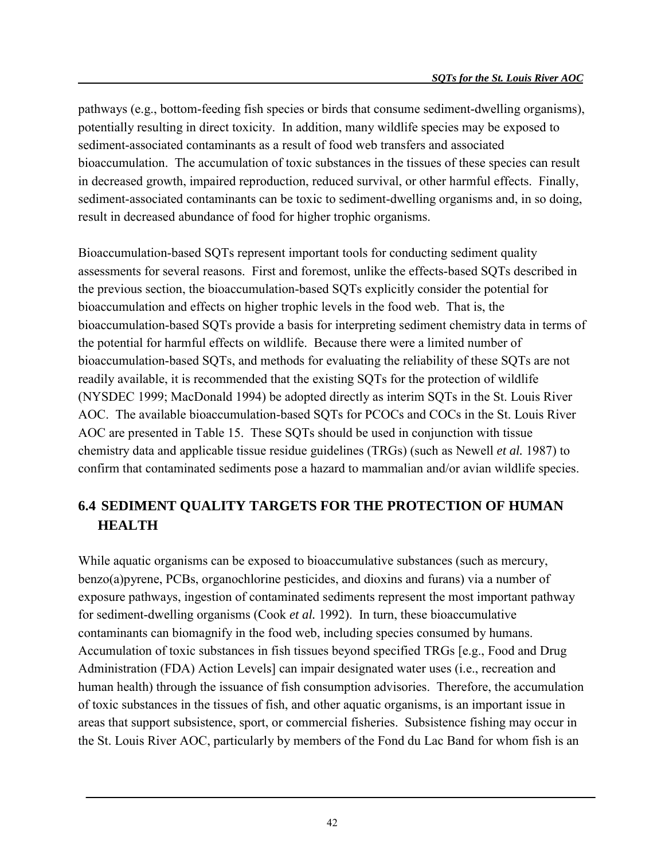pathways (e.g., bottom-feeding fish species or birds that consume sediment-dwelling organisms), potentially resulting in direct toxicity. In addition, many wildlife species may be exposed to sediment-associated contaminants as a result of food web transfers and associated bioaccumulation. The accumulation of toxic substances in the tissues of these species can result in decreased growth, impaired reproduction, reduced survival, or other harmful effects. Finally, sediment-associated contaminants can be toxic to sediment-dwelling organisms and, in so doing, result in decreased abundance of food for higher trophic organisms.

Bioaccumulation-based SQTs represent important tools for conducting sediment quality assessments for several reasons. First and foremost, unlike the effects-based SQTs described in the previous section, the bioaccumulation-based SQTs explicitly consider the potential for bioaccumulation and effects on higher trophic levels in the food web. That is, the bioaccumulation-based SQTs provide a basis for interpreting sediment chemistry data in terms of the potential for harmful effects on wildlife. Because there were a limited number of bioaccumulation-based SQTs, and methods for evaluating the reliability of these SQTs are not readily available, it is recommended that the existing SQTs for the protection of wildlife (NYSDEC 1999; MacDonald 1994) be adopted directly as interim SQTs in the St. Louis River AOC. The available bioaccumulation-based SQTs for PCOCs and COCs in the St. Louis River AOC are presented in Table 15. These SQTs should be used in conjunction with tissue chemistry data and applicable tissue residue guidelines (TRGs) (such as Newell *et al.* 1987) to confirm that contaminated sediments pose a hazard to mammalian and/or avian wildlife species.

## **6.4 SEDIMENT QUALITY TARGETS FOR THE PROTECTION OF HUMAN HEALTH**

While aquatic organisms can be exposed to bioaccumulative substances (such as mercury, benzo(a)pyrene, PCBs, organochlorine pesticides, and dioxins and furans) via a number of exposure pathways, ingestion of contaminated sediments represent the most important pathway for sediment-dwelling organisms (Cook *et al.* 1992). In turn, these bioaccumulative contaminants can biomagnify in the food web, including species consumed by humans. Accumulation of toxic substances in fish tissues beyond specified TRGs [e.g., Food and Drug Administration (FDA) Action Levels] can impair designated water uses (i.e., recreation and human health) through the issuance of fish consumption advisories. Therefore, the accumulation of toxic substances in the tissues of fish, and other aquatic organisms, is an important issue in areas that support subsistence, sport, or commercial fisheries. Subsistence fishing may occur in the St. Louis River AOC, particularly by members of the Fond du Lac Band for whom fish is an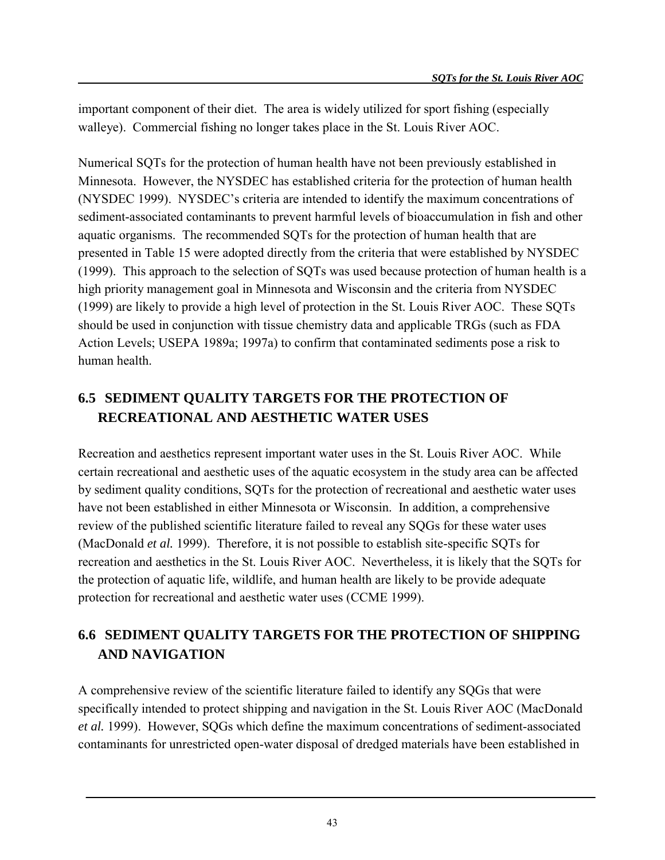important component of their diet. The area is widely utilized for sport fishing (especially walleye). Commercial fishing no longer takes place in the St. Louis River AOC.

Numerical SQTs for the protection of human health have not been previously established in Minnesota. However, the NYSDEC has established criteria for the protection of human health (NYSDEC 1999). NYSDEC's criteria are intended to identify the maximum concentrations of sediment-associated contaminants to prevent harmful levels of bioaccumulation in fish and other aquatic organisms. The recommended SQTs for the protection of human health that are presented in Table 15 were adopted directly from the criteria that were established by NYSDEC (1999). This approach to the selection of SQTs was used because protection of human health is a high priority management goal in Minnesota and Wisconsin and the criteria from NYSDEC (1999) are likely to provide a high level of protection in the St. Louis River AOC. These SQTs should be used in conjunction with tissue chemistry data and applicable TRGs (such as FDA Action Levels; USEPA 1989a; 1997a) to confirm that contaminated sediments pose a risk to human health.

# **6.5 SEDIMENT QUALITY TARGETS FOR THE PROTECTION OF RECREATIONAL AND AESTHETIC WATER USES**

Recreation and aesthetics represent important water uses in the St. Louis River AOC. While certain recreational and aesthetic uses of the aquatic ecosystem in the study area can be affected by sediment quality conditions, SQTs for the protection of recreational and aesthetic water uses have not been established in either Minnesota or Wisconsin. In addition, a comprehensive review of the published scientific literature failed to reveal any SQGs for these water uses (MacDonald *et al.* 1999). Therefore, it is not possible to establish site-specific SQTs for recreation and aesthetics in the St. Louis River AOC. Nevertheless, it is likely that the SQTs for the protection of aquatic life, wildlife, and human health are likely to be provide adequate protection for recreational and aesthetic water uses (CCME 1999).

## **6.6 SEDIMENT QUALITY TARGETS FOR THE PROTECTION OF SHIPPING AND NAVIGATION**

A comprehensive review of the scientific literature failed to identify any SQGs that were specifically intended to protect shipping and navigation in the St. Louis River AOC (MacDonald *et al.* 1999). However, SQGs which define the maximum concentrations of sediment-associated contaminants for unrestricted open-water disposal of dredged materials have been established in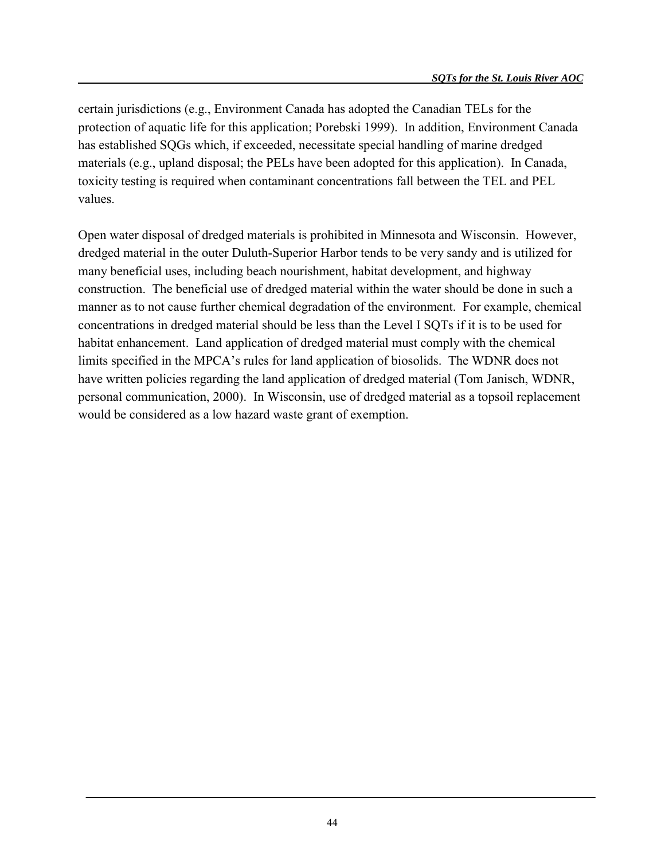certain jurisdictions (e.g., Environment Canada has adopted the Canadian TELs for the protection of aquatic life for this application; Porebski 1999). In addition, Environment Canada has established SQGs which, if exceeded, necessitate special handling of marine dredged materials (e.g., upland disposal; the PELs have been adopted for this application). In Canada, toxicity testing is required when contaminant concentrations fall between the TEL and PEL values.

Open water disposal of dredged materials is prohibited in Minnesota and Wisconsin. However, dredged material in the outer Duluth-Superior Harbor tends to be very sandy and is utilized for many beneficial uses, including beach nourishment, habitat development, and highway construction. The beneficial use of dredged material within the water should be done in such a manner as to not cause further chemical degradation of the environment. For example, chemical concentrations in dredged material should be less than the Level I SQTs if it is to be used for habitat enhancement. Land application of dredged material must comply with the chemical limits specified in the MPCA's rules for land application of biosolids. The WDNR does not have written policies regarding the land application of dredged material (Tom Janisch, WDNR, personal communication, 2000). In Wisconsin, use of dredged material as a topsoil replacement would be considered as a low hazard waste grant of exemption.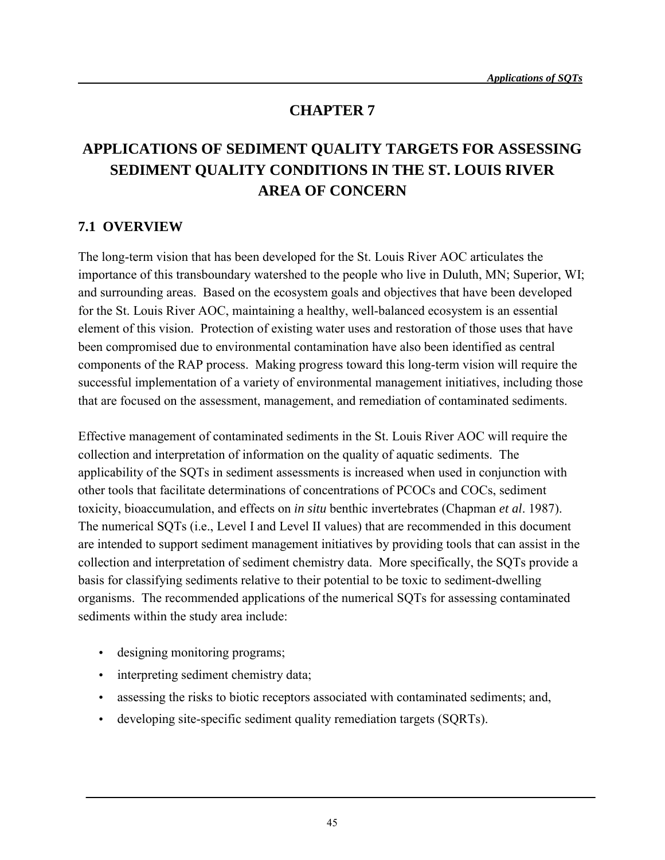### **CHAPTER 7**

# **APPLICATIONS OF SEDIMENT QUALITY TARGETS FOR ASSESSING SEDIMENT QUALITY CONDITIONS IN THE ST. LOUIS RIVER AREA OF CONCERN**

#### **7.1 OVERVIEW**

The long-term vision that has been developed for the St. Louis River AOC articulates the importance of this transboundary watershed to the people who live in Duluth, MN; Superior, WI; and surrounding areas. Based on the ecosystem goals and objectives that have been developed for the St. Louis River AOC, maintaining a healthy, well-balanced ecosystem is an essential element of this vision. Protection of existing water uses and restoration of those uses that have been compromised due to environmental contamination have also been identified as central components of the RAP process. Making progress toward this long-term vision will require the successful implementation of a variety of environmental management initiatives, including those that are focused on the assessment, management, and remediation of contaminated sediments.

Effective management of contaminated sediments in the St. Louis River AOC will require the collection and interpretation of information on the quality of aquatic sediments. The applicability of the SQTs in sediment assessments is increased when used in conjunction with other tools that facilitate determinations of concentrations of PCOCs and COCs, sediment toxicity, bioaccumulation, and effects on *in situ* benthic invertebrates (Chapman *et al*. 1987). The numerical SQTs (i.e., Level I and Level II values) that are recommended in this document are intended to support sediment management initiatives by providing tools that can assist in the collection and interpretation of sediment chemistry data. More specifically, the SQTs provide a basis for classifying sediments relative to their potential to be toxic to sediment-dwelling organisms. The recommended applications of the numerical SQTs for assessing contaminated sediments within the study area include:

- designing monitoring programs;
- interpreting sediment chemistry data;
- assessing the risks to biotic receptors associated with contaminated sediments; and,
- developing site-specific sediment quality remediation targets (SQRTs).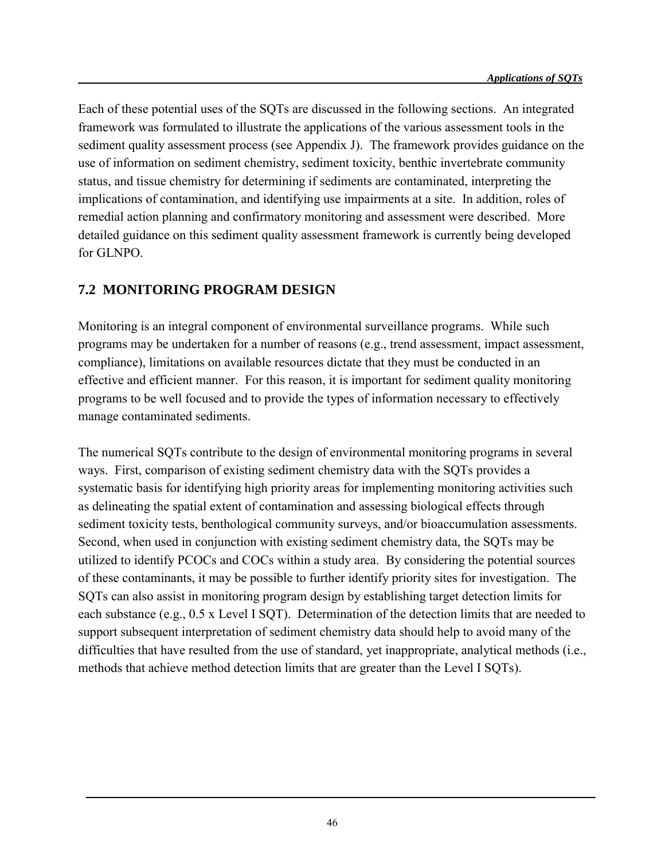Each of these potential uses of the SQTs are discussed in the following sections. An integrated framework was formulated to illustrate the applications of the various assessment tools in the sediment quality assessment process (see Appendix J). The framework provides guidance on the use of information on sediment chemistry, sediment toxicity, benthic invertebrate community status, and tissue chemistry for determining if sediments are contaminated, interpreting the implications of contamination, and identifying use impairments at a site. In addition, roles of remedial action planning and confirmatory monitoring and assessment were described. More detailed guidance on this sediment quality assessment framework is currently being developed for GLNPO.

#### **7.2 MONITORING PROGRAM DESIGN**

Monitoring is an integral component of environmental surveillance programs. While such programs may be undertaken for a number of reasons (e.g., trend assessment, impact assessment, compliance), limitations on available resources dictate that they must be conducted in an effective and efficient manner. For this reason, it is important for sediment quality monitoring programs to be well focused and to provide the types of information necessary to effectively manage contaminated sediments.

The numerical SQTs contribute to the design of environmental monitoring programs in several ways. First, comparison of existing sediment chemistry data with the SQTs provides a systematic basis for identifying high priority areas for implementing monitoring activities such as delineating the spatial extent of contamination and assessing biological effects through sediment toxicity tests, benthological community surveys, and/or bioaccumulation assessments. Second, when used in conjunction with existing sediment chemistry data, the SQTs may be utilized to identify PCOCs and COCs within a study area. By considering the potential sources of these contaminants, it may be possible to further identify priority sites for investigation. The SQTs can also assist in monitoring program design by establishing target detection limits for each substance (e.g., 0.5 x Level I SQT). Determination of the detection limits that are needed to support subsequent interpretation of sediment chemistry data should help to avoid many of the difficulties that have resulted from the use of standard, yet inappropriate, analytical methods (i.e., methods that achieve method detection limits that are greater than the Level I SQTs).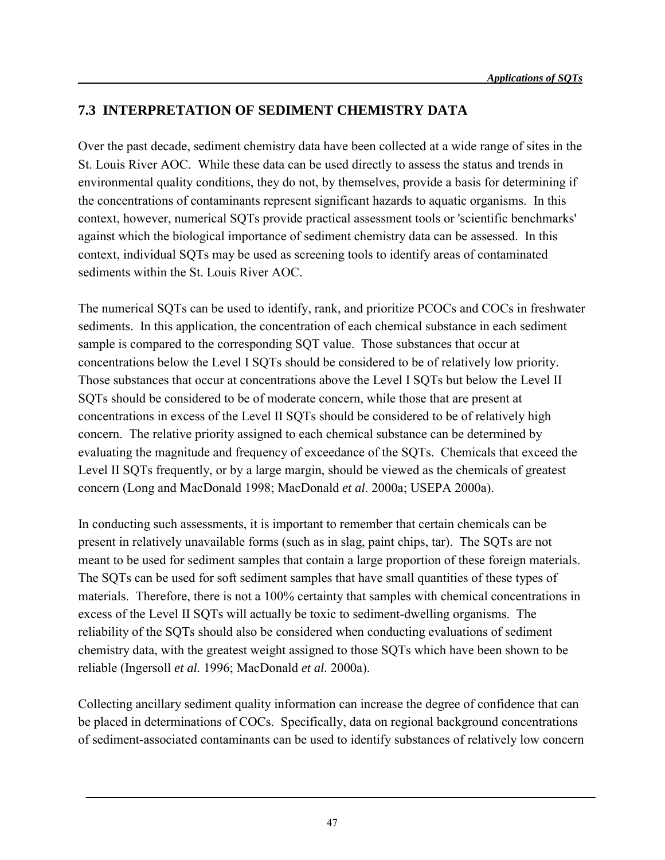### **7.3 INTERPRETATION OF SEDIMENT CHEMISTRY DATA**

Over the past decade, sediment chemistry data have been collected at a wide range of sites in the St. Louis River AOC. While these data can be used directly to assess the status and trends in environmental quality conditions, they do not, by themselves, provide a basis for determining if the concentrations of contaminants represent significant hazards to aquatic organisms. In this context, however, numerical SQTs provide practical assessment tools or 'scientific benchmarks' against which the biological importance of sediment chemistry data can be assessed. In this context, individual SQTs may be used as screening tools to identify areas of contaminated sediments within the St. Louis River AOC.

The numerical SQTs can be used to identify, rank, and prioritize PCOCs and COCs in freshwater sediments. In this application, the concentration of each chemical substance in each sediment sample is compared to the corresponding SQT value. Those substances that occur at concentrations below the Level I SQTs should be considered to be of relatively low priority. Those substances that occur at concentrations above the Level I SQTs but below the Level II SQTs should be considered to be of moderate concern, while those that are present at concentrations in excess of the Level II SQTs should be considered to be of relatively high concern. The relative priority assigned to each chemical substance can be determined by evaluating the magnitude and frequency of exceedance of the SQTs. Chemicals that exceed the Level II SQTs frequently, or by a large margin, should be viewed as the chemicals of greatest concern (Long and MacDonald 1998; MacDonald *et al*. 2000a; USEPA 2000a).

In conducting such assessments, it is important to remember that certain chemicals can be present in relatively unavailable forms (such as in slag, paint chips, tar). The SQTs are not meant to be used for sediment samples that contain a large proportion of these foreign materials. The SQTs can be used for soft sediment samples that have small quantities of these types of materials. Therefore, there is not a 100% certainty that samples with chemical concentrations in excess of the Level II SQTs will actually be toxic to sediment-dwelling organisms. The reliability of the SQTs should also be considered when conducting evaluations of sediment chemistry data, with the greatest weight assigned to those SQTs which have been shown to be reliable (Ingersoll *et al.* 1996; MacDonald *et al.* 2000a).

Collecting ancillary sediment quality information can increase the degree of confidence that can be placed in determinations of COCs. Specifically, data on regional background concentrations of sediment-associated contaminants can be used to identify substances of relatively low concern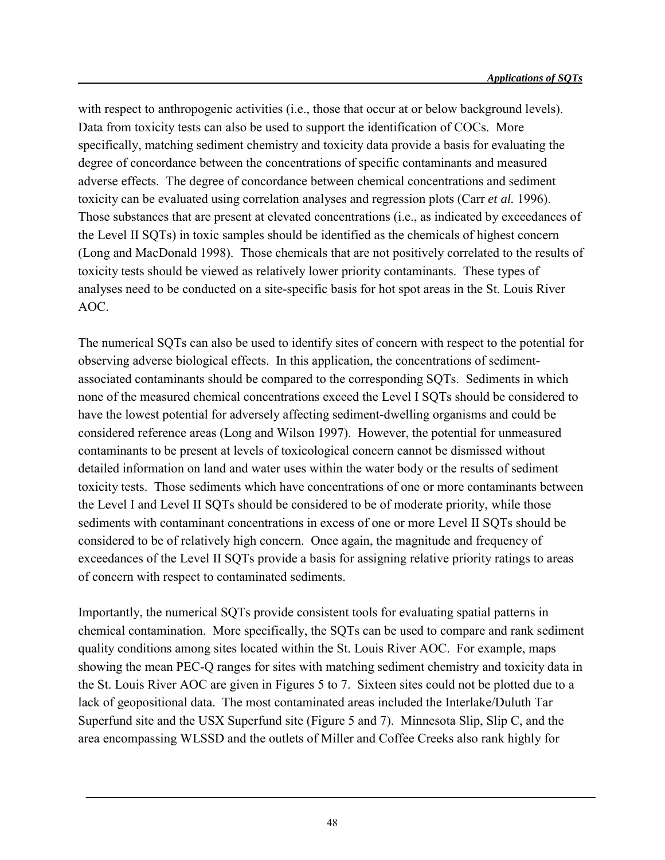with respect to anthropogenic activities (i.e., those that occur at or below background levels). Data from toxicity tests can also be used to support the identification of COCs. More specifically, matching sediment chemistry and toxicity data provide a basis for evaluating the degree of concordance between the concentrations of specific contaminants and measured adverse effects. The degree of concordance between chemical concentrations and sediment toxicity can be evaluated using correlation analyses and regression plots (Carr *et al.* 1996). Those substances that are present at elevated concentrations (i.e., as indicated by exceedances of the Level II SQTs) in toxic samples should be identified as the chemicals of highest concern (Long and MacDonald 1998). Those chemicals that are not positively correlated to the results of toxicity tests should be viewed as relatively lower priority contaminants. These types of analyses need to be conducted on a site-specific basis for hot spot areas in the St. Louis River AOC.

The numerical SQTs can also be used to identify sites of concern with respect to the potential for observing adverse biological effects. In this application, the concentrations of sedimentassociated contaminants should be compared to the corresponding SQTs. Sediments in which none of the measured chemical concentrations exceed the Level I SQTs should be considered to have the lowest potential for adversely affecting sediment-dwelling organisms and could be considered reference areas (Long and Wilson 1997). However, the potential for unmeasured contaminants to be present at levels of toxicological concern cannot be dismissed without detailed information on land and water uses within the water body or the results of sediment toxicity tests. Those sediments which have concentrations of one or more contaminants between the Level I and Level II SQTs should be considered to be of moderate priority, while those sediments with contaminant concentrations in excess of one or more Level II SQTs should be considered to be of relatively high concern. Once again, the magnitude and frequency of exceedances of the Level II SQTs provide a basis for assigning relative priority ratings to areas of concern with respect to contaminated sediments.

Importantly, the numerical SQTs provide consistent tools for evaluating spatial patterns in chemical contamination. More specifically, the SQTs can be used to compare and rank sediment quality conditions among sites located within the St. Louis River AOC. For example, maps showing the mean PEC-Q ranges for sites with matching sediment chemistry and toxicity data in the St. Louis River AOC are given in Figures 5 to 7. Sixteen sites could not be plotted due to a lack of geopositional data. The most contaminated areas included the Interlake/Duluth Tar Superfund site and the USX Superfund site (Figure 5 and 7). Minnesota Slip, Slip C, and the area encompassing WLSSD and the outlets of Miller and Coffee Creeks also rank highly for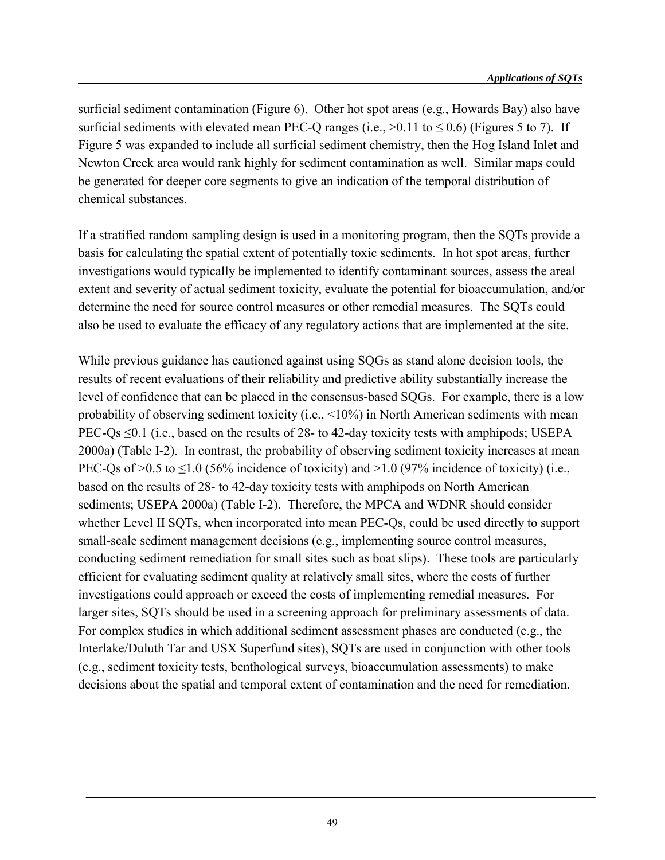surficial sediment contamination (Figure 6). Other hot spot areas (e.g., Howards Bay) also have surficial sediments with elevated mean PEC-Q ranges (i.e.,  $>0.11$  to  $< 0.6$ ) (Figures 5 to 7). If Figure 5 was expanded to include all surficial sediment chemistry, then the Hog Island Inlet and Newton Creek area would rank highly for sediment contamination as well. Similar maps could be generated for deeper core segments to give an indication of the temporal distribution of chemical substances.

If a stratified random sampling design is used in a monitoring program, then the SQTs provide a basis for calculating the spatial extent of potentially toxic sediments. In hot spot areas, further investigations would typically be implemented to identify contaminant sources, assess the areal extent and severity of actual sediment toxicity, evaluate the potential for bioaccumulation, and/or determine the need for source control measures or other remedial measures. The SQTs could also be used to evaluate the efficacy of any regulatory actions that are implemented at the site.

While previous guidance has cautioned against using SQGs as stand alone decision tools, the results of recent evaluations of their reliability and predictive ability substantially increase the level of confidence that can be placed in the consensus-based SQGs. For example, there is a low probability of observing sediment toxicity (i.e., <10%) in North American sediments with mean PEC-Qs  $\leq 0.1$  (i.e., based on the results of 28- to 42-day toxicity tests with amphipods; USEPA 2000a) (Table I-2). In contrast, the probability of observing sediment toxicity increases at mean PEC-Qs of  $>0.5$  to  $\leq$ 1.0 (56% incidence of toxicity) and  $>1.0$  (97% incidence of toxicity) (i.e., based on the results of 28- to 42-day toxicity tests with amphipods on North American sediments; USEPA 2000a) (Table I-2). Therefore, the MPCA and WDNR should consider whether Level II SQTs, when incorporated into mean PEC-Qs, could be used directly to support small-scale sediment management decisions (e.g., implementing source control measures, conducting sediment remediation for small sites such as boat slips). These tools are particularly efficient for evaluating sediment quality at relatively small sites, where the costs of further investigations could approach or exceed the costs of implementing remedial measures. For larger sites, SQTs should be used in a screening approach for preliminary assessments of data. For complex studies in which additional sediment assessment phases are conducted (e.g., the Interlake/Duluth Tar and USX Superfund sites), SQTs are used in conjunction with other tools (e.g., sediment toxicity tests, benthological surveys, bioaccumulation assessments) to make decisions about the spatial and temporal extent of contamination and the need for remediation.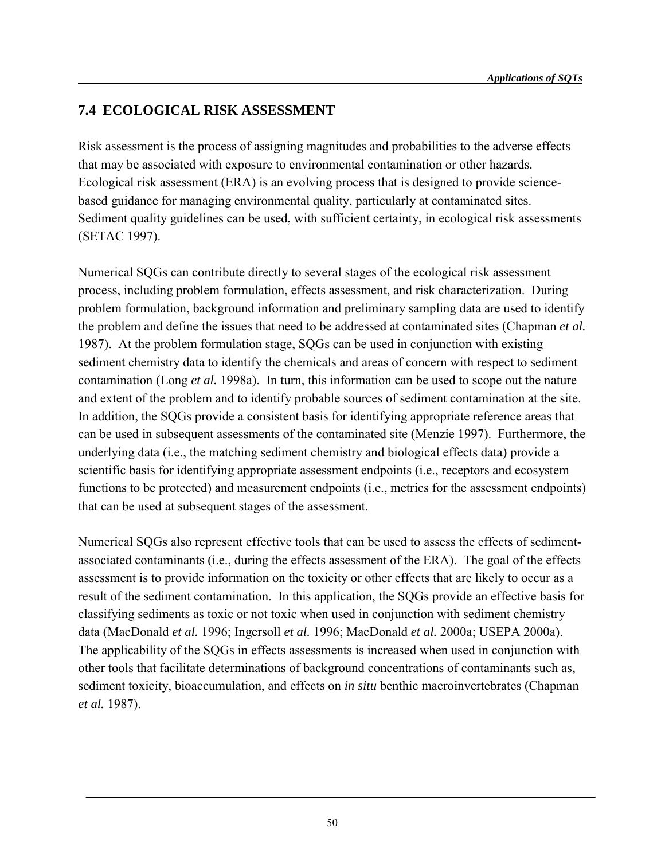### **7.4 ECOLOGICAL RISK ASSESSMENT**

Risk assessment is the process of assigning magnitudes and probabilities to the adverse effects that may be associated with exposure to environmental contamination or other hazards. Ecological risk assessment (ERA) is an evolving process that is designed to provide sciencebased guidance for managing environmental quality, particularly at contaminated sites. Sediment quality guidelines can be used, with sufficient certainty, in ecological risk assessments (SETAC 1997).

Numerical SQGs can contribute directly to several stages of the ecological risk assessment process, including problem formulation, effects assessment, and risk characterization. During problem formulation, background information and preliminary sampling data are used to identify the problem and define the issues that need to be addressed at contaminated sites (Chapman *et al.* 1987). At the problem formulation stage, SQGs can be used in conjunction with existing sediment chemistry data to identify the chemicals and areas of concern with respect to sediment contamination (Long *et al.* 1998a). In turn, this information can be used to scope out the nature and extent of the problem and to identify probable sources of sediment contamination at the site. In addition, the SQGs provide a consistent basis for identifying appropriate reference areas that can be used in subsequent assessments of the contaminated site (Menzie 1997). Furthermore, the underlying data (i.e., the matching sediment chemistry and biological effects data) provide a scientific basis for identifying appropriate assessment endpoints (i.e., receptors and ecosystem functions to be protected) and measurement endpoints (i.e., metrics for the assessment endpoints) that can be used at subsequent stages of the assessment.

Numerical SQGs also represent effective tools that can be used to assess the effects of sedimentassociated contaminants (i.e., during the effects assessment of the ERA). The goal of the effects assessment is to provide information on the toxicity or other effects that are likely to occur as a result of the sediment contamination. In this application, the SQGs provide an effective basis for classifying sediments as toxic or not toxic when used in conjunction with sediment chemistry data (MacDonald *et al.* 1996; Ingersoll *et al.* 1996; MacDonald *et al.* 2000a; USEPA 2000a). The applicability of the SQGs in effects assessments is increased when used in conjunction with other tools that facilitate determinations of background concentrations of contaminants such as, sediment toxicity, bioaccumulation, and effects on *in situ* benthic macroinvertebrates (Chapman *et al.* 1987).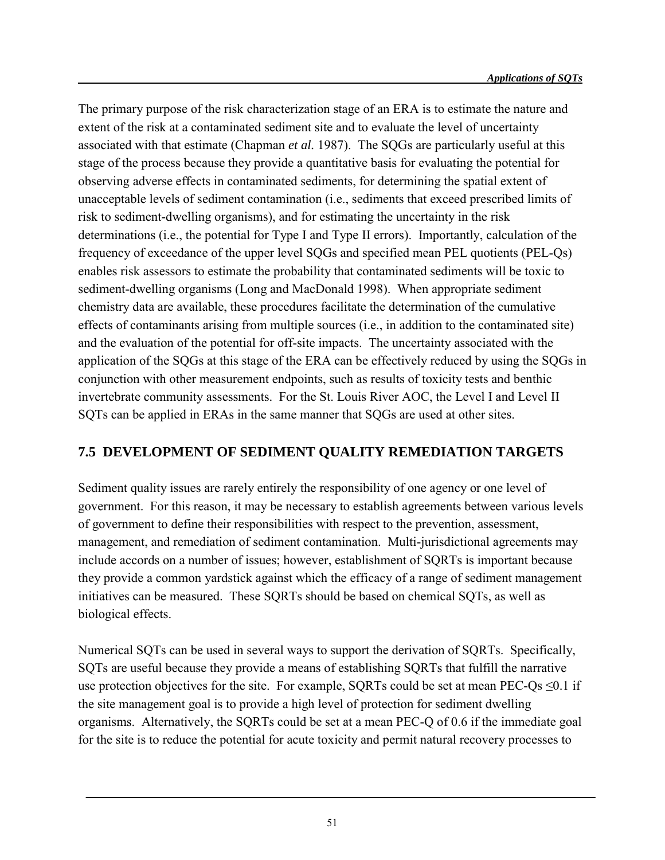The primary purpose of the risk characterization stage of an ERA is to estimate the nature and extent of the risk at a contaminated sediment site and to evaluate the level of uncertainty associated with that estimate (Chapman *et al.* 1987). The SQGs are particularly useful at this stage of the process because they provide a quantitative basis for evaluating the potential for observing adverse effects in contaminated sediments, for determining the spatial extent of unacceptable levels of sediment contamination (i.e., sediments that exceed prescribed limits of risk to sediment-dwelling organisms), and for estimating the uncertainty in the risk determinations (i.e., the potential for Type I and Type II errors). Importantly, calculation of the frequency of exceedance of the upper level SQGs and specified mean PEL quotients (PEL-Qs) enables risk assessors to estimate the probability that contaminated sediments will be toxic to sediment-dwelling organisms (Long and MacDonald 1998). When appropriate sediment chemistry data are available, these procedures facilitate the determination of the cumulative effects of contaminants arising from multiple sources (i.e., in addition to the contaminated site) and the evaluation of the potential for off-site impacts. The uncertainty associated with the application of the SQGs at this stage of the ERA can be effectively reduced by using the SQGs in conjunction with other measurement endpoints, such as results of toxicity tests and benthic invertebrate community assessments. For the St. Louis River AOC, the Level I and Level II SQTs can be applied in ERAs in the same manner that SQGs are used at other sites.

#### **7.5 DEVELOPMENT OF SEDIMENT QUALITY REMEDIATION TARGETS**

Sediment quality issues are rarely entirely the responsibility of one agency or one level of government. For this reason, it may be necessary to establish agreements between various levels of government to define their responsibilities with respect to the prevention, assessment, management, and remediation of sediment contamination. Multi-jurisdictional agreements may include accords on a number of issues; however, establishment of SQRTs is important because they provide a common yardstick against which the efficacy of a range of sediment management initiatives can be measured. These SQRTs should be based on chemical SQTs, as well as biological effects.

Numerical SQTs can be used in several ways to support the derivation of SQRTs. Specifically, SQTs are useful because they provide a means of establishing SQRTs that fulfill the narrative use protection objectives for the site. For example, SQRTs could be set at mean PEC-Qs  $\leq 0.1$  if the site management goal is to provide a high level of protection for sediment dwelling organisms. Alternatively, the SQRTs could be set at a mean PEC-Q of 0.6 if the immediate goal for the site is to reduce the potential for acute toxicity and permit natural recovery processes to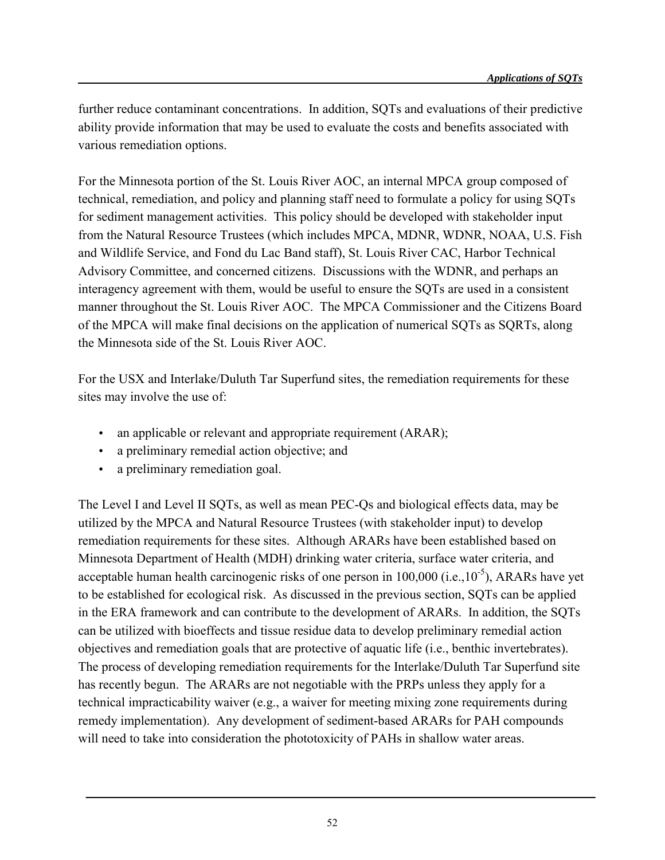further reduce contaminant concentrations. In addition, SQTs and evaluations of their predictive ability provide information that may be used to evaluate the costs and benefits associated with various remediation options.

For the Minnesota portion of the St. Louis River AOC, an internal MPCA group composed of technical, remediation, and policy and planning staff need to formulate a policy for using SQTs for sediment management activities. This policy should be developed with stakeholder input from the Natural Resource Trustees (which includes MPCA, MDNR, WDNR, NOAA, U.S. Fish and Wildlife Service, and Fond du Lac Band staff), St. Louis River CAC, Harbor Technical Advisory Committee, and concerned citizens. Discussions with the WDNR, and perhaps an interagency agreement with them, would be useful to ensure the SQTs are used in a consistent manner throughout the St. Louis River AOC. The MPCA Commissioner and the Citizens Board of the MPCA will make final decisions on the application of numerical SQTs as SQRTs, along the Minnesota side of the St. Louis River AOC.

For the USX and Interlake/Duluth Tar Superfund sites, the remediation requirements for these sites may involve the use of:

- an applicable or relevant and appropriate requirement (ARAR);
- a preliminary remedial action objective; and
- a preliminary remediation goal.

The Level I and Level II SQTs, as well as mean PEC-Qs and biological effects data, may be utilized by the MPCA and Natural Resource Trustees (with stakeholder input) to develop remediation requirements for these sites. Although ARARs have been established based on Minnesota Department of Health (MDH) drinking water criteria, surface water criteria, and acceptable human health carcinogenic risks of one person in  $100,000$  (i.e.,  $10^{-5}$ ), ARARs have yet to be established for ecological risk. As discussed in the previous section, SQTs can be applied in the ERA framework and can contribute to the development of ARARs. In addition, the SQTs can be utilized with bioeffects and tissue residue data to develop preliminary remedial action objectives and remediation goals that are protective of aquatic life (i.e., benthic invertebrates). The process of developing remediation requirements for the Interlake/Duluth Tar Superfund site has recently begun. The ARARs are not negotiable with the PRPs unless they apply for a technical impracticability waiver (e.g., a waiver for meeting mixing zone requirements during remedy implementation). Any development of sediment-based ARARs for PAH compounds will need to take into consideration the phototoxicity of PAHs in shallow water areas.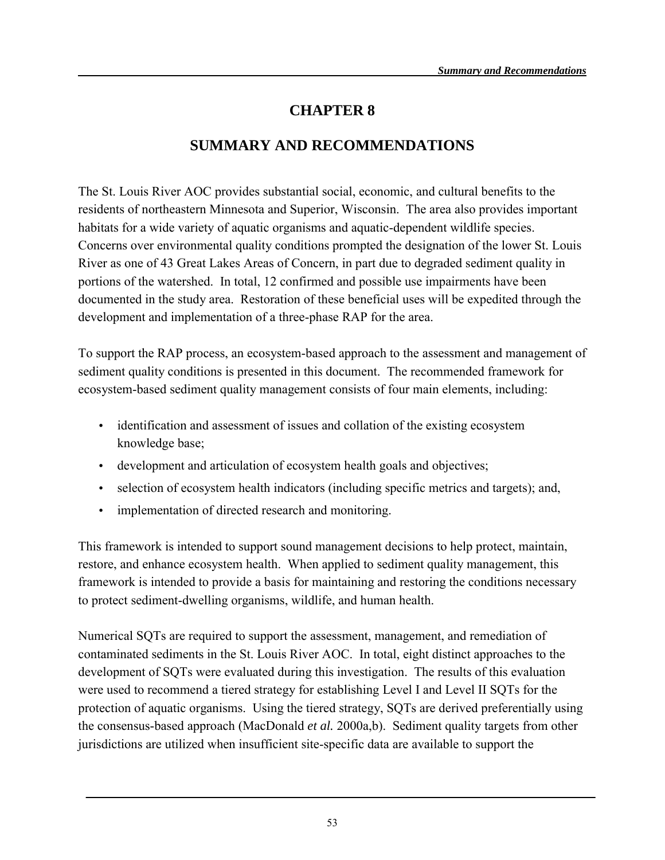# **CHAPTER 8**

# **SUMMARY AND RECOMMENDATIONS**

The St. Louis River AOC provides substantial social, economic, and cultural benefits to the residents of northeastern Minnesota and Superior, Wisconsin. The area also provides important habitats for a wide variety of aquatic organisms and aquatic-dependent wildlife species. Concerns over environmental quality conditions prompted the designation of the lower St. Louis River as one of 43 Great Lakes Areas of Concern, in part due to degraded sediment quality in portions of the watershed. In total, 12 confirmed and possible use impairments have been documented in the study area. Restoration of these beneficial uses will be expedited through the development and implementation of a three-phase RAP for the area.

To support the RAP process, an ecosystem-based approach to the assessment and management of sediment quality conditions is presented in this document. The recommended framework for ecosystem-based sediment quality management consists of four main elements, including:

- identification and assessment of issues and collation of the existing ecosystem knowledge base;
- development and articulation of ecosystem health goals and objectives;
- selection of ecosystem health indicators (including specific metrics and targets); and,
- implementation of directed research and monitoring.

This framework is intended to support sound management decisions to help protect, maintain, restore, and enhance ecosystem health. When applied to sediment quality management, this framework is intended to provide a basis for maintaining and restoring the conditions necessary to protect sediment-dwelling organisms, wildlife, and human health.

Numerical SQTs are required to support the assessment, management, and remediation of contaminated sediments in the St. Louis River AOC. In total, eight distinct approaches to the development of SQTs were evaluated during this investigation. The results of this evaluation were used to recommend a tiered strategy for establishing Level I and Level II SQTs for the protection of aquatic organisms. Using the tiered strategy, SQTs are derived preferentially using the consensus-based approach (MacDonald *et al.* 2000a,b). Sediment quality targets from other jurisdictions are utilized when insufficient site-specific data are available to support the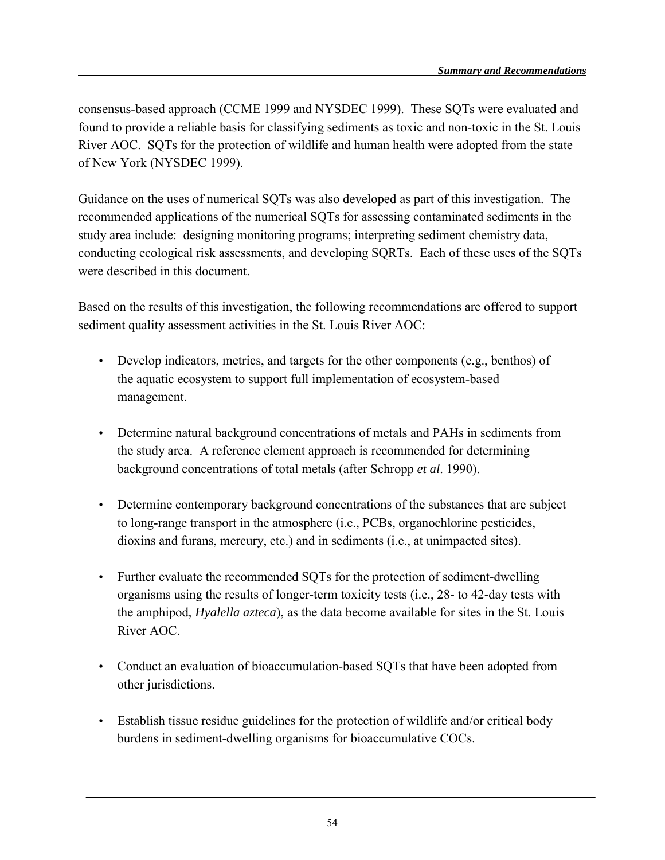consensus-based approach (CCME 1999 and NYSDEC 1999). These SQTs were evaluated and found to provide a reliable basis for classifying sediments as toxic and non-toxic in the St. Louis River AOC. SQTs for the protection of wildlife and human health were adopted from the state of New York (NYSDEC 1999).

Guidance on the uses of numerical SQTs was also developed as part of this investigation. The recommended applications of the numerical SQTs for assessing contaminated sediments in the study area include: designing monitoring programs; interpreting sediment chemistry data, conducting ecological risk assessments, and developing SQRTs. Each of these uses of the SQTs were described in this document.

Based on the results of this investigation, the following recommendations are offered to support sediment quality assessment activities in the St. Louis River AOC:

- Develop indicators, metrics, and targets for the other components (e.g., benthos) of the aquatic ecosystem to support full implementation of ecosystem-based management.
- Determine natural background concentrations of metals and PAHs in sediments from the study area. A reference element approach is recommended for determining background concentrations of total metals (after Schropp *et al*. 1990).
- Determine contemporary background concentrations of the substances that are subject to long-range transport in the atmosphere (i.e., PCBs, organochlorine pesticides, dioxins and furans, mercury, etc.) and in sediments (i.e., at unimpacted sites).
- Further evaluate the recommended SQTs for the protection of sediment-dwelling organisms using the results of longer-term toxicity tests (i.e., 28- to 42-day tests with the amphipod, *Hyalella azteca*), as the data become available for sites in the St. Louis River AOC.
- Conduct an evaluation of bioaccumulation-based SQTs that have been adopted from other jurisdictions.
- Establish tissue residue guidelines for the protection of wildlife and/or critical body burdens in sediment-dwelling organisms for bioaccumulative COCs.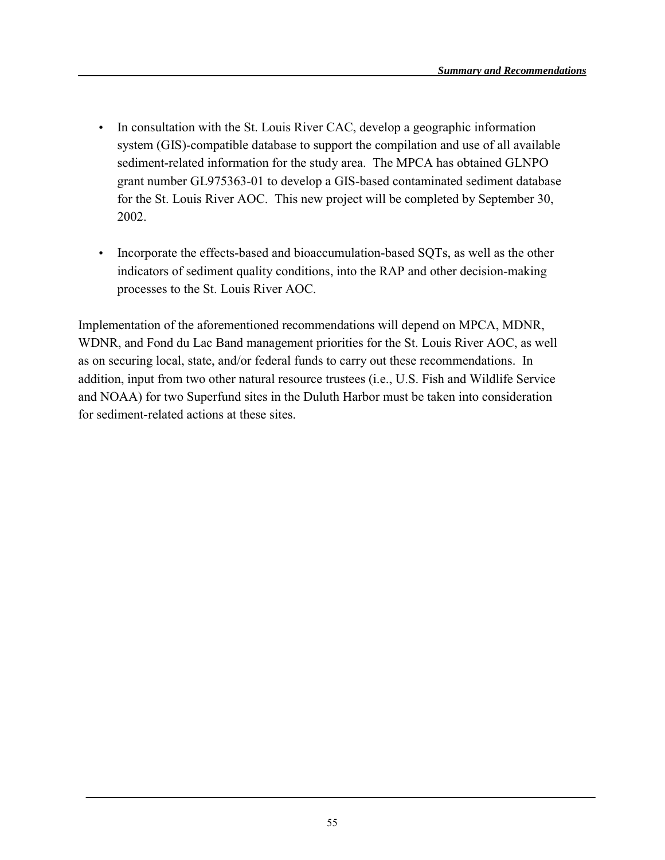- In consultation with the St. Louis River CAC, develop a geographic information system (GIS)-compatible database to support the compilation and use of all available sediment-related information for the study area. The MPCA has obtained GLNPO grant number GL975363-01 to develop a GIS-based contaminated sediment database for the St. Louis River AOC. This new project will be completed by September 30, 2002.
- Incorporate the effects-based and bioaccumulation-based SQTs, as well as the other indicators of sediment quality conditions, into the RAP and other decision-making processes to the St. Louis River AOC.

Implementation of the aforementioned recommendations will depend on MPCA, MDNR, WDNR, and Fond du Lac Band management priorities for the St. Louis River AOC, as well as on securing local, state, and/or federal funds to carry out these recommendations. In addition, input from two other natural resource trustees (i.e., U.S. Fish and Wildlife Service and NOAA) for two Superfund sites in the Duluth Harbor must be taken into consideration for sediment-related actions at these sites.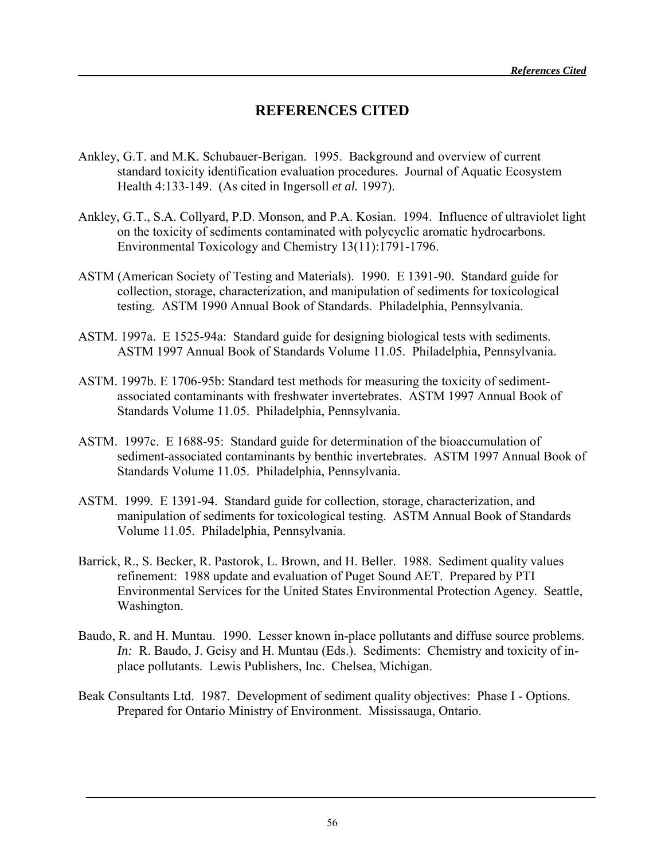## **REFERENCES CITED**

- Ankley, G.T. and M.K. Schubauer-Berigan. 1995. Background and overview of current standard toxicity identification evaluation procedures. Journal of Aquatic Ecosystem Health 4:133-149. (As cited in Ingersoll *et al.* 1997).
- Ankley, G.T., S.A. Collyard, P.D. Monson, and P.A. Kosian. 1994. Influence of ultraviolet light on the toxicity of sediments contaminated with polycyclic aromatic hydrocarbons. Environmental Toxicology and Chemistry 13(11):1791-1796.
- ASTM (American Society of Testing and Materials). 1990. E 1391-90. Standard guide for collection, storage, characterization, and manipulation of sediments for toxicological testing. ASTM 1990 Annual Book of Standards. Philadelphia, Pennsylvania.
- ASTM. 1997a. E 1525-94a: Standard guide for designing biological tests with sediments. ASTM 1997 Annual Book of Standards Volume 11.05. Philadelphia, Pennsylvania.
- ASTM. 1997b. E 1706-95b: Standard test methods for measuring the toxicity of sedimentassociated contaminants with freshwater invertebrates. ASTM 1997 Annual Book of Standards Volume 11.05. Philadelphia, Pennsylvania.
- ASTM. 1997c. E 1688-95: Standard guide for determination of the bioaccumulation of sediment-associated contaminants by benthic invertebrates. ASTM 1997 Annual Book of Standards Volume 11.05. Philadelphia, Pennsylvania.
- ASTM. 1999. E 1391-94. Standard guide for collection, storage, characterization, and manipulation of sediments for toxicological testing. ASTM Annual Book of Standards Volume 11.05. Philadelphia, Pennsylvania.
- Barrick, R., S. Becker, R. Pastorok, L. Brown, and H. Beller. 1988. Sediment quality values refinement: 1988 update and evaluation of Puget Sound AET. Prepared by PTI Environmental Services for the United States Environmental Protection Agency. Seattle, Washington.
- Baudo, R. and H. Muntau. 1990. Lesser known in-place pollutants and diffuse source problems. *In:* R. Baudo, J. Geisy and H. Muntau (Eds.). Sediments: Chemistry and toxicity of inplace pollutants. Lewis Publishers, Inc. Chelsea, Michigan.
- Beak Consultants Ltd. 1987. Development of sediment quality objectives: Phase I Options. Prepared for Ontario Ministry of Environment. Mississauga, Ontario.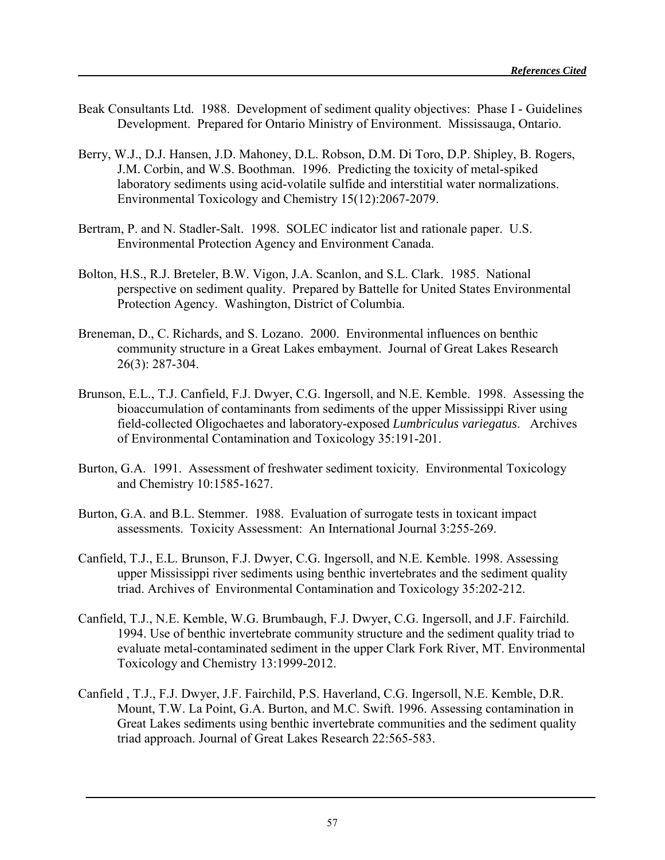- Beak Consultants Ltd. 1988. Development of sediment quality objectives: Phase I Guidelines Development. Prepared for Ontario Ministry of Environment. Mississauga, Ontario.
- Berry, W.J., D.J. Hansen, J.D. Mahoney, D.L. Robson, D.M. Di Toro, D.P. Shipley, B. Rogers, J.M. Corbin, and W.S. Boothman. 1996. Predicting the toxicity of metal-spiked laboratory sediments using acid-volatile sulfide and interstitial water normalizations. Environmental Toxicology and Chemistry 15(12):2067-2079.
- Bertram, P. and N. Stadler-Salt. 1998. SOLEC indicator list and rationale paper. U.S. Environmental Protection Agency and Environment Canada.
- Bolton, H.S., R.J. Breteler, B.W. Vigon, J.A. Scanlon, and S.L. Clark. 1985. National perspective on sediment quality. Prepared by Battelle for United States Environmental Protection Agency. Washington, District of Columbia.
- Breneman, D., C. Richards, and S. Lozano. 2000. Environmental influences on benthic community structure in a Great Lakes embayment. Journal of Great Lakes Research 26(3): 287-304.
- Brunson, E.L., T.J. Canfield, F.J. Dwyer, C.G. Ingersoll, and N.E. Kemble. 1998. Assessing the bioaccumulation of contaminants from sediments of the upper Mississippi River using field-collected Oligochaetes and laboratory-exposed *Lumbriculus variegatus*. Archives of Environmental Contamination and Toxicology 35:191-201.
- Burton, G.A. 1991. Assessment of freshwater sediment toxicity. Environmental Toxicology and Chemistry 10:1585-1627.
- Burton, G.A. and B.L. Stemmer. 1988. Evaluation of surrogate tests in toxicant impact assessments. Toxicity Assessment: An International Journal 3:255-269.
- Canfield, T.J., E.L. Brunson, F.J. Dwyer, C.G. Ingersoll, and N.E. Kemble. 1998. Assessing upper Mississippi river sediments using benthic invertebrates and the sediment quality triad. Archives of Environmental Contamination and Toxicology 35:202-212.
- Canfield, T.J., N.E. Kemble, W.G. Brumbaugh, F.J. Dwyer, C.G. Ingersoll, and J.F. Fairchild. 1994. Use of benthic invertebrate community structure and the sediment quality triad to evaluate metal-contaminated sediment in the upper Clark Fork River, MT. Environmental Toxicology and Chemistry 13:1999-2012.
- Canfield , T.J., F.J. Dwyer, J.F. Fairchild, P.S. Haverland, C.G. Ingersoll, N.E. Kemble, D.R. Mount, T.W. La Point, G.A. Burton, and M.C. Swift. 1996. Assessing contamination in Great Lakes sediments using benthic invertebrate communities and the sediment quality triad approach. Journal of Great Lakes Research 22:565-583.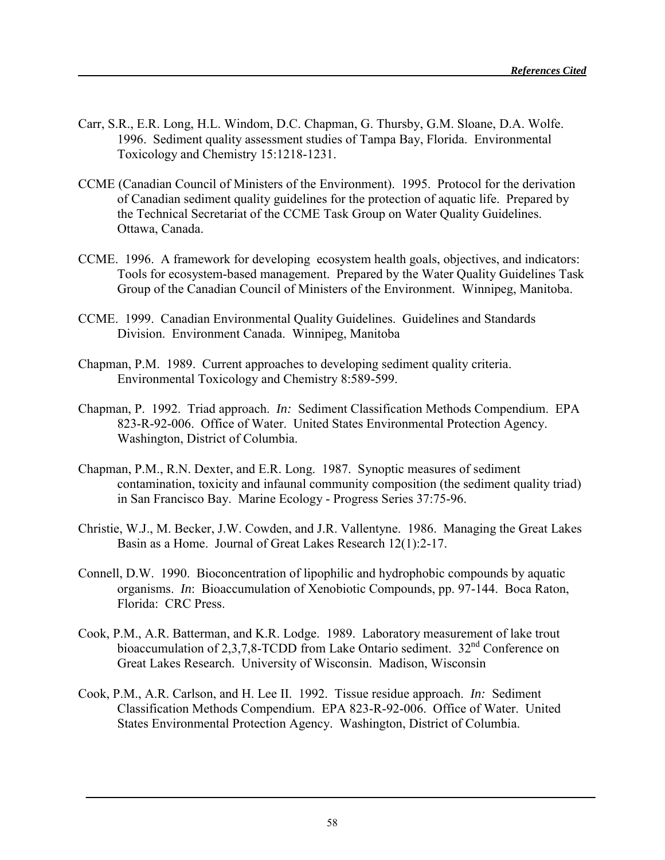- Carr, S.R., E.R. Long, H.L. Windom, D.C. Chapman, G. Thursby, G.M. Sloane, D.A. Wolfe. 1996. Sediment quality assessment studies of Tampa Bay, Florida. Environmental Toxicology and Chemistry 15:1218-1231.
- CCME (Canadian Council of Ministers of the Environment). 1995. Protocol for the derivation of Canadian sediment quality guidelines for the protection of aquatic life. Prepared by the Technical Secretariat of the CCME Task Group on Water Quality Guidelines. Ottawa, Canada.
- CCME. 1996. A framework for developing ecosystem health goals, objectives, and indicators: Tools for ecosystem-based management. Prepared by the Water Quality Guidelines Task Group of the Canadian Council of Ministers of the Environment. Winnipeg, Manitoba.
- CCME. 1999. Canadian Environmental Quality Guidelines. Guidelines and Standards Division. Environment Canada. Winnipeg, Manitoba
- Chapman, P.M. 1989. Current approaches to developing sediment quality criteria. Environmental Toxicology and Chemistry 8:589-599.
- Chapman, P. 1992. Triad approach. *In:* Sediment Classification Methods Compendium. EPA 823-R-92-006. Office of Water. United States Environmental Protection Agency. Washington, District of Columbia.
- Chapman, P.M., R.N. Dexter, and E.R. Long. 1987. Synoptic measures of sediment contamination, toxicity and infaunal community composition (the sediment quality triad) in San Francisco Bay. Marine Ecology - Progress Series 37:75-96.
- Christie, W.J., M. Becker, J.W. Cowden, and J.R. Vallentyne. 1986. Managing the Great Lakes Basin as a Home. Journal of Great Lakes Research 12(1):2-17.
- Connell, D.W. 1990. Bioconcentration of lipophilic and hydrophobic compounds by aquatic organisms. *In*: Bioaccumulation of Xenobiotic Compounds, pp. 97-144. Boca Raton, Florida: CRC Press.
- Cook, P.M., A.R. Batterman, and K.R. Lodge. 1989. Laboratory measurement of lake trout bioaccumulation of  $2,3,7,8$ -TCDD from Lake Ontario sediment.  $32<sup>nd</sup>$  Conference on Great Lakes Research. University of Wisconsin. Madison, Wisconsin
- Cook, P.M., A.R. Carlson, and H. Lee II. 1992. Tissue residue approach. *In:* Sediment Classification Methods Compendium. EPA 823-R-92-006. Office of Water. United States Environmental Protection Agency. Washington, District of Columbia.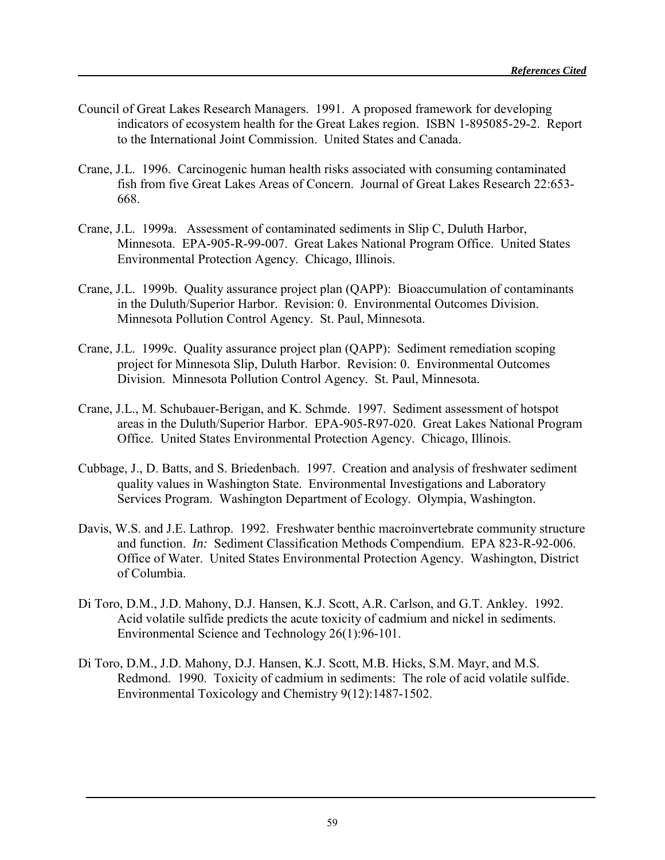- Council of Great Lakes Research Managers. 1991. A proposed framework for developing indicators of ecosystem health for the Great Lakes region. ISBN 1-895085-29-2. Report to the International Joint Commission. United States and Canada.
- Crane, J.L. 1996. Carcinogenic human health risks associated with consuming contaminated fish from five Great Lakes Areas of Concern. Journal of Great Lakes Research 22:653- 668.
- Crane, J.L. 1999a. Assessment of contaminated sediments in Slip C, Duluth Harbor, Minnesota. EPA-905-R-99-007. Great Lakes National Program Office. United States Environmental Protection Agency. Chicago, Illinois.
- Crane, J.L. 1999b. Quality assurance project plan (QAPP): Bioaccumulation of contaminants in the Duluth/Superior Harbor. Revision: 0. Environmental Outcomes Division. Minnesota Pollution Control Agency. St. Paul, Minnesota.
- Crane, J.L. 1999c. Quality assurance project plan (QAPP): Sediment remediation scoping project for Minnesota Slip, Duluth Harbor. Revision: 0. Environmental Outcomes Division. Minnesota Pollution Control Agency. St. Paul, Minnesota.
- Crane, J.L., M. Schubauer-Berigan, and K. Schmde. 1997. Sediment assessment of hotspot areas in the Duluth/Superior Harbor. EPA-905-R97-020. Great Lakes National Program Office. United States Environmental Protection Agency. Chicago, Illinois.
- Cubbage, J., D. Batts, and S. Briedenbach. 1997. Creation and analysis of freshwater sediment quality values in Washington State. Environmental Investigations and Laboratory Services Program. Washington Department of Ecology. Olympia, Washington.
- Davis, W.S. and J.E. Lathrop. 1992. Freshwater benthic macroinvertebrate community structure and function. *In:* Sediment Classification Methods Compendium. EPA 823-R-92-006. Office of Water. United States Environmental Protection Agency. Washington, District of Columbia.
- Di Toro, D.M., J.D. Mahony, D.J. Hansen, K.J. Scott, A.R. Carlson, and G.T. Ankley. 1992. Acid volatile sulfide predicts the acute toxicity of cadmium and nickel in sediments. Environmental Science and Technology 26(1):96-101.
- Di Toro, D.M., J.D. Mahony, D.J. Hansen, K.J. Scott, M.B. Hicks, S.M. Mayr, and M.S. Redmond. 1990. Toxicity of cadmium in sediments: The role of acid volatile sulfide. Environmental Toxicology and Chemistry 9(12):1487-1502.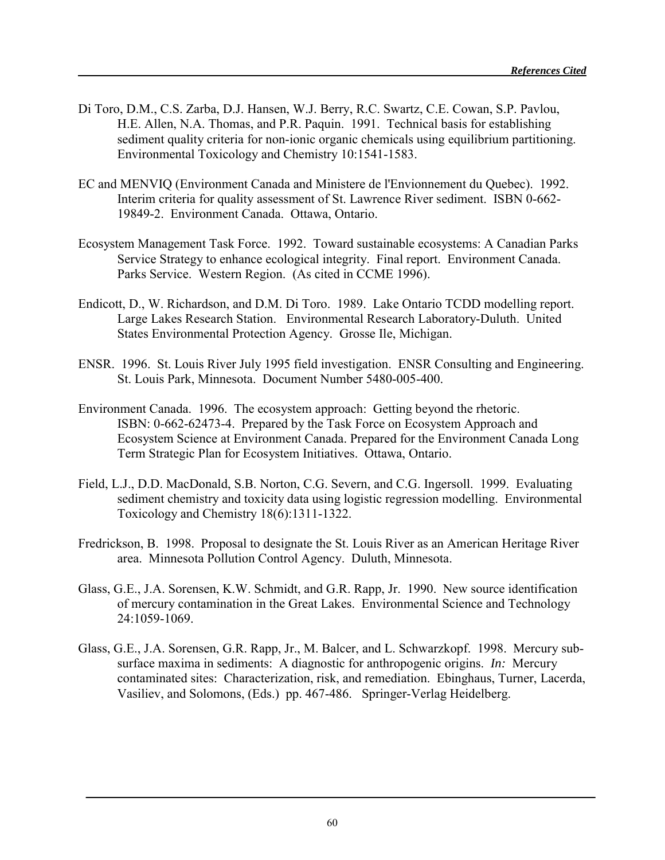- Di Toro, D.M., C.S. Zarba, D.J. Hansen, W.J. Berry, R.C. Swartz, C.E. Cowan, S.P. Pavlou, H.E. Allen, N.A. Thomas, and P.R. Paquin. 1991. Technical basis for establishing sediment quality criteria for non-ionic organic chemicals using equilibrium partitioning. Environmental Toxicology and Chemistry 10:1541-1583.
- EC and MENVIQ (Environment Canada and Ministere de l'Envionnement du Quebec). 1992. Interim criteria for quality assessment of St. Lawrence River sediment. ISBN 0-662- 19849-2. Environment Canada. Ottawa, Ontario.
- Ecosystem Management Task Force. 1992. Toward sustainable ecosystems: A Canadian Parks Service Strategy to enhance ecological integrity. Final report. Environment Canada. Parks Service. Western Region. (As cited in CCME 1996).
- Endicott, D., W. Richardson, and D.M. Di Toro. 1989. Lake Ontario TCDD modelling report. Large Lakes Research Station. Environmental Research Laboratory-Duluth. United States Environmental Protection Agency. Grosse Ile, Michigan.
- ENSR. 1996. St. Louis River July 1995 field investigation. ENSR Consulting and Engineering. St. Louis Park, Minnesota. Document Number 5480-005-400.
- Environment Canada. 1996. The ecosystem approach: Getting beyond the rhetoric. ISBN: 0-662-62473-4. Prepared by the Task Force on Ecosystem Approach and Ecosystem Science at Environment Canada. Prepared for the Environment Canada Long Term Strategic Plan for Ecosystem Initiatives. Ottawa, Ontario.
- Field, L.J., D.D. MacDonald, S.B. Norton, C.G. Severn, and C.G. Ingersoll. 1999. Evaluating sediment chemistry and toxicity data using logistic regression modelling. Environmental Toxicology and Chemistry 18(6):1311-1322.
- Fredrickson, B. 1998. Proposal to designate the St. Louis River as an American Heritage River area. Minnesota Pollution Control Agency. Duluth, Minnesota.
- Glass, G.E., J.A. Sorensen, K.W. Schmidt, and G.R. Rapp, Jr. 1990. New source identification of mercury contamination in the Great Lakes. Environmental Science and Technology 24:1059-1069.
- Glass, G.E., J.A. Sorensen, G.R. Rapp, Jr., M. Balcer, and L. Schwarzkopf. 1998. Mercury subsurface maxima in sediments: A diagnostic for anthropogenic origins. *In:* Mercury contaminated sites: Characterization, risk, and remediation. Ebinghaus, Turner, Lacerda, Vasiliev, and Solomons, (Eds.) pp. 467-486. Springer-Verlag Heidelberg.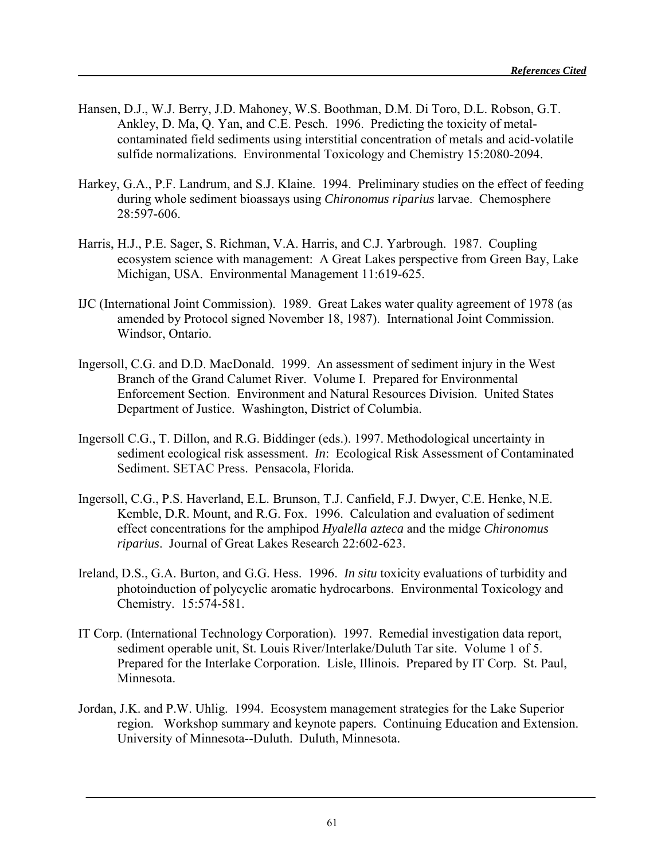- Hansen, D.J., W.J. Berry, J.D. Mahoney, W.S. Boothman, D.M. Di Toro, D.L. Robson, G.T. Ankley, D. Ma, Q. Yan, and C.E. Pesch. 1996. Predicting the toxicity of metalcontaminated field sediments using interstitial concentration of metals and acid-volatile sulfide normalizations. Environmental Toxicology and Chemistry 15:2080-2094.
- Harkey, G.A., P.F. Landrum, and S.J. Klaine. 1994. Preliminary studies on the effect of feeding during whole sediment bioassays using *Chironomus riparius* larvae. Chemosphere 28:597-606.
- Harris, H.J., P.E. Sager, S. Richman, V.A. Harris, and C.J. Yarbrough. 1987. Coupling ecosystem science with management: A Great Lakes perspective from Green Bay, Lake Michigan, USA. Environmental Management 11:619-625.
- IJC (International Joint Commission). 1989. Great Lakes water quality agreement of 1978 (as amended by Protocol signed November 18, 1987). International Joint Commission. Windsor, Ontario.
- Ingersoll, C.G. and D.D. MacDonald. 1999. An assessment of sediment injury in the West Branch of the Grand Calumet River. Volume I. Prepared for Environmental Enforcement Section. Environment and Natural Resources Division. United States Department of Justice. Washington, District of Columbia.
- Ingersoll C.G., T. Dillon, and R.G. Biddinger (eds.). 1997. Methodological uncertainty in sediment ecological risk assessment. *In*: Ecological Risk Assessment of Contaminated Sediment. SETAC Press. Pensacola, Florida.
- Ingersoll, C.G., P.S. Haverland, E.L. Brunson, T.J. Canfield, F.J. Dwyer, C.E. Henke, N.E. Kemble, D.R. Mount, and R.G. Fox. 1996. Calculation and evaluation of sediment effect concentrations for the amphipod *Hyalella azteca* and the midge *Chironomus riparius*. Journal of Great Lakes Research 22:602-623.
- Ireland, D.S., G.A. Burton, and G.G. Hess. 1996. *In situ* toxicity evaluations of turbidity and photoinduction of polycyclic aromatic hydrocarbons. Environmental Toxicology and Chemistry. 15:574-581.
- IT Corp. (International Technology Corporation). 1997. Remedial investigation data report, sediment operable unit, St. Louis River/Interlake/Duluth Tar site. Volume 1 of 5. Prepared for the Interlake Corporation. Lisle, Illinois. Prepared by IT Corp. St. Paul, Minnesota.
- Jordan, J.K. and P.W. Uhlig. 1994. Ecosystem management strategies for the Lake Superior region. Workshop summary and keynote papers. Continuing Education and Extension. University of Minnesota--Duluth. Duluth, Minnesota.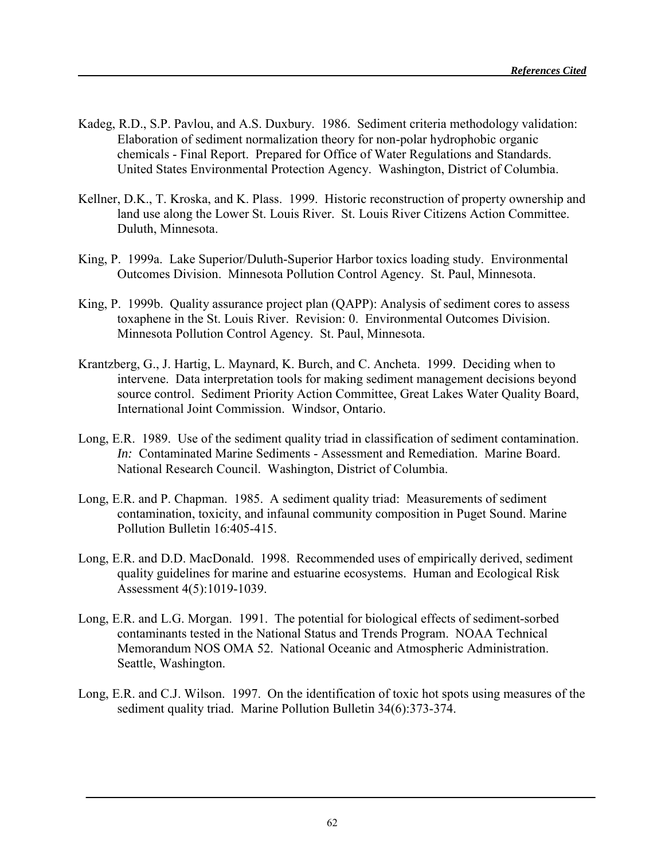- Kadeg, R.D., S.P. Pavlou, and A.S. Duxbury. 1986. Sediment criteria methodology validation: Elaboration of sediment normalization theory for non-polar hydrophobic organic chemicals - Final Report. Prepared for Office of Water Regulations and Standards. United States Environmental Protection Agency. Washington, District of Columbia.
- Kellner, D.K., T. Kroska, and K. Plass. 1999. Historic reconstruction of property ownership and land use along the Lower St. Louis River. St. Louis River Citizens Action Committee. Duluth, Minnesota.
- King, P. 1999a. Lake Superior/Duluth-Superior Harbor toxics loading study. Environmental Outcomes Division. Minnesota Pollution Control Agency. St. Paul, Minnesota.
- King, P. 1999b. Quality assurance project plan (QAPP): Analysis of sediment cores to assess toxaphene in the St. Louis River. Revision: 0. Environmental Outcomes Division. Minnesota Pollution Control Agency. St. Paul, Minnesota.
- Krantzberg, G., J. Hartig, L. Maynard, K. Burch, and C. Ancheta. 1999. Deciding when to intervene. Data interpretation tools for making sediment management decisions beyond source control. Sediment Priority Action Committee, Great Lakes Water Quality Board, International Joint Commission. Windsor, Ontario.
- Long, E.R. 1989. Use of the sediment quality triad in classification of sediment contamination. *In:* Contaminated Marine Sediments - Assessment and Remediation. Marine Board. National Research Council. Washington, District of Columbia.
- Long, E.R. and P. Chapman. 1985. A sediment quality triad: Measurements of sediment contamination, toxicity, and infaunal community composition in Puget Sound. Marine Pollution Bulletin 16:405-415.
- Long, E.R. and D.D. MacDonald. 1998. Recommended uses of empirically derived, sediment quality guidelines for marine and estuarine ecosystems. Human and Ecological Risk Assessment 4(5):1019-1039.
- Long, E.R. and L.G. Morgan. 1991. The potential for biological effects of sediment-sorbed contaminants tested in the National Status and Trends Program. NOAA Technical Memorandum NOS OMA 52. National Oceanic and Atmospheric Administration. Seattle, Washington.
- Long, E.R. and C.J. Wilson. 1997. On the identification of toxic hot spots using measures of the sediment quality triad. Marine Pollution Bulletin 34(6):373-374.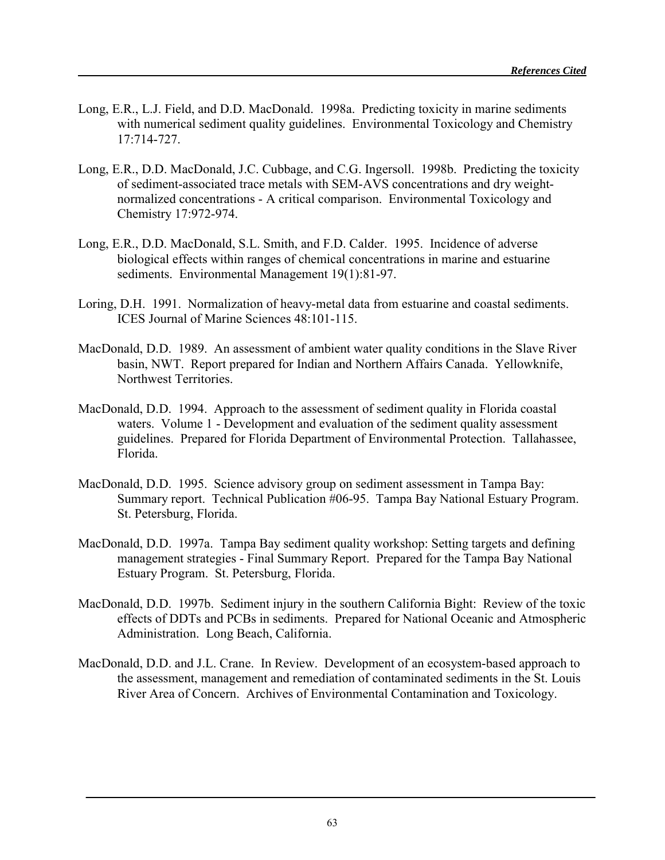- Long, E.R., L.J. Field, and D.D. MacDonald. 1998a. Predicting toxicity in marine sediments with numerical sediment quality guidelines. Environmental Toxicology and Chemistry 17:714-727.
- Long, E.R., D.D. MacDonald, J.C. Cubbage, and C.G. Ingersoll. 1998b. Predicting the toxicity of sediment-associated trace metals with SEM-AVS concentrations and dry weightnormalized concentrations - A critical comparison. Environmental Toxicology and Chemistry 17:972-974.
- Long, E.R., D.D. MacDonald, S.L. Smith, and F.D. Calder. 1995. Incidence of adverse biological effects within ranges of chemical concentrations in marine and estuarine sediments. Environmental Management 19(1):81-97.
- Loring, D.H. 1991. Normalization of heavy-metal data from estuarine and coastal sediments. ICES Journal of Marine Sciences 48:101-115.
- MacDonald, D.D. 1989. An assessment of ambient water quality conditions in the Slave River basin, NWT. Report prepared for Indian and Northern Affairs Canada. Yellowknife, Northwest Territories.
- MacDonald, D.D. 1994. Approach to the assessment of sediment quality in Florida coastal waters. Volume 1 - Development and evaluation of the sediment quality assessment guidelines. Prepared for Florida Department of Environmental Protection. Tallahassee, Florida.
- MacDonald, D.D. 1995. Science advisory group on sediment assessment in Tampa Bay: Summary report. Technical Publication #06-95. Tampa Bay National Estuary Program. St. Petersburg, Florida.
- MacDonald, D.D. 1997a. Tampa Bay sediment quality workshop: Setting targets and defining management strategies - Final Summary Report. Prepared for the Tampa Bay National Estuary Program. St. Petersburg, Florida.
- MacDonald, D.D. 1997b. Sediment injury in the southern California Bight: Review of the toxic effects of DDTs and PCBs in sediments. Prepared for National Oceanic and Atmospheric Administration. Long Beach, California.
- MacDonald, D.D. and J.L. Crane. In Review. Development of an ecosystem-based approach to the assessment, management and remediation of contaminated sediments in the St. Louis River Area of Concern. Archives of Environmental Contamination and Toxicology.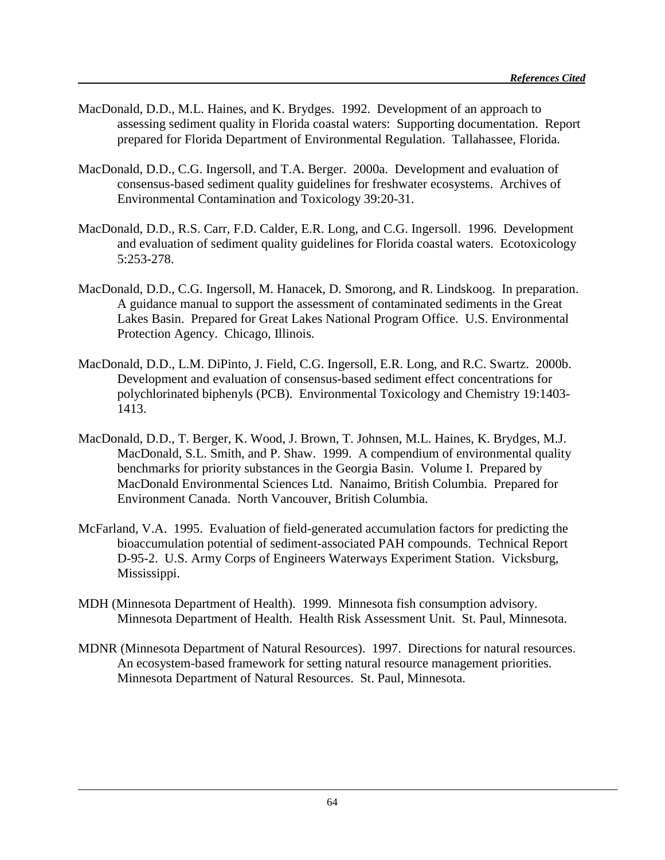- MacDonald, D.D., M.L. Haines, and K. Brydges. 1992. Development of an approach to assessing sediment quality in Florida coastal waters: Supporting documentation. Report prepared for Florida Department of Environmental Regulation. Tallahassee, Florida.
- MacDonald, D.D., C.G. Ingersoll, and T.A. Berger. 2000a. Development and evaluation of consensus-based sediment quality guidelines for freshwater ecosystems. Archives of Environmental Contamination and Toxicology 39:20-31.
- MacDonald, D.D., R.S. Carr, F.D. Calder, E.R. Long, and C.G. Ingersoll. 1996. Development and evaluation of sediment quality guidelines for Florida coastal waters. Ecotoxicology 5:253-278.
- MacDonald, D.D., C.G. Ingersoll, M. Hanacek, D. Smorong, and R. Lindskoog. In preparation. A guidance manual to support the assessment of contaminated sediments in the Great Lakes Basin. Prepared for Great Lakes National Program Office. U.S. Environmental Protection Agency. Chicago, Illinois.
- MacDonald, D.D., L.M. DiPinto, J. Field, C.G. Ingersoll, E.R. Long, and R.C. Swartz. 2000b. Development and evaluation of consensus-based sediment effect concentrations for polychlorinated biphenyls (PCB). Environmental Toxicology and Chemistry 19:1403- 1413.
- MacDonald, D.D., T. Berger, K. Wood, J. Brown, T. Johnsen, M.L. Haines, K. Brydges, M.J. MacDonald, S.L. Smith, and P. Shaw. 1999. A compendium of environmental quality benchmarks for priority substances in the Georgia Basin. Volume I. Prepared by MacDonald Environmental Sciences Ltd. Nanaimo, British Columbia. Prepared for Environment Canada. North Vancouver, British Columbia.
- McFarland, V.A. 1995. Evaluation of field-generated accumulation factors for predicting the bioaccumulation potential of sediment-associated PAH compounds. Technical Report D-95-2. U.S. Army Corps of Engineers Waterways Experiment Station. Vicksburg, Mississippi.
- MDH (Minnesota Department of Health). 1999. Minnesota fish consumption advisory. Minnesota Department of Health. Health Risk Assessment Unit. St. Paul, Minnesota.
- MDNR (Minnesota Department of Natural Resources). 1997. Directions for natural resources. An ecosystem-based framework for setting natural resource management priorities. Minnesota Department of Natural Resources. St. Paul, Minnesota.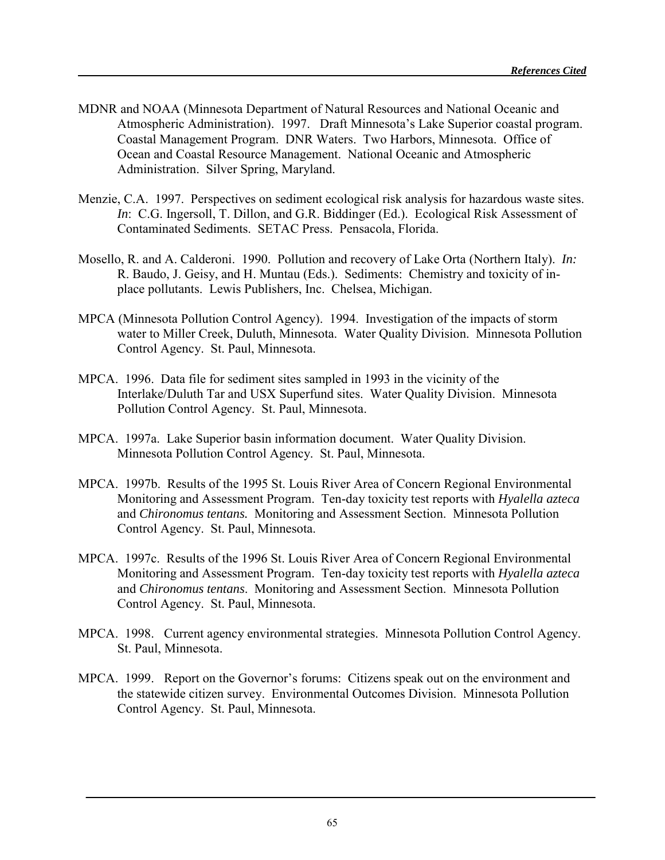- MDNR and NOAA (Minnesota Department of Natural Resources and National Oceanic and Atmospheric Administration). 1997. Draft Minnesota's Lake Superior coastal program. Coastal Management Program. DNR Waters. Two Harbors, Minnesota. Office of Ocean and Coastal Resource Management. National Oceanic and Atmospheric Administration. Silver Spring, Maryland.
- Menzie, C.A. 1997. Perspectives on sediment ecological risk analysis for hazardous waste sites. *In*: C.G. Ingersoll, T. Dillon, and G.R. Biddinger (Ed.). Ecological Risk Assessment of Contaminated Sediments. SETAC Press. Pensacola, Florida.
- Mosello, R. and A. Calderoni. 1990. Pollution and recovery of Lake Orta (Northern Italy). *In:* R. Baudo, J. Geisy, and H. Muntau (Eds.). Sediments: Chemistry and toxicity of inplace pollutants. Lewis Publishers, Inc. Chelsea, Michigan.
- MPCA (Minnesota Pollution Control Agency). 1994. Investigation of the impacts of storm water to Miller Creek, Duluth, Minnesota. Water Quality Division. Minnesota Pollution Control Agency. St. Paul, Minnesota.
- MPCA. 1996. Data file for sediment sites sampled in 1993 in the vicinity of the Interlake/Duluth Tar and USX Superfund sites. Water Quality Division. Minnesota Pollution Control Agency. St. Paul, Minnesota.
- MPCA. 1997a. Lake Superior basin information document. Water Quality Division. Minnesota Pollution Control Agency. St. Paul, Minnesota.
- MPCA. 1997b. Results of the 1995 St. Louis River Area of Concern Regional Environmental Monitoring and Assessment Program. Ten-day toxicity test reports with *Hyalella azteca* and *Chironomus tentans.* Monitoring and Assessment Section. Minnesota Pollution Control Agency. St. Paul, Minnesota.
- MPCA. 1997c. Results of the 1996 St. Louis River Area of Concern Regional Environmental Monitoring and Assessment Program. Ten-day toxicity test reports with *Hyalella azteca* and *Chironomus tentans*. Monitoring and Assessment Section. Minnesota Pollution Control Agency. St. Paul, Minnesota.
- MPCA. 1998. Current agency environmental strategies. Minnesota Pollution Control Agency. St. Paul, Minnesota.
- MPCA. 1999. Report on the Governor's forums: Citizens speak out on the environment and the statewide citizen survey. Environmental Outcomes Division. Minnesota Pollution Control Agency. St. Paul, Minnesota.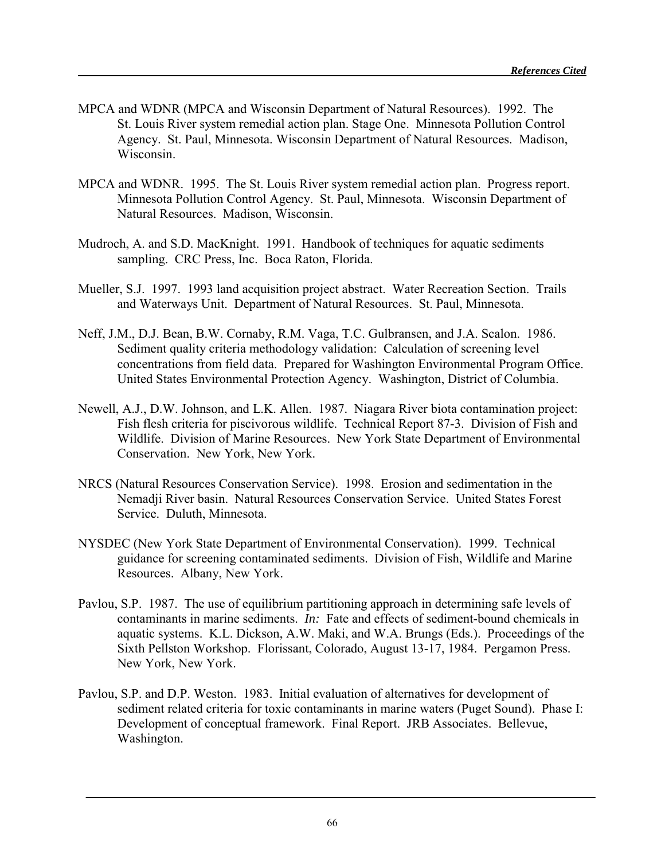- MPCA and WDNR (MPCA and Wisconsin Department of Natural Resources). 1992. The St. Louis River system remedial action plan. Stage One. Minnesota Pollution Control Agency. St. Paul, Minnesota. Wisconsin Department of Natural Resources. Madison, Wisconsin.
- MPCA and WDNR. 1995. The St. Louis River system remedial action plan. Progress report. Minnesota Pollution Control Agency. St. Paul, Minnesota. Wisconsin Department of Natural Resources. Madison, Wisconsin.
- Mudroch, A. and S.D. MacKnight. 1991. Handbook of techniques for aquatic sediments sampling. CRC Press, Inc. Boca Raton, Florida.
- Mueller, S.J. 1997. 1993 land acquisition project abstract. Water Recreation Section. Trails and Waterways Unit. Department of Natural Resources. St. Paul, Minnesota.
- Neff, J.M., D.J. Bean, B.W. Cornaby, R.M. Vaga, T.C. Gulbransen, and J.A. Scalon. 1986. Sediment quality criteria methodology validation: Calculation of screening level concentrations from field data. Prepared for Washington Environmental Program Office. United States Environmental Protection Agency. Washington, District of Columbia.
- Newell, A.J., D.W. Johnson, and L.K. Allen. 1987. Niagara River biota contamination project: Fish flesh criteria for piscivorous wildlife. Technical Report 87-3. Division of Fish and Wildlife. Division of Marine Resources. New York State Department of Environmental Conservation. New York, New York.
- NRCS (Natural Resources Conservation Service). 1998. Erosion and sedimentation in the Nemadji River basin. Natural Resources Conservation Service. United States Forest Service. Duluth, Minnesota.
- NYSDEC (New York State Department of Environmental Conservation). 1999. Technical guidance for screening contaminated sediments. Division of Fish, Wildlife and Marine Resources. Albany, New York.
- Pavlou, S.P. 1987. The use of equilibrium partitioning approach in determining safe levels of contaminants in marine sediments. *In:* Fate and effects of sediment-bound chemicals in aquatic systems. K.L. Dickson, A.W. Maki, and W.A. Brungs (Eds.). Proceedings of the Sixth Pellston Workshop. Florissant, Colorado, August 13-17, 1984. Pergamon Press. New York, New York.
- Pavlou, S.P. and D.P. Weston. 1983. Initial evaluation of alternatives for development of sediment related criteria for toxic contaminants in marine waters (Puget Sound). Phase I: Development of conceptual framework. Final Report. JRB Associates. Bellevue, Washington.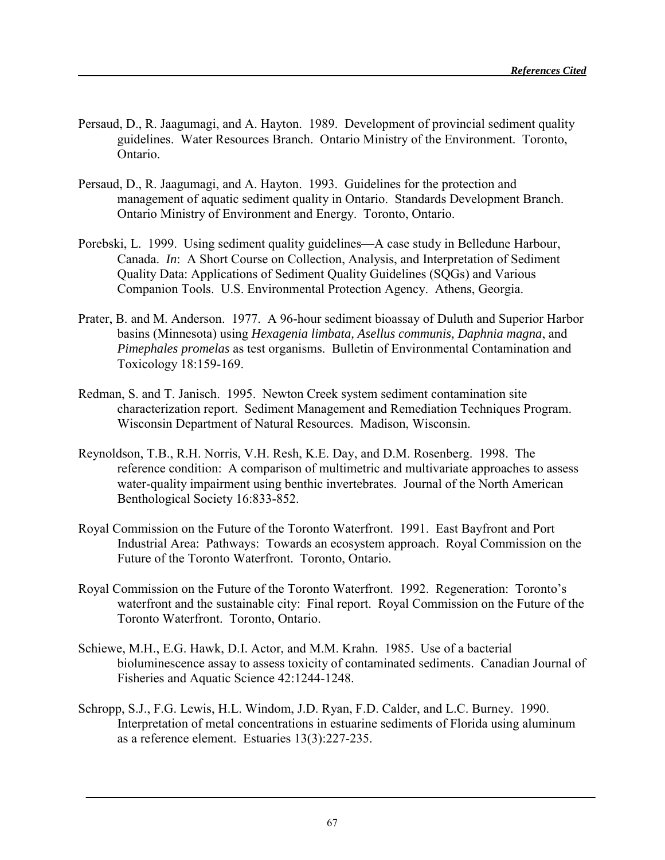- Persaud, D., R. Jaagumagi, and A. Hayton. 1989. Development of provincial sediment quality guidelines. Water Resources Branch. Ontario Ministry of the Environment. Toronto, Ontario.
- Persaud, D., R. Jaagumagi, and A. Hayton. 1993. Guidelines for the protection and management of aquatic sediment quality in Ontario. Standards Development Branch. Ontario Ministry of Environment and Energy. Toronto, Ontario.
- Porebski, L. 1999. Using sediment quality guidelines—A case study in Belledune Harbour, Canada. *In*: A Short Course on Collection, Analysis, and Interpretation of Sediment Quality Data: Applications of Sediment Quality Guidelines (SQGs) and Various Companion Tools. U.S. Environmental Protection Agency. Athens, Georgia.
- Prater, B. and M. Anderson. 1977. A 96-hour sediment bioassay of Duluth and Superior Harbor basins (Minnesota) using *Hexagenia limbata, Asellus communis, Daphnia magna*, and *Pimephales promelas* as test organisms. Bulletin of Environmental Contamination and Toxicology 18:159-169.
- Redman, S. and T. Janisch. 1995. Newton Creek system sediment contamination site characterization report. Sediment Management and Remediation Techniques Program. Wisconsin Department of Natural Resources. Madison, Wisconsin.
- Reynoldson, T.B., R.H. Norris, V.H. Resh, K.E. Day, and D.M. Rosenberg. 1998. The reference condition: A comparison of multimetric and multivariate approaches to assess water-quality impairment using benthic invertebrates. Journal of the North American Benthological Society 16:833-852.
- Royal Commission on the Future of the Toronto Waterfront. 1991. East Bayfront and Port Industrial Area: Pathways: Towards an ecosystem approach. Royal Commission on the Future of the Toronto Waterfront. Toronto, Ontario.
- Royal Commission on the Future of the Toronto Waterfront. 1992. Regeneration: Toronto's waterfront and the sustainable city: Final report. Royal Commission on the Future of the Toronto Waterfront. Toronto, Ontario.
- Schiewe, M.H., E.G. Hawk, D.I. Actor, and M.M. Krahn. 1985. Use of a bacterial bioluminescence assay to assess toxicity of contaminated sediments. Canadian Journal of Fisheries and Aquatic Science 42:1244-1248.
- Schropp, S.J., F.G. Lewis, H.L. Windom, J.D. Ryan, F.D. Calder, and L.C. Burney. 1990. Interpretation of metal concentrations in estuarine sediments of Florida using aluminum as a reference element. Estuaries 13(3):227-235.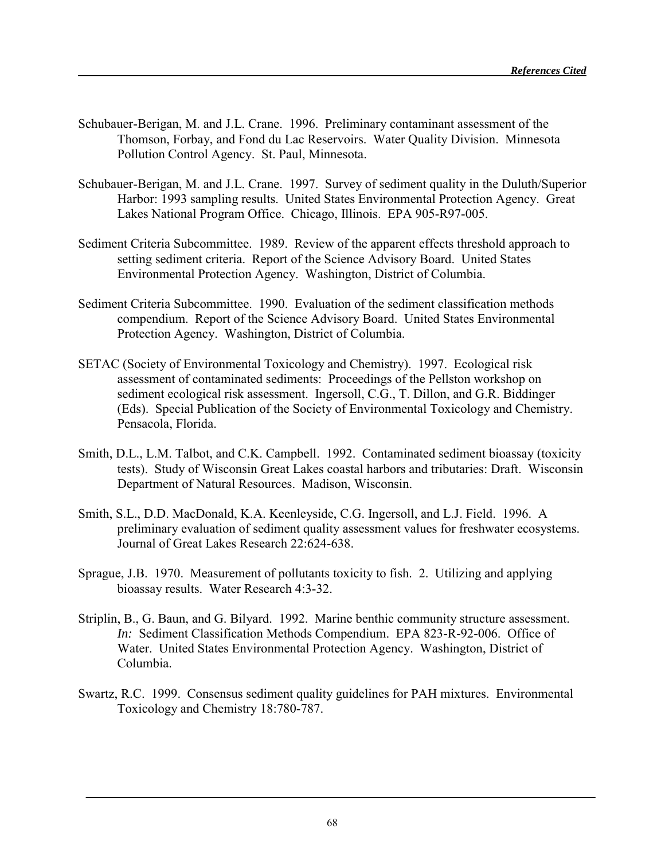- Schubauer-Berigan, M. and J.L. Crane. 1996. Preliminary contaminant assessment of the Thomson, Forbay, and Fond du Lac Reservoirs. Water Quality Division. Minnesota Pollution Control Agency. St. Paul, Minnesota.
- Schubauer-Berigan, M. and J.L. Crane. 1997. Survey of sediment quality in the Duluth/Superior Harbor: 1993 sampling results. United States Environmental Protection Agency. Great Lakes National Program Office. Chicago, Illinois. EPA 905-R97-005.
- Sediment Criteria Subcommittee. 1989. Review of the apparent effects threshold approach to setting sediment criteria. Report of the Science Advisory Board. United States Environmental Protection Agency. Washington, District of Columbia.
- Sediment Criteria Subcommittee. 1990. Evaluation of the sediment classification methods compendium. Report of the Science Advisory Board. United States Environmental Protection Agency. Washington, District of Columbia.
- SETAC (Society of Environmental Toxicology and Chemistry). 1997. Ecological risk assessment of contaminated sediments: Proceedings of the Pellston workshop on sediment ecological risk assessment. Ingersoll, C.G., T. Dillon, and G.R. Biddinger (Eds). Special Publication of the Society of Environmental Toxicology and Chemistry. Pensacola, Florida.
- Smith, D.L., L.M. Talbot, and C.K. Campbell. 1992. Contaminated sediment bioassay (toxicity tests). Study of Wisconsin Great Lakes coastal harbors and tributaries: Draft. Wisconsin Department of Natural Resources. Madison, Wisconsin.
- Smith, S.L., D.D. MacDonald, K.A. Keenleyside, C.G. Ingersoll, and L.J. Field. 1996. A preliminary evaluation of sediment quality assessment values for freshwater ecosystems. Journal of Great Lakes Research 22:624-638.
- Sprague, J.B. 1970. Measurement of pollutants toxicity to fish. 2. Utilizing and applying bioassay results. Water Research 4:3-32.
- Striplin, B., G. Baun, and G. Bilyard. 1992. Marine benthic community structure assessment. *In:* Sediment Classification Methods Compendium. EPA 823-R-92-006. Office of Water. United States Environmental Protection Agency. Washington, District of Columbia.
- Swartz, R.C. 1999. Consensus sediment quality guidelines for PAH mixtures. Environmental Toxicology and Chemistry 18:780-787.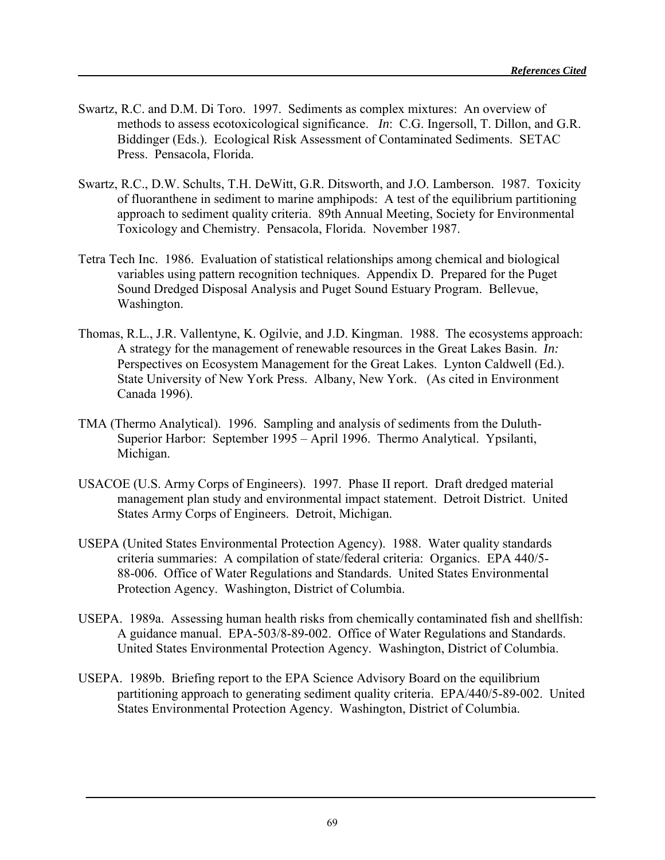- Swartz, R.C. and D.M. Di Toro. 1997. Sediments as complex mixtures: An overview of methods to assess ecotoxicological significance. *In*: C.G. Ingersoll, T. Dillon, and G.R. Biddinger (Eds.). Ecological Risk Assessment of Contaminated Sediments. SETAC Press. Pensacola, Florida.
- Swartz, R.C., D.W. Schults, T.H. DeWitt, G.R. Ditsworth, and J.O. Lamberson. 1987. Toxicity of fluoranthene in sediment to marine amphipods: A test of the equilibrium partitioning approach to sediment quality criteria. 89th Annual Meeting, Society for Environmental Toxicology and Chemistry. Pensacola, Florida. November 1987.
- Tetra Tech Inc. 1986. Evaluation of statistical relationships among chemical and biological variables using pattern recognition techniques. Appendix D. Prepared for the Puget Sound Dredged Disposal Analysis and Puget Sound Estuary Program. Bellevue, Washington.
- Thomas, R.L., J.R. Vallentyne, K. Ogilvie, and J.D. Kingman. 1988. The ecosystems approach: A strategy for the management of renewable resources in the Great Lakes Basin. *In:* Perspectives on Ecosystem Management for the Great Lakes. Lynton Caldwell (Ed.). State University of New York Press. Albany, New York. (As cited in Environment Canada 1996).
- TMA (Thermo Analytical). 1996. Sampling and analysis of sediments from the Duluth-Superior Harbor: September 1995 – April 1996. Thermo Analytical. Ypsilanti, Michigan.
- USACOE (U.S. Army Corps of Engineers). 1997. Phase II report. Draft dredged material management plan study and environmental impact statement. Detroit District. United States Army Corps of Engineers. Detroit, Michigan.
- USEPA (United States Environmental Protection Agency). 1988. Water quality standards criteria summaries: A compilation of state/federal criteria: Organics. EPA 440/5- 88-006. Office of Water Regulations and Standards. United States Environmental Protection Agency. Washington, District of Columbia.
- USEPA. 1989a. Assessing human health risks from chemically contaminated fish and shellfish: A guidance manual. EPA-503/8-89-002. Office of Water Regulations and Standards. United States Environmental Protection Agency. Washington, District of Columbia.
- USEPA. 1989b. Briefing report to the EPA Science Advisory Board on the equilibrium partitioning approach to generating sediment quality criteria. EPA/440/5-89-002. United States Environmental Protection Agency. Washington, District of Columbia.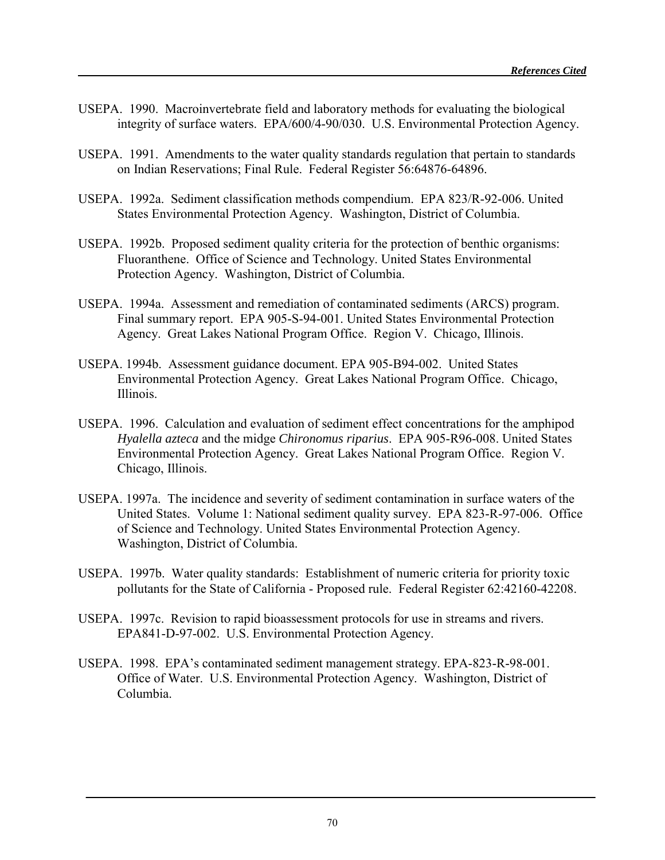- USEPA. 1990. Macroinvertebrate field and laboratory methods for evaluating the biological integrity of surface waters. EPA/600/4-90/030. U.S. Environmental Protection Agency.
- USEPA. 1991. Amendments to the water quality standards regulation that pertain to standards on Indian Reservations; Final Rule. Federal Register 56:64876-64896.
- USEPA. 1992a. Sediment classification methods compendium. EPA 823/R-92-006. United States Environmental Protection Agency. Washington, District of Columbia.
- USEPA. 1992b. Proposed sediment quality criteria for the protection of benthic organisms: Fluoranthene. Office of Science and Technology. United States Environmental Protection Agency. Washington, District of Columbia.
- USEPA. 1994a. Assessment and remediation of contaminated sediments (ARCS) program. Final summary report. EPA 905-S-94-001. United States Environmental Protection Agency. Great Lakes National Program Office. Region V. Chicago, Illinois.
- USEPA. 1994b. Assessment guidance document. EPA 905-B94-002. United States Environmental Protection Agency. Great Lakes National Program Office. Chicago, Illinois.
- USEPA. 1996. Calculation and evaluation of sediment effect concentrations for the amphipod *Hyalella azteca* and the midge *Chironomus riparius*. EPA 905-R96-008. United States Environmental Protection Agency. Great Lakes National Program Office. Region V. Chicago, Illinois.
- USEPA. 1997a. The incidence and severity of sediment contamination in surface waters of the United States. Volume 1: National sediment quality survey. EPA 823-R-97-006. Office of Science and Technology. United States Environmental Protection Agency. Washington, District of Columbia.
- USEPA. 1997b. Water quality standards: Establishment of numeric criteria for priority toxic pollutants for the State of California - Proposed rule. Federal Register 62:42160-42208.
- USEPA. 1997c. Revision to rapid bioassessment protocols for use in streams and rivers. EPA841-D-97-002. U.S. Environmental Protection Agency.
- USEPA. 1998. EPA's contaminated sediment management strategy. EPA-823-R-98-001. Office of Water. U.S. Environmental Protection Agency. Washington, District of Columbia.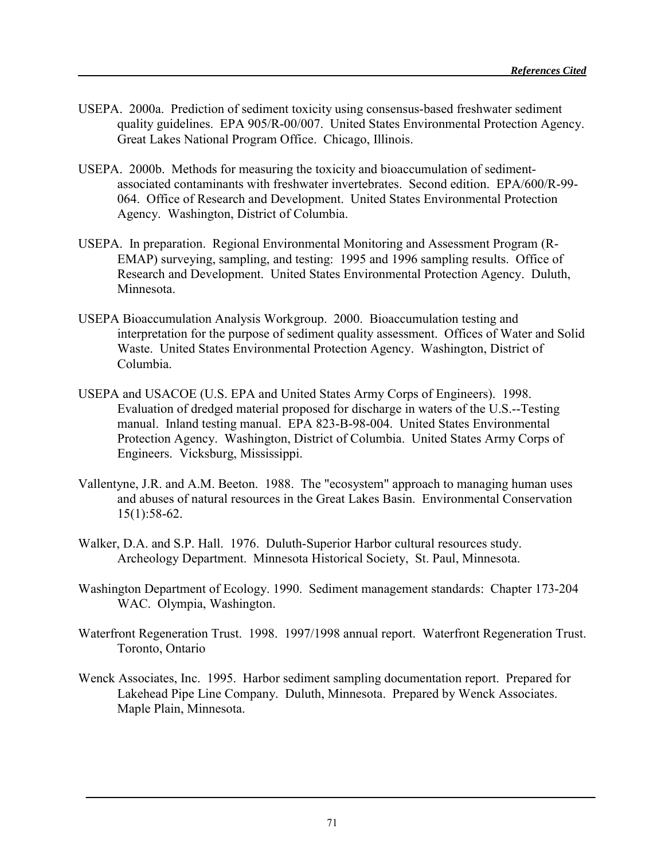- USEPA. 2000a. Prediction of sediment toxicity using consensus-based freshwater sediment quality guidelines. EPA 905/R-00/007. United States Environmental Protection Agency. Great Lakes National Program Office. Chicago, Illinois.
- USEPA. 2000b. Methods for measuring the toxicity and bioaccumulation of sedimentassociated contaminants with freshwater invertebrates. Second edition. EPA/600/R-99- 064. Office of Research and Development. United States Environmental Protection Agency. Washington, District of Columbia.
- USEPA. In preparation. Regional Environmental Monitoring and Assessment Program (R-EMAP) surveying, sampling, and testing: 1995 and 1996 sampling results. Office of Research and Development. United States Environmental Protection Agency. Duluth, Minnesota.
- USEPA Bioaccumulation Analysis Workgroup. 2000. Bioaccumulation testing and interpretation for the purpose of sediment quality assessment. Offices of Water and Solid Waste. United States Environmental Protection Agency. Washington, District of Columbia.
- USEPA and USACOE (U.S. EPA and United States Army Corps of Engineers). 1998. Evaluation of dredged material proposed for discharge in waters of the U.S.--Testing manual. Inland testing manual. EPA 823-B-98-004. United States Environmental Protection Agency. Washington, District of Columbia. United States Army Corps of Engineers. Vicksburg, Mississippi.
- Vallentyne, J.R. and A.M. Beeton. 1988. The "ecosystem" approach to managing human uses and abuses of natural resources in the Great Lakes Basin. Environmental Conservation 15(1):58-62.
- Walker, D.A. and S.P. Hall. 1976. Duluth-Superior Harbor cultural resources study. Archeology Department. Minnesota Historical Society, St. Paul, Minnesota.
- Washington Department of Ecology. 1990. Sediment management standards: Chapter 173-204 WAC. Olympia, Washington.
- Waterfront Regeneration Trust. 1998. 1997/1998 annual report. Waterfront Regeneration Trust. Toronto, Ontario
- Wenck Associates, Inc. 1995. Harbor sediment sampling documentation report. Prepared for Lakehead Pipe Line Company. Duluth, Minnesota. Prepared by Wenck Associates. Maple Plain, Minnesota.